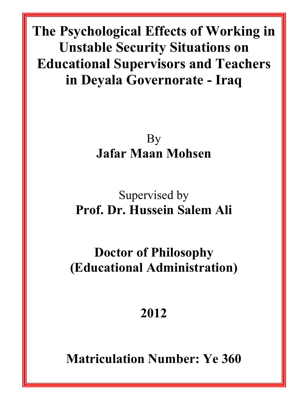**The Psychological Effects of Working in Unstable Security Situations on Educational Supervisors and Teachers in Deyala Governorate - Iraq** 

> By **Jafar Maan Mohsen**

## Supervised by **Prof. Dr. Hussein Salem Ali**

## **Doctor of Philosophy (Educational Administration)**

## **2012**

**Matriculation Number: Ye 360**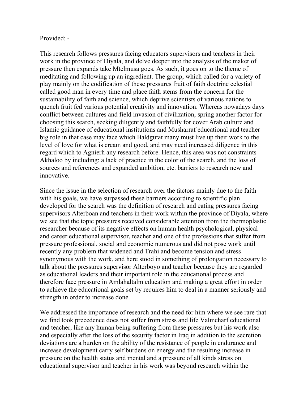## Provided: -

This research follows pressures facing educators supervisors and teachers in their work in the province of Diyala, and delve deeper into the analysis of the maker of pressure then expands take Mtelmusa goes. As such, it goes on to the theme of meditating and following up an ingredient. The group, which called for a variety of play mainly on the codification of these pressures fruit of faith doctrine celestial called good man in every time and place faith stems from the concern for the sustainability of faith and science, which deprive scientists of various nations to quench fruit fed various potential creativity and innovation. Whereas nowadays days conflict between cultures and field invasion of civilization, spring another factor for choosing this search, seeking diligently and faithfully for cover Arab culture and Islamic guidance of educational institutions and Musharraf educational and teacher big role in that case may face which Baldgutat many must live up their work to the level of love for what is cream and good, and may need increased diligence in this regard which to Agnierh any research before. Hence, this area was not constraints Akhaloo by including: a lack of practice in the color of the search, and the loss of sources and references and expanded ambition, etc. barriers to research new and innovative.

Since the issue in the selection of research over the factors mainly due to the faith with his goals, we have surpassed these barriers according to scientific plan developed for the search was the definition of research and eating pressures facing supervisors Alterboan and teachers in their work within the province of Diyala, where we see that the topic pressures received considerable attention from the thermoplastic researcher because of its negative effects on human health psychological, physical and career educational supervisor, teacher and one of the professions that suffer from pressure professional, social and economic numerous and did not pose work until recently any problem that widened and Trahi and become tension and stress synonymous with the work, and here stood in something of prolongation necessary to talk about the pressures supervisor Alterboyo and teacher because they are regarded as educational leaders and their important role in the educational process and therefore face pressure in Amlahaltalm education and making a great effort in order to achieve the educational goals set by requires him to deal in a manner seriously and strength in order to increase done.

We addressed the importance of research and the need for him where we see rare that we find took precedence does not suffer from stress and life Valmcharf educational and teacher, like any human being suffering from these pressures but his work also and especially after the loss of the security factor in Iraq in addition to the secretion deviations are a burden on the ability of the resistance of people in endurance and increase development carry self burdens on energy and the resulting increase in pressure on the health status and mental and a pressure of all kinds stress on educational supervisor and teacher in his work was beyond research within the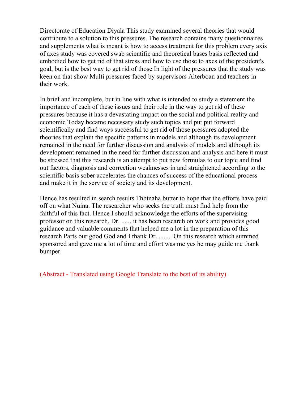Directorate of Education Diyala This study examined several theories that would contribute to a solution to this pressures. The research contains many questionnaires and supplements what is meant is how to access treatment for this problem every axis of axes study was covered swab scientific and theoretical bases basis reflected and embodied how to get rid of that stress and how to use those to axes of the president's goal, but is the best way to get rid of those In light of the pressures that the study was keen on that show Multi pressures faced by supervisors Alterboan and teachers in their work.

In brief and incomplete, but in line with what is intended to study a statement the importance of each of these issues and their role in the way to get rid of these pressures because it has a devastating impact on the social and political reality and economic Today became necessary study such topics and put put forward scientifically and find ways successful to get rid of those pressures adopted the theories that explain the specific patterns in models and although its development remained in the need for further discussion and analysis of models and although its development remained in the need for further discussion and analysis and here it must be stressed that this research is an attempt to put new formulas to our topic and find out factors, diagnosis and correction weaknesses in and straightened according to the scientific basis sober accelerates the chances of success of the educational process and make it in the service of society and its development.

Hence has resulted in search results Thbtnaha butter to hope that the efforts have paid off on what Nuina. The researcher who seeks the truth must find help from the faithful of this fact. Hence I should acknowledge the efforts of the supervising professor on this research, Dr. ....., it has been research on work and provides good guidance and valuable comments that helped me a lot in the preparation of this research Parts our good God and I thank Dr. ........ On this research which summed sponsored and gave me a lot of time and effort was me yes he may guide me thank bumper.

(Abstract - Translated using Google Translate to the best of its ability)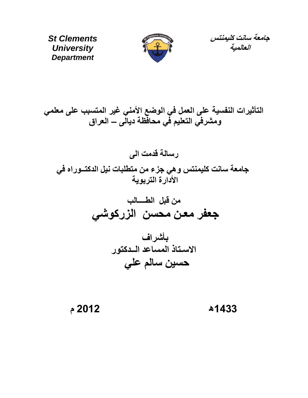*St Clements University Department*



**جامعة سانت آليمنتس العالمية**

**التأثيرات النفسية على العمل في الوضع الأمني غير المتسبب على معلمي ومشرفي التعليم في محافظة ديالى – العراق**

**رسالة قدمت الى جامعة سانت آليمنتس وهي جزء من متطلبات نيل الدآتــوراه في الأدارة التربوية**

**من قبل الطــــالب جعفر معـن محسن الزرآوشي**

**بأشراف الاسـتاذ المساعد الــدآتور حسين سالم علي** 

**1433ه 2012 م**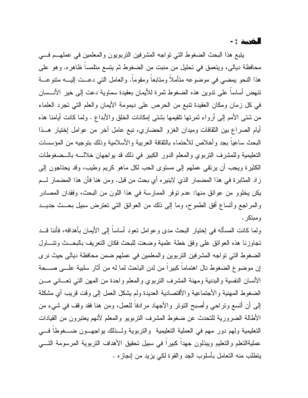يتبع هذا البحث الضغوط التي تواجه المشرفين التربويون والمعلمين في عملهـم فـي محافظة ديالى، ويتعمق في تحليل من منبت من الضغوط ثم يتسع متلمساً ظاهره. وهو على هذا النحو يمضي في موضوعه متأملاً ومتابعاً ومقوماً. والعامل التي دعـت إليـه متنوعـة تنهض أساساً على تدوين هذه الضغوط ثمرة للأيمان بعقيدة سماوية دعت إلى خير الأنـسان في كل زمان ومكان العقيدة تنبع من الحرص على ديمومة الأيمان والعلم التي تجرد العلماء من شتى الأمم إلى أرواء ثمرتها تلقيمها بشتى إمكانات الخلق والأبداع . ولما كانت أيامنا هذه أيام الصراع بين الثقافات وميدان الغزو الحضاري، نبع عامل آخر من عوامل إختيار هـذا البحث ساعياً بجد وأخلاص للأحتماء بالثقافة العربية والأسلامية وذلك بتوجيه من المؤسسات التعليمية وللمشرف التربوي والمعلم الدور الكبير في ذلك قد يواجهان خلالـه بالـضغوطات الكثيرة ويجب أن يرتقي عملهم إلى مستوى الحب لكل ماهو كريم وطيب، وقد يحتاجون إلى زاد المثابرة في هذا المضمار الذي لاينيره أي بحث من قبل. ومن هنا فأن هذا المضمار لـم يكن يخلوو من عوائق منها: عدم توفر الممارسة في هذا اللون من البحث، وفقدان المصادر والمراجع وأتساع أفق الطموح، وما إلى ذلك من العوائق التي تعترض سبيل بحـث جديـد ومبتكر.

**المقدمة -:**

ولما كانت المسأله في إختيار البحث مدى وعوامل تعود أساساً إلى الأيمان بأهدافه، فأننا قـد تجاوزنا هذه العوائق على وفق خطة علمية وضعت للبحث فكان التعريف بالبحـث وتنـاول الضغوط التي تواجه المشرفين التربوين والمعلمين في عملهم ضمن محافظة ديالى حيث نرى إن موضوع الضغوط نال اهتماماً كبيراً من لدن الباحث لما له من أثار سلبية علـى صـحة الأنسان النفسية والبدنية ومهنة المشرف التربوي والمعلم واحدة من المهن التي تعـاني مـن الضغوط المهنية والأجتماعية والأقتصادية العديدة ولم يشكل العمل إلى وقت قريب أي مشكلة إلى أن أتسع وتراحي وأصبح التوتر والأجهاد مرادفاً للعمل، ومن هنا فقد وقف في شيء من الأطالة الضرورية للتحدث عن ضغوط المشرف التربويو والمعلم لأنهم يعتبرون من القيادات التعليمية ولهم دور مهم في العملية التعليمية والتربوية ولـذلك يواجهـون ضـغوطاً فـي عمليةالتعلم والتعليم ويبذلون جهداً كبيراً في سبيل تحقيق الأهداف التربوية المرسومة التـي يتطلب منه التعامل بأسلوب الجد والقوة لكي يزيد من إنجازه .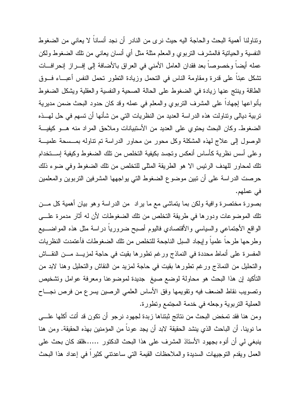وتناولنا أهمية البحث والحاجة اليه حيث نرى من النادر أن نجد أنساناً لا يعاني من الضغوط النفسية والحياتية فالمشرف التربوي والمعلم مثلة مثل أي أنسان يعاني من تلك الضغوط ولكن عمله أيضاً وخصوصاً بعد فقدان العامل الأمني في العراق بالأضافة إلى إفـراز إنحرافـات تشكل عبئاً على قدرة ومقاومة الناس في التحمل وزيادة التطور تحمل النفس أعبـاء فـوق الطاقة وينتج عنها زيادة في الضغوط على الحالة الصحية والنفسية والعقلية ويشكل الضغوط بأنواعها إجهاداً على المشرف التربوي والمعلم في عمله وقد كان حدود البحث ضمن مديرية تربية ديالى وتناولت هذه الدراسة العديد من النظريات التي من شأنها أن تسهم في حل لهـذه الضغوط. وكان البحث يحتوي على العديد من الأستبيانات وملاحق المراد منه هـو كيفيـة الوصول إلى علاج لهذه المشكلة وكل محور من محاور الدراسة تم تناوله بمـسحة علميـة وعلى أسس نظرية كأساس أنعكس وتجسد بكيفية التخلص من تلك الضغوط وكيفية إسـتخدام تلك لمحاور للهدف الرئيس الا هو الطريقة المثلى للتخلص من تلك الضغوط وفي ضوء ذلك حرصت الدراسة على أن تبين موضوع الضغوط التي يواجهها المشرفين التربوين والمعلمين في عملهم.

بصورة مختصرة وافية ولكن بما يتماشى مع ما يراد من الدراسة وهو بيان أهمية كل مـن تلك الموضوعات ودورها في طريقة التخلص من تلك الضغوطات لأن له أثار مدمرة علـى الواقع الأجتماعي والسياسي والأقتصادي فاليوم أصبح ضرورياً دراسة مثل هذه المواضـيع وطرحها طرحاً علمياً وإيجاد السبل الناجحة للتخلص من تلك الضغوطات فأعتمدت النظريات المفسرة على أنماط محددة في النماذج ورغم تطورها بقيت في حاجة لمزيـد مـن النقـاش والتحليل من النماذج ورغم تطورها بقيت في حاجة لمزيد من النقاش والتحليل وهنا لابد من التأكيد إن هذا البحث هو محاولة لوضع صيغ جديدة لموضوعنا ومعرفة عوامل وتشخيص وتصويب نقاط الضعف فيه وتقويمها وفق الأساس العلمي الرصين يسرع من فرص نجـاح العملية التربوية وجعله في خدمة المجتمع وتطورة.

ومن هنا فقد تمخض البحث من نتائج ثبتناها زبدة لجهود نرجو أن تكون قد أتت أكلها علـى ما نوينا. أن الباحث الذي ينشد الحقيقة لابد أن يجد عوناً من المؤمنين بهذه الحقيقة. ومن هنا ينبغي لي أن أنوه بجهود الأستاذ المشرف على هذا البحث الدكتور ،.....فلقد كان بحث على العمل ويقدم التوجيهات السديدة والملاحظات القيمة التي ساعدتني كثيراً في إعداد هذا البحث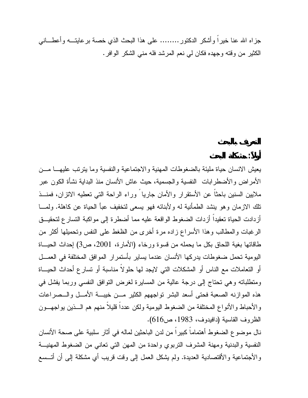جزاه االله عنا خيراً وأشكر الدكتور........ على هذا البحث الذي خصة برعايتـه وأعطـاني الكثير من وقته وجهده فكان لي نعم المرشد فله مني الشكر الوافر.

يعيش الانسان حياة مليئة بالضغوطات المهنية والاجتماعية والنفسية وما يترتب عليهـا مـن الأمراض والأضطرابات النفسية والجسمية، حيث عاش الأنسان منذ البداية نشأة الكون عبر ملايين السنين باحثاً عن الأستقرار والأمان جاريا ً وراء الراحة التي تعطيه الاتزان، فمنـذ تلك الازمان وهو ينشد الطمأنية له ولأبنائه فهو يسعى لتخفيف عبأ الحياة عن كاهلة. ولمـا أزدادت الحياة تعقيداً أزدات الضغوط الواقعة عليه مما أضطرة إلى مواكبة التسارع لتحقيـق الرغبات والمطالب وهذا الأسراع زاده مرة أخرى من الظغط على النفس وتحميلها أكثر من طاقاتها بغية اللحاق بكل ما يحمله من قسوة ورخاء (الأمارة، ،2001 ص3) إحداث الحيـاة اليومية تحمل ضغوطات يدركها الأنسان عندما يساير بأستمرار الموافق المختلفة في العمـل أو التعاملات مع الناس أو المشكلات التي لايجد لها حلولاً مناسبة أو تسارع أحداث الحيـاة ومتطلباته وهي تحتاج إلى درجة عالية من المسايرة لغرض التوافق النفسي وربما يفشل في هذه الموازنه الصعبة فحتى أسعد البشر تواجههم الكثير مـن خيبـة الأمـل والـصراعات والأحباط والأنواع المختلفة من الضغوط اليومية ولكن عدداً قليلاً منهم هم الـذين يواجهـون الظروف القاسية (دافيدوف، ،1983 ص616).

**أولاً: مشكلة البحث**

نال موضوع الضغوط أهتماماً كبيراً من لدن الباحثين لماله في أثار سلبية على صحة الأنسان النفسية والبدنية ومهنة المشرف التربوي واحدة من المهن التي تعاني من الضغوط المهنيـة والأجتماعية والأقتصادية العديدة. ولم يشكل العمل إلى وقت قريب أي مشكلة إلى أن أتـسع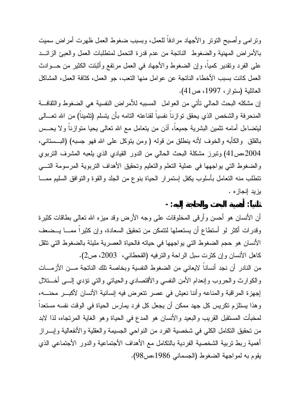وترامى وأصبح التوتر والأجهاد مرادفاً للعمل، وبسبب ضغوط العمل ظهرت أمراض سميت بالأمراض المهنية والضغوط الناتجة من عدم قدرة التحمل لمتطلبات العمل والعبئ الزائـد على الفرد وتقدير كمياً، وإن الضغوط والأجهاد في العمل مرتفع وأثبتت الكثير من حـوادث العمل كانت بسبب الأخطاء الناتجة عن عوامل منها التعب، جو العمل، كثافة العمل، المشاكل العائلية (ستوار، ،1997 ص41).

إن مشكله البحث الحالي تأتي من العوامل المسببه للأمراض النفسية هي الضغوط والثقافـة المنحرفة والشخص الذي يحقق توازناً نفسياً لقناعته التامه بأن يتسلم (تثميناً) من االله تعـالى ليتضاءل أمامه تثمين البشرية جميعاً، أذن من يتعامل مع االله تعالى يحيا متوازناً ولا يحـس بالقلق والكأبه والخوف لأنه ينطلق من قوله ( ومن يتوكل على االله فهو جسبه) (البـستاني، ،2004ص41) وتبرز مشكلة البحث الحالي من الدور القيادي الذي يلعبه المشرف التربوي والضغوط التي يواجهها في عملية التعلم والتعليم وتحقيق الأهداف التربوية المرسومة التـي تتطلب منه التعامل بأسلوب يكفل إستمرار الحياة بنوع من الجلد والقوة والتوافق السليم ممـا يزيد إنجازه .

**ثانياً: أهمية البحث والحاجة إليه-:**

أن الأنسان هو أحسن وأرقى المخلوقات على وجه الأرض وقد ميزه االله تعالى بطاقات كثيرة وقدرات أكثر لو أستطاع أن يستعملها لتتمكن من تحقيق السعادة، وإن كثيراً ممـا يـضعف الأنسان هو حجم الضغوط التي يواجهها في حياته فالحياة العصرية مليئة بالضغوط التي تثقل كاهل الأنسان وإن كثرت سبل الراحة والترفيه (القحطاني، ،2003 ص2). من النادر أن نجد أنساناً لايعاني من الضغوط النفسية وبخاصة تلك الناتجة مـن الأزمـات والكوارث والحروب وإنعدام الأمن النفسي والأقتصادي والحياتي والتي تؤدي إلـى أخـتلال إجهزة المراقبة والمناعه وأننا نعيش في عصر تتعرض فيه إنسانية الأنسان لأكبـر محنـه، وهذا يستلزم تكريس كل جهد ممكن أن يجعل كل فرد يمارس الحياة في الوقت نفسه مستعداً لمخبأت المستقبل القريب والبعيد والأنسان هو المدع في الحياة وهو الغاية المرتجاه، لذا لابد من تحقيق التكامل الكلي في شخصية الفرد من النواحي الجسيمة والعقلية والأنفعالية وإبـراز أهمية ربط تربية الشخصية الفردية بالتكامل مع الأهداف الأجتماعية والدور الأجتماعي الذي يقوم به لمواجهة الضغوط (الجسماني ،1986ص98).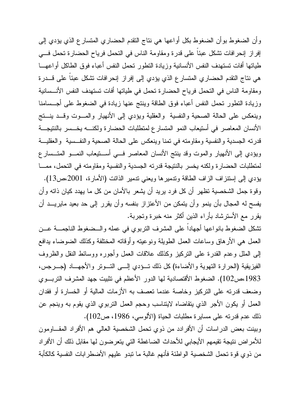وأن الضغوط بوأن الضغوط بكل أواعها هي نتاج التقدم الحضاري المتسارع الذي يؤدي إلى إفراز إنحرافات تشكل عبئاً على قدرة ومقاومة الناس في التحمل فرياح الحضارة تحمل فـي طياتها أفات تستهدف النفس الأنسانية وزيادة التطور تحمل النفس أعباء فوق الطاكل أواعهـا هي نتاج التقدم الحضاري المتسارع الذي يؤدي إلى إفراز إنحرافات تشكل عبئاً على قـدرة ومقاومة الناس في التحمل فرياح الحضارة تحمل في طياتها أفات تستهدف النفس الأنـسانية وزيادة التطور تحمل النفس أعباء فوق الطاقة وينتج عنها زيادة في الضغوط على أجـسامنا وينعكس على الحالة الصحية والنفسية والعقلية ويؤدي إلى الأنهيار والمـوت وقـد ينـتج الأنسان المعاصر في أستيعاب النمو المتسارع لمتطلبات الحضارة ولكنـه يخـسر بالنتيجـة قدرته الجسدية والنفسية ومقاومته في تمنا وينعكس على الحالة الصحية والنفـسية والعقليـة ويؤدي إلى الأنهيار والموت وقد ينتج الأنسان المعاصر فـي أسـتيعاب النمـو المتـسارع لمتطلبات الحضارة ولكنه يخسر بالنتيجة قدرته الجسدية والنفسية ومقاومته في التحمل، ممـا يؤدي إلى إستنزاف الزاف الطاقة وتدميرها ويعني تدمير الذاتت (الأمارة، ،2001ص13). وقوة جمل الشخصية تظهر أن كل فرد يريد أن يشعر بالأمان من كل ما يهدد كيان ذاته وأن يفسح له المجال بأن ينمو وأن يتمكن من الأعتزاز بنفسه وأن يقرر إلى حد بعيد مايريـد أن يقرر مع الأسترشاد بأراء الذين أكثر منه خبرة وتجربة.

تشكل الضغوط بانواعها أجهاداً على المشرف التربوي في عمله والـضغوط الناجمـة عـن العمل هي الأرهاق وساعات العمل الطويلة ونوعيته وأوقاته المختلفة وكذلك الضوضاء يدافع إلى الملل وعدم القدرة على التركيز وكذلك علاقات العمل وأجوره ووسائط النقل والظروف الفيزيقية (الحرارة التهوية والأضاءة) كل ذلك تــؤدي إلـــى التـــوتر والأجهـــاد (جـــرجس، ،1983ص102). الضغوط الأقتصادية لها الدور الأعظم في تثبيت جهد المشرف التربـوي وضعف قدرته على التركيز وخاصة عندما تعصف به الأزمات المالية أو الخسارة أو فقدان العمل أو يكون الأجر الذي يتقاضاه لايتناسب وحجم العمل التربوي الذي يقوم به وينجم عن ذلك عدم قدرته على مسايرة مطلبات الحياة (الألوسي، ،1986 ص102).

وبينت بعض الدراسات أن الأفرادد من ذوي تحمل الشخصية العالي هم الأفراد المقـاومون للأمراض نتيجة تقيمهم الأيجابي للأحداث الضاغطة التي يتعرضون لها مقابل ذلك أن الأفراد من ذوي قوة تحمل الشخصية الواطئة فأنهم غالبة ما تبدو عليهم الأضطرابات النفسية كالكأبة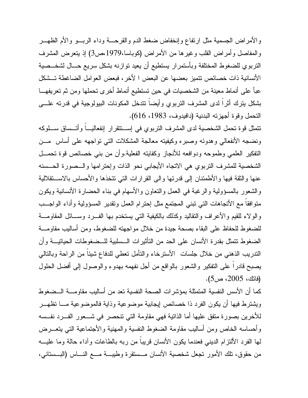والأمراض الجسمية مثل ارتفاع وإنخفاض ضغط الدم والقرحـة وداء الربـو والأم الظهـر والمفاصل وأمراض القلب وغيرها من الأمراض (كوباسا،1979،ص3) إذ يتعرض المشرف التربوي للضغوط المختلفة وبأستمرار يستطيع أن يعيد توازنه بشكل سريع حـال لشخـصية الأنسانية ذات خصائص تتميز بعضها عن البعض ا لأخر، فبعض العوامل الضاغطة تـشكل عبأ على أنماط معينة من الشخصيات في حين تستطيع أنماط أخرى تحملها ومن ثم تعريفهـا بشكل يترك أثراً لدى المشرف التربوي وأيضاً تتدخل المكونات البيولوجية في قدرته علـى التحمل وقوة أجهزته البدنية (دافيدوف، ،1983 616).

تتمثل قوة تحمل الشخصية لدى المشرف التربوي في إسـتتقرار إنفعاليـاً وأتـساق سـلوكه ونضجه الأنفعالي وهدوئه وصبره وكيفيته معالجة المشكلات التي تواجهه على أساس مـن التفكير العلمي وطموحه ودوافعه للأنجاز وكفايته الفعلية.وأن من بني خصائص قوة تحمـل الشخصية للمشرف التربوي هي الاتجاه الأيجابي نحو الذات وإحترامها والـصورة الحـسنه عنها والثقة فيها والأطمئنان إلى قدرتها والى القرارات التي تتخذها والأحساس بالاسـتقلالية والشعور بالمسؤولية والرغبة في العمل والتعاون والأسهام في بناء الحضارة الأنسانية ويكون متوافقاً مع الأتجاهات التي تبني المجتمع مثل إحترام العمل وتقدير المسؤولية وأداء الواجـب والولاء للقيم والأعراف والتقاليد وكذلك بالكيفية التي يستخدم بها الفـرد وسـائل المقاومـة للضغوط للحفاظ على البقاء بصحة جيدة من خلال مواجهته للضغوط، ومن أساليب مقاومـة الضغوط تتمثل بقدرة الأنسان على الحد من التأثيرات الـسلبية للـضغوطات الحياتيـة وأن التدريب الذهني من خلال جلسات الأسترخاء والتأمل تعطي للدفاع شيئاً من الراحة وبالتالي يصبح قادراً على التفكير والشعور بالواقع من أجل نفهمه بهدوء والوصول إلى أفضل الحلول  $(5)$ (فاتك، 2005، ص

كما أن الأسس النفسية المتمثلة بمؤشرات الصحة النفسية تعد من أساليب مقاومـة الـضغوط ويشترط فيها أن يكون الفرد ذا خصائص إيجابية موضوعية وذاية فالموضوعية مـا تظهـر للأخرين بصورة متفق عليها أما الذاتية فهي مقاومة التي تنحصر في شـعور الفـرد نفـسه وأحساسه الخاص ومن أساليب مقاومة الضغوط النفسية والمهنية والأجتماعية التي يتعـرض لها الفرد الألتزام الديني فعندما يكون الأنسان قريباً من ربه بالطاعات وآداء حالة وما عليـه من حقوق، تلك الأمور تجعل شخصية الأنسان مـستقرة وطيبـة مـع النـاس (البـستاني،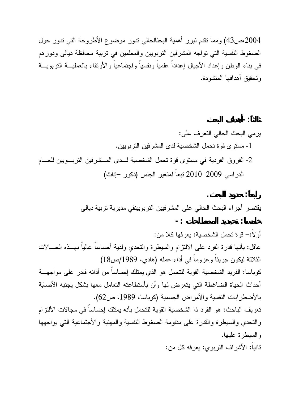،2004ص43) ومما تقدم تبرز أهمية البحثالحالي تدور موضوع الأطروحة التي تدور حول الضغوط النفسية التي تواجه المشرفين التربويين والمعلمين في تربية محافظة ديالى ودورهم في بناء الوطن وإعداد الأجيال إعداداً علمياً ونفسياً واجتماعياً والأرتقاء بالعمليـة التربويـة وتحقيق أهدافها المنشودة.

**ثالثاً-:أهداف البحث** يرمي البحث الحالي التعرف على: -1 مستوى قوة تحمل الشخصية لدى المشرفين التربويين. -2 الفروق الفردية في مستوى قوة تحمل الشخصية لـدى المـشرفين التربـويين للعـام الدراسي 2010-2009 تبعاً لمتغير الجنس (ذكور –إناث)

**رابعاً: حدود البحث.** يقتصر أجراء البحث الحالي على المشرفيين التربويينفي مديرية تربية ديالى **خامساً: تحيديد المصطلحات -:**

أولاً-: قوة تحمل الشخصية: يعرفها كلا من: عاقل: بأنها قدرة الفرد على الالتزام والسيطرة والتحدي ولدية أحساساً عالياً بهـذه الحـالات الثلاثة ليكون جريئاً وعزوماً في أداء عمله (هادي، /1989ص18) كوباسا: الفريد الشخصية القوية للتحمل هو الذي يمتلك إحساساً من أدانه قادر على مواجهـة أحداث الحياة الضاغطة التي يتعرض لها وأن بأستطاعته التعامل معها بشكل يجنبه الأصابة بالأضطرابات النفسية والأمراض الجسمية (كوباسا، ،1989 ص62). تعريف الباحث: هو الفرد ذا الشخصية القوية للتحمل بأنه يمتلك إحساساً في مجالات الألتزام والتحدي والسيطرة والقدرة على مقاومة الضغوط النفسية والمهنية والأجتماعية التي يواجهها والسيطرة عليها. ثانياً: الأشراف التربوي: يعرفه كل من: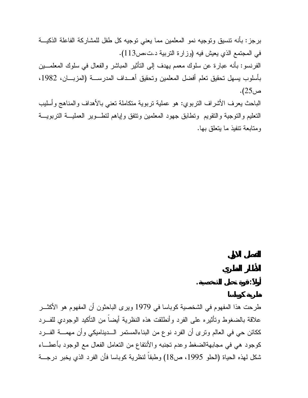برجز: بأنه تنسيق وتوجيه نمو المعلمين مما يعني توجيه كل طفل للمشاركة الفاعلة الذكيـة في المجتمع الذي يعيش فيه (وزارة التربية د.ت،ص113). الفرنسو: بأنه عبارة عن سلوك معمم يهدف إلى التأثير المباشر والفعال في سلوك المعلمـين بأسلوب يسهل تحقيق تعلم أفضل المعلمين وتحقيق أهـداف المدرسـة (المزبـان، ،1982 ص25).

الباحث يعرف الأشراف التربوي: هو عملية تربوية متكاملة تعني بالأهداف والمناهج وأسليب التعليم والتوجية والتقويم وتطابق جهود المعلمين وتتفق وإياهم لتطـوير العمليـة التربويـة ومتابعة تنفيذ ما يتعلق بها.

طرحت هذا المفهوم في الشخصية كوباسا في 1979 ويرى الباحثون أن المفهوم هو الأكثـر علاقة بالضغوط وتأثيره على الفرد وأنطلقت هذه النظرية أيضاً من التأكيد الوجودي للفـرد ككائن حي في العالم وترى أن الفرد نوع من البناءالمستمر الـديناميكي وأن مهمـة الفـرد كوجود هي في مجابهةالضغط وعدم تجنبه والأنتفاع من التعامل الفعال مع الوجود بأعطـاء شكل لهذه الحياة (الحلو 1995، ص18) وطبقاً لنظرية كوباسا فأن الفرد الذي يخبر درجـــة

**أولاً: قوة تحمل الشخصية.**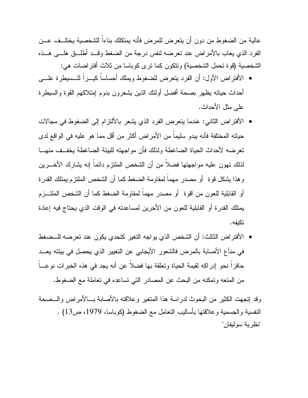عالية من الضغوط من دون أن يتعرض للمرض فأنه يمتكلك بناءاً للشخصية يختلـف عـن الفرد الذي يعاب بالأمراض عند تعرضه لنفس درجة من الضغط وقـد أطلـق هلـى هـذه الشخصية (قوة تحمل الشخصية) وتتكون كما ترى كوباسا من ثلاث أفتراضات هي:

- الأفتراض الأول: أن الفرد يتعرض للضغوط ويملك أحساساً كيـراً للـسيطرة علـى أحداث حياته يظهر بصحة أفضل أولئك الذين يشعرون بدوم إمتلاكهم القوة والسيطرة على مثل الأحداث.
- الأفتراض الثاني: عندما يتعرض الفرد الذي يشعر بالألتزام إلى الضغوط في مجالات حياته المختلفة فأنه يبدو سليماً من الأمراض أكثر من أقل مما هو عليه في الواقع لدى تعرضه لأحداث الحياة الضاغطة ولذلك فأن مواجهته للبيئة الضاغطة يخفـف منهـا لذلك تهون عليه مواجهتها فضلاً من أن الشخص الملتزم دائماً إنه يشارك الأخـرين وهذا يشكل قوة أو مصدر مهماً لمقاومة الضغط كما أن الشخص الملتزم يمتلك القدرة أو القابلية للعون من اقوة أو مصدر مهماً لمقاومة الضغط كما أن الشخص الملتـزم يمتلك القدرة أو القابلية للعون من الأخرين لمساعدته في الوقت الذي يحتاج فيه إعادة تكيفه.
- الأفتراض الثالث: أن الشخص الذي يواجه التغير كتحدي يكون عند تعرضه للـضغط في منآع الأصابة بالمرض فالشعور الأيجابي عن التغيير الذي يحصل في بيئته يعـد حافزاً نحو إدراكه لقيمة الحياة وتعلقة بها فضلاً عن أنه يجد في هذه الخبرات نوعـاً من المتعه وتمكنه من البحث عن المصادر التي تساعده في تعاملة مع الضغوط.

وقد إتجهت الكثير من البحوث لدراسة هذا المتغير وعلاقته بالأصابة بـالأمراض والـصحة النفسية والجسمية وعلاقتها بأساليب التعامل مع الضغوط (كوباسا، 1979، ص13) . "نظرية سوليفان"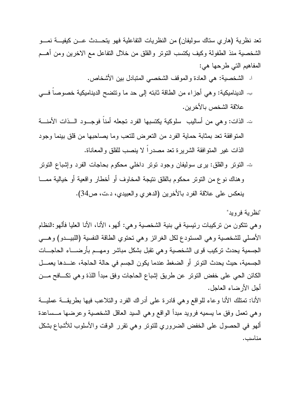تعد نظرية (هاري ستاك سوليفان) من النظريات التفاعلية فهو يتحـدث عـن كيفيـة نمـو الشخصية منذ الطفولة وكيف يكتسب التوتر والقلق من خلال التفاعل مع الاخرين ومن أهـم المفاهيم التي طرحها هي:

- <sup>أ</sup> الشخصية: هي العادة والموقف الشخصي المتبادل بين الأشخاص.
- <sup>ب</sup> الديناميكية: وهي أجزاء من الطاقة ثابته إلى حد ما وتتضح الديناميكية خصوصاً فـي علاقة الشخص بالأخرين.
- <sup>ت</sup> الذات: وهي من أساليب سلوكية يكتسبها الفرد تجعله أمناً فوجـود الـذات الأمنـة المتوافقة تعد بمثابة حماية الفرد من التعرض للتعب وما يصاحبها من قلق بينما وجود الذات غير المتوافقة الشريرة تعد مصدراً لا ينصب للقلق والمعاناة.
- <sup>ث</sup> التوتر والقلق: يرى سوليفان وجود توتر داخلي محكوم بحاجات الفرد وإشباع التوتر وهناك نوع من التوتر محكوم بالقلق نتيجة المخاوف أو أخطار واقعية أو خيالية ممـا ينعكس على علاقة الفرد بالأخرين (الدهري والعبيدي، د.ت، ص34).

"نظرية فرويد"

وهي تتكون من تركيبات رئيسية في بنية الشخصية وهي: ألهو، الأنا، الأنا العليا فألهو:النظام الأصلي للشخصية وهي المستودع لكل الغرائز وهي تحتوي الطاقة النفسية (اللبيـدو) وهـي الجسمية يحدث تركيب قوى الشخصية وهي تقبل بشكل مباشر ومهـم بأرضـاء الحاجـات الجسمية، حيث يحدث التوتر أو الضغط عندما يكون الجسم في حالة الحاجة، عنـدها يعمـل الكائن الحي على خفض التوتر عن طريق إشباع الحاجات وفق مبدأ اللذة وهي تكـافح مـن أجل الأرضاء العاجل.

الأنا: تمتلك الأنا وعاء للواقع وهي قادرة على أدراك الفرد والتلاعب فيها بطريقـة عمليـة وهي تعمل وفق ما يسميه فرويد مبدأ الواقع وهي السيد العاقل الشخصية وعرضها مـساعدة ألهو في الحصول على الخفض الضروري للتوتر وهي تقرر الوقت والأسلوب للأشباع بشكل مناسب.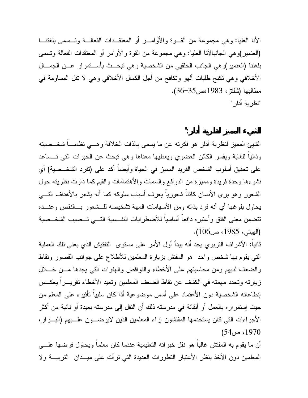الأنا العليا: وهي مجموعة من القـوة والأوامـر أو المعتقـدات الفعالـة وتـسمى بلغتنـا (العنمير)وهي الجانبالأنا العليا: وهي مجموعة من القوة والأوامر أو المعتقدات الفعالة وتسمى بلغتنا (العنمير)وهي الجانب الخلقيي من الشخصية وهي تبحـث بأسـتمرار عـن الجمـال الأخلاقي وهي تكبح طلبات ألهو وتكافح من أجل الكمال الأخلاقي وهي لا تقل المساومة في مطالبها (شلتز، ،1983ص36-35). "نظرية أدلر"

الشيئ المميز لنظرية أدلر هو فكرته عن ما يسمى بالذات الخلافة وهـي نظامـاً شخـصيته وذاتياً للغاية ويفسر الكائن العضوي ويعطيها معناها وهي تبحث عن الخبرات التي تـساعد على تحقيق أسلوب الشخص الفريد المميز في الحياة وأيضاً أكد على (تفرد الشخـصية) أي نشوءها وحدة فريدة ومميزة من الدوافع والسمات والأهتمامات والقيم كما دارت نظريته حول الشعور وهو يرى الأنسان كائناً شعورياً يعرف أسباب سلوكه كما أنه يشعر بالأهداف التـي يحاول بلوغها أي أنه فرد بذاته ومن الأسهامات المهة تشخيصه للـشعور بـالنقص وعنـده تتضمن معنى القلق وأعتبره دافعاً أساسياً للأضطرابات النفـسية التـي تـصيب الشخـصية (الهيتي، ،1985 ص106).

ثانياً: الأشراف التربوي يجد أنه يبدأ أول الأمر على مستوى التفتيش الذي يعني تلك العملية التي يقوم بها شخص واحد هو المفتش بزيارة المعلمين للأطلاع على جوانب القصور ونقاط والضعف لديهم ومن محاسبتهم على الأخطاء والنواقص والهفوات التي يجدها مـن خـلال زيارته وتحدد مهمته في الكشف عن نقاط الضعف المعلمين وتعيد الأخطاء تقريـراً يعكـس إنطاعاته الشخصية دون الأعتماد على أسس موضوعية أذا كان سلبياً تأثيره على المعلم من حيث إستمراره بالعمل أو أبقائة في مدرسته ذلك أن النقل إلى مدرسته بعيدة أو نائية من أكثر الأجراءات التي كان يستخدمها المفتشون إزاء المعلمين الذين لايرضـون علـيهم (البـزاز، ،1970 ص54)

أن ما يقوم به المفتش غالباً هو نقل خبراته التعليمية عندما كان معلماً ويحاول فرضها علـى المعلمين دون الأخذ بنظر الأعتبار التطورات العديدة التي ترأت على ميـدان التربيـة ولا

**الشيء المميز لنظرية أدلر:"**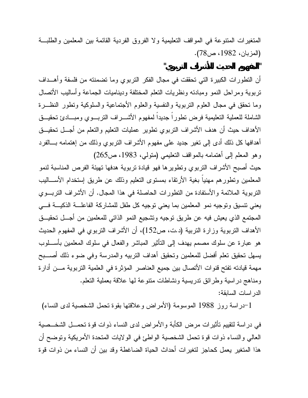المتغيرات المتنوعة في المواقف التعليمية ولا الفروق الفردية القائمة بين المعلمين والطلبـة (المزبان، ،1982 ص78).

**"المفهوم الحديث للأشراف التربوي"**

أن التطورات الكبيرة التي تحققت في مجال الفكر التربوي وما تضمنته من فلسفة وأهـداف تربوية ومراحل النمو ومبادئه ونظريات التعلم المختلفة وديناميات الجماعة وأساليب الأتصال وما تحقق في مجال العلوم التربوية والنفسية والعلوم الأجتماعية والسلوكية وتطور النظـرة الشاملة للعملية التعليمية فرض تطوراً جديداً لمفهوم الأشـراف التربـوي ومبـادئ تحقيـق الأهداف حيث أن هدف الأشراف التربوي تطوير عمليات التعليم والتعلم من أجـل تحقيـق أهدافها كل ذلك أدى إلى تغير جديد على مفهوم الأشراف التربوي وذلك من إهتمامه بـالفرد وهو المعلم إلى أهتمامه بالمواقف التعليمي (متولي، ،1983 ص265)

حيث أصبح الأشراف التربوي وتطويرها فهو قيادة تربوية هدفها تهيئة الفرص المناسبة لنمو المعلمين وتطورهم مهنياً بغية الأرتقاء بمستوى التعليم وذلك عن طريق إستخدام الأسـاليب التربوية الملائمة والأستفادة من التطورات الحاصلة في هذا المجال. أن الأشراف التربـوي يعني تنسيق وتوجيه نمو المعلمين بما يعني توجيه كل طفل للمشاركة الفاعلـة الذكيـة فـي المجتمع الذي يعيش فيه عن طريق توجيه وتشجيع النمو الذاتي للمعلمين من أجـل تحقيـق الأهداف التربوية وزارة التربية (د.ت، ص152)، أن الأشراف التربوي في المفهوم الحديث هو عبارة عن سلوك مصمم يهدف إلى التأثير المباشر والفعال في سلوك المعلمين بأسـلوب يسهل تحقيق تعلم أفضل للمعلمين وتحقيق أهداف التربيه والمدرسة وفي ضوء ذلك أصـبح مهمة قيادته تفتح قنوات الأتصال بين جميع العناصر المؤثرة في العلمية التربوية مـن أدارة ومناهج دراسية وطرائق تدريسية ونشاطات متنوعة لها علاقة بعملية التعلم. الدراسات السابقة:

-1دراسة روز 1988 الموسومة (الأمراض وعلاقتها بقوة تحمل الشخصية لدى النساء)

في دراسة لتقييم تأثيرات مرض الكأبة والأمراض لدى النساء ذوات قوة تحمـل الشخـصية العالي والنساء ذوات قوة تحمل الشخصية الواطئ في الولايات المتحدة الأمريكية وتوضح أن هذا المتغير يعمل كحاجز لتغيرات أحداث الحياة الضاغطة وقد بين أن النساء من ذوات قوة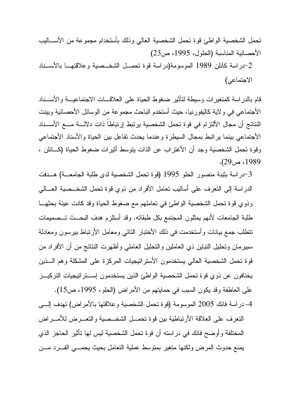تحمل الشخصية الواطئ قوة تحمل الشخصية العالي وذلك بأستخدام مجموعة من الأسـاليب الأحصائية المناسبة (الحلول، ،1995 ص23)

-2دراسة كانلن 1989 الموسومة(دراسة قوة تحمـل الشخـصية وعلاقتهـا بالأسـناد الاجتماعي)

قام بالدراسة كمتغيرات وسيطة لتأثير ضغوط الحياة على العلاقـات الاجتماعيـة والأسـناد الأجتماعي في ولاية كاليفورنيا، حيث أستخدم الباحث مجموعة من الوسائل الأحصائية وبينت النتائج أن مجال الألتزام في قوة تحمل الشخصية يرتبط إرتباطاً ذات دلالـة مـع الأسـناد الأجتماعي بينما يراتبط بمجال السيطرة وعندما يحدث تفاعل بين الحياة والأسناد الأجتماعي وقوة تحمل الشخصية وجد أن الأغتراب عن الذات يتوسط أثيرات ضغوط الحياة (كـانلن ، ،1989 ص29).

-3دراسة بثينة منصور الحلو 1995 (قوة تحمل الشخصية لدى طلبة الجامعـة) هـدفت الدراسة إلى التعرف على أساليب تعامل الأفراد من ذوي قوة تحمل الشخـصية العـالي وذوي قوة تحمل الشخصية الواطئ في تعاملهم مع ضغوط الحياة وقد كانت عينة بحثهـا طلبة الجامعات لأنهم يمثلون المجتمع بكل طبقاته. وقد أستلزم هدف البحـث تـصميمات تتطلب جمع بيانات وأستخدمت في ذلك الأختبار التائي ومعامل الأرتباط بيرسون ومعادلة سبيرمان وتحليل التباين ذي العاملين والتحليل العاملي وأظهرت النتائج من أن الأفراد من قوة تحمل الشخصية العالي يستخدمون الأستراتيجيات المركزة على المشكلة وهم الـذين يختافون عن ذوي قوة تحمل الشخصية الواطئ الذين يستخدمون إسـتراتيجيات التركيـز

على العاطفة وقد يكون السبب في حمايتهم من الأمراض (الحلو، ،1995 ص15). -4 دراسة فانك 2005 الموسومة (قوة تحمل الشخصية وعلاقتها بالأمراض) تهدف إلـى التعرف على العلاقة الأرتباطية بين قوة تحمـل الشخـصية والتعـرض للأمـراض المختلفة وأوضح فانك في دراسته أن قوة تحمل الشخصية ليس لها تأثير الحاجز الذي يمنع حدوث المرض ولكنها متغير بمتوسط عملية التعامل بحيث يحمـي الفـرد مـن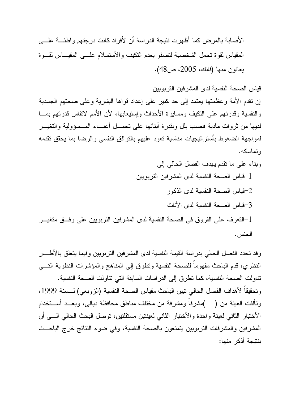الأصابة بالمرض كما أظهرت نتيجة الدراسة أن لأفراد كانت درجتهم واطئـة علـى المقياس لقوة تحمل الشخصية لتصفو بعدم التكيف والأستسلام علـى المقيـاس لقـوة يعانون منها (فانك، 2005، ص48).

قياس الصحة النفسية لدى المشرفين التربويين

إن تقدم الأمة وعظمتها يعتمد إلى حد كبير على إعداد قواها البشرية وعلى صحتهم الجسدية والنفسية وقدرتهم على التكيف ومسايرة الأحداث وإستيعابها، لأن الأمم لاتقاس قدرتهم بمـا لديها من ثروات مادية فحسب بلل وبقدرة أبنائها على تحمـل أعبـاء المـسؤولية والتغيـر لمو اجهة الضغوط بأستر اتيجيات مناسبة تعود عليهم بالتوافق النفسي والرضا بما يحقق تقدمه وتماسكه.

وبناء على ما تقدم يهدف الفصل الحالي إلى -1قياس الصحة النفسية لدى المشرفين التربويين قياس الصحة النفسية لدى الذكور $\!-2$ -3قياس الصحة النفسية لدى الأناث -1التعرف على الفروق في الصحة النفسية لدى المشرفين التربويين على وفـق متغيـر الجنس.

وقد تحدد الفصل الحالي بدراسة القيمة النفسية لدى المشرفين التربويين وفيما يتعلق بالأطـار النظري، قدم الباحث مفهوماً للصحة النفسية وتطرق إلى المناهج والمؤشرات النظرية التـي تناولت الصحة النفسية، كما تطرق إلى الدراسات السابقة التي تناولت الصحة النفسية. وتحقيقاً لأهداف الفصل الحالي تبين الباحث مقياس الصحة النفسية (الزوبعي) لــسنة 1999، وتألفت العينة من ( )مشرفاً ومشرفة من مختلف مناطق محافظة ديالى، وبعـد أسـتخدام الأختبار الثاني لعينة واحدة والأختبار الثاني لعينتين مستقلتين، توصل البحث الحالي الـى أن المشرفين والمشرفات التربويين يتمتعون بالصحة النفسية، وفي ضوء النتائج خرج الباحـث بنتيجة أذكر منها: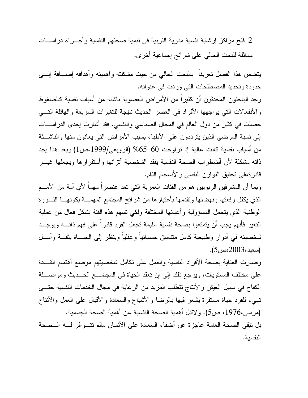-2فتح مراكز إرشاية نفسية مدرية التربية في تنمية صحتهم النفسية وأجـراء دراسـات مماثلة للبحث الحالي على شرائح إجماعية أخرى.

يتضمن هذا الفصل تعريفاً بالبحث الحالي من حيث مشكلته وأهميته وأهدافه إضـافة إلـى حدودة وتحديد المصطلحات التي وردت في عنوانه.

وجد الباحثون المحدثون أن كثيراً من الأمراض العضوية ناشئة من أسباب نفسية كالضغوط والأنفعالات التي يواجهها الأفراد في العصر الحديث نتيجة للتغيرات السريعة والهائلة التـي حصلت في كثير من دول العالم في المجال الصناعي والنفسي، فقد أشارت إحدى الدراسـات إلى نسبة المرضى الذين يترددون على الأطباء بسبب الأمراض التي يعانون منها والناشـئة من أسباب نفسية كانت عالية إذ تراوحت %65-60 (الزوبعي،1999/ص1) وبعد هذا يجد ذاته مشكلة لأن آضطراب الصحة النفسية يفقد الشخصية أتزانها وأستقرارها ويجعلها غيـر قادرةعلى تحقيق التوازن النفسي والأنسجام التام.

وبما أن المشرفين الربويين هم من الفئات العمرية التي تعد عنصراً مهماً لأي أمة من الأمـم الذي يكفل رفعتها ونهضتها وتقدمها بأعتبارها من شرائح المجتمع المهمـة بكونهـا الثـروة الوطنية الذي يتحمل المسؤولية وأعبائها المختلفة ولكي تسهم هذه الفئة بشكل فعال من عملية التغير فأنهم يجب أن يتمتعوا بصحة نفسية سليمة تجعل الفرد قادراً على فهم ذاتـه ويوجـد شخصيته في أدوار وطبيعية كامل متناسق جسمانياً وعقلياً وينظر إلى الحيـاة بثقـة وأمـل (سعيد،2003،ص5).

وصارت العناية بصحة الأفراد النفسية والعمل على تكامل شخصيتهم موضع أهتمام القـادة على مختلف المستويات، ويرجع ذلك إلى إن تعقد الحياة في المجتمـع الحـديث ومواصـلة الكفاح في سبيل العيش والأنتاج تتطلب المزيد من الرعاية في مجال الخدمات النفسية حتـى تهيء للفرد حياة مستقرة يشعر فيها بالرضا والأشباع والسعادة والأقبال على العمل والأنتاج (مرسي،1976، ص5). ولاتقل أهمية الصحة النفسية عن أهمية الصحة الجسمية. بل تبقى الصحة العامة عاجزة عن أضفاء السعادة على الأنسان مالم تتـوافر لـه الـصحة النفسية.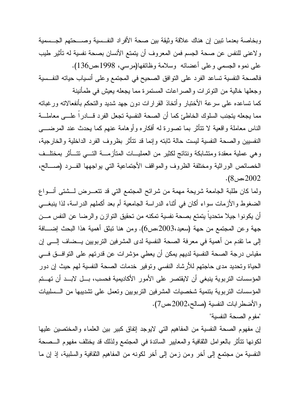وبخاصة بعدما تبين إن هناك علاقة وثيقة بين صحة الأفراد النفـسية وصـحتهم الجـسمية ولاعنى للنفس عن صحة الجسم فمن المعروف أن يتمتع الأنسان بصحة نفسية له تأثير طيب على نموه الجسمي وعلى أعضائه وسلامة وظائفها(مرسي، ،1998ص136). فالصحة النفسية تساعد الفرد على التوافق الصحيح في المجتمع وعلى أنسياب حياته النفـسية وجعلها خالية من التوترات والصراعات المستمرة مما يجعله يعيش في طمأنينة كما تساعده على سرعة الأختبار وأتخاذ القرارات دون جهد شديد والتحكم بأنفعالاته ورغباته مما يجعله يتجنب السلوك الخاطئ كما أن الصحة النفسية تجعل الفرد قـادراً علـى معاملـة

الناس معاملة واقعية لا تتأثر بما تصورة له أفكاره وأوهامة عنهم كما يحدث عند المرضـى النفسيين والصحة النفسية ليست حالة ثابته وإنما قد تتأثر بظروف الفرد الداخلية والخارجية، وهي عملية معقدة ومتشابكة ونتائج لكثير من العمليـات المتأزمـة التـي تتـأثر بمختلـف الخصائص الوراثية ومختلفة الظروف والمواقف الأجتماعية التي يواجهها الفـرد (صـالح، ،2002ص8).

ولما كان طلبة الجامعة شريحة مهمة من شرائح المجتمع التي قد تتعـرض لـشتى أنـواع الضغوط والأزمات سواء أكان في أثناء الدراسة الجامعية أم بعد أكملهم الدراسة، لذا ينبغـي أن يكونوا جيلا متحدياً يتمتع بصحة نفسية تمكنه من تحقيق التوازن والرضا عن النفس مـن جهة وعن المجتمع من حهة (سعيد،2003،ص6). ومن هنا تبثق أهمية هذا البحث إضـافة إلى ما تقدم من أهمية في معرفة الصحة النفسية لدى المشرفين التربويين يـضاف إلـى إن مقياس درجة الصحة النفسية لديهم يمكن أن يعطي مؤشرات عن قدرتهم على التوافـق فـي الحياة وتحديد مدى حاجتهم للأرشاد النفسي وتوفير خدمات الصحة النفسية لهم حيث إن دور المؤسسات التربوية ينبغي أن لايقتصر على الأمور الأكاديمية فحسب، بـل لابـد أن تهـتم المؤسسات التربوية بتنمية شخصيات المشرفين التربويين وتعمل على تشديبها من الـسلبيات والأضطرابات النفسية (صالح،2002،ص7). "مفوم الصحة النفسية"

إن مفهوم الصحة النفسية من المفاهيم التي لايوجد إتفاق كبير بين العلماء والمختصين عليها لكونها تتأثر بالعوامل الثقافية والمعايير السائدة في المجتمع ولذلك قد يختلف مفهوم الـصحة النفسية من مجتمع إلى أخر ومن زمن إلى أخر لكونه من المفاهيم الثقافية والسلبية، إذ إن ما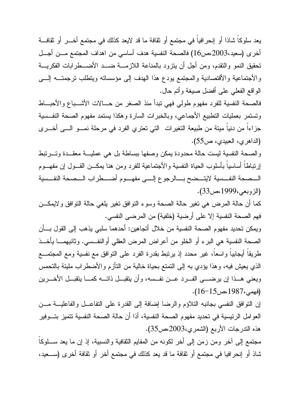يعد سلوكاً شاذا أو إنحرافياً في مجتمع أو ثقافة ما قد لايعد كذلك في مجتمع أخـر أو ثقافـة أخرى (سعيد،2003،ص16) فالصحة النفسية هدف أساسي من اهداف المجتمع مـن أجـل تحقيق النمو والتقدم، ومن أجل أن يتزود بالمناعة اللازمـة ضـد الأضـطرابات الفكريـة والأجتماعية والأقتصادية والمجتمع يودع هذا الهدف إلى مؤسساته ويتطلب ترجمتـه إلـى الواقع الفعلي على أفضل صيغة وأتم حال.

فالصحة النفسية للفرد مفهوم طولي فهي تبدأ منذ الصغر من حـالات الأشـباع والأحبـاط وتستمر بعمليات التطبيع الأجماعي، وبالخبرات السارة وهكذا يستمد مفهوم الصحة النفـسية جزاءاً من دنياً ميتة من طبيعة التغيرات التي تعتري الفرد في مرحلة نمـو الـى أخـرى (الداهري، العبيدي، ص55).

والصحة النفسية ليست حالة محدودة يمكن وصفها ببساطة بل هي عمليـة معقـدة وتـرتبط إرتباطاً أساسياً بأسلوب الحياة النفسية والأجتماعية للفرد ومن هنا يمكـن القـول إن مفهـوم الــصحة النفــسية لايتــضح بــالرجوع إلــى مفهــوم أضــطراب الــصحة النفــسية (الزوبعي،1999،ص33).

كما أن حالة المرض هي تغير حالة الصحة وسوء التوافق تغير يلغي حالة التوافق ولايمكـن فهم الصحة النفسية إلا على أرضية (خلفية) من المرضى النفسي.

ويمكن تحديد مفهوم الصحة النفسية من خلال أتجاهين: أحدهما سلبي يذهب إلى القول بـأن الصحة النفسية هي البرء أو الخلو من أعراض المرض العقلي أوالنفـسي. وثانيهمـا يأخـذ طريقاً أيجابياً واسعاً، غير محدد إذ يرتبط بقدرة الفرد على التوافق مع نفسية ومع المجتمـع الذي يعيش فيه، وهذا يؤدي به إلى التمتع بحياة خالية من التأزم والأضطراب مليئة بالتحمس ويعني هـذا إن يرضـى الفـرد عـن نفـسه، وأن يتقبـل ذاتـه كمـا يتقبـل الأخـرين (فهمي،1987،ص16-15).

إن التوافق النفسي بجانبه التلاؤم والرضا إضافة إلى القدرة على التفاعـل والفاعليـة مـن العوامل الرئيسية في تحديد مفهوم الصحة النفسية، أذا أن حالة الصحة النفسية تتميز بتـوفير هذه التدرجات الأربع (الشمري،2003،ص35).

مجتمع إلى آخر ومن زمن إلى أخر لكونه من المفايم الثقافية والنسبية، إذ إن ما يعد سـلوكاً شاذ أو إنحرافيا في مجتمع أو ثقافة ما قد يعد كذلك في مجتمع أخر أو ثقافة أخرى (سـعيد،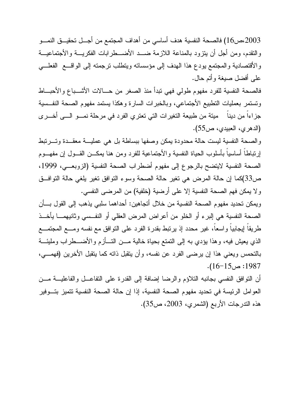،2003ص16) فالصحة النفسية هدف أساسي من أهداف المجتمع من أجـل تحقيـق النمـو والتقدم، ومن أجل أن يتزود بالمناعة اللازمة ضـد الأضـطرابات الفكريـة والأجتماعيـة والأقتصادية والمجتمع يودع هذا الهدف إلى مؤسساته ويتطلب ترجمته إلى الواقـع الفعلـي على أفضل صيغة وأتم حال.

فالصحة النفسية للفرد مفهوم طولي فهي تبدأ منذ الصغر من حـالات الأشـباع والأحبـاط وتستمر بعمليات التطبيع الأجتماعي، وبالخبرات السارة وهكذا يستمد مفهوم الصحة النفـسية جزاءاً من ديناً ميتة من طبيعة التغيرات التي تعتري الفرد في مرحلة نمـو الـى أخـرى (الدهري، العبيدي، ص55).

والصحة النفسية ليست حالة محدودة يمكن وصفها ببساطة بل هي عمليـة معقـدة وتـرتبط إرتباطاً أساسياً بأسلوب الحياة النفسية والأجتماعية للفرد ومن هنا يمكـن القـول إن مفهـوم الصحة النفسية لايتضح بالرجوع إلى مفهوم أضطراب الصحة النفسية (الزوبعـي، ،1999 ص33)كما إن حالة المرض هي تغير حالة الصحة وسوء التوافق تغير يلغي حالة التوافـق ولا يمكن فهم الصحة النفسية إلا على أرضية (خلفية) من المرضى النفسي.

ويمكن تحديد مفهوم الصحة النفسية من خلال أتجاهين: أحداهما سلبي يذهب إلى القول بـأن الصحة النفسية هي إلبرء أو الخلو من أعراض المرض العقلي أو النفـسي وثانيهمـا يأخـذ طريقاً إيجابياً واسعاً، غير محدد إذ يرتبط بقدرة الفرد على التوافق مع نفسه ومـــع المجتمـــع الذي يعيش فيه، وهذا يؤدي به إلى التمتع بحياة خالية مـن التـأزم والأضـطراب ومليئـة بالتحمس ويعني هذا إن يرضى الفرد عن نفسه، وأن يتقبل ذاته كما يتقبل الأخرين (فهمـي،  $.16-15$ ص 15 $.1987$ 

أن التوافق النفسي بجانبه التلاؤم والرضا إضافة إلى القدرة على التفاعـل والفاعليـة مـن العوامل الرئيسة في تحديد مفهوم الصحة النفسية، إذا إن حالة الصحة النفسية تتميز بتـوفير هذه التدرجات الأربع (الشمري، ،2003 ص35).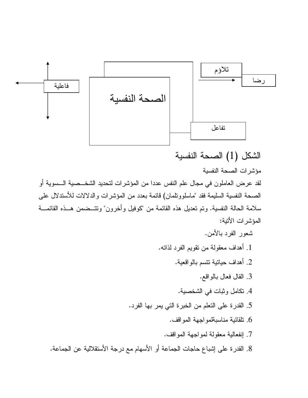

- الشكل (1) الصحة النفسية مؤشرات الصحة النفسية لقد عرض العاملون في مجال علم النفس عددا من المؤشرات لتحديد الشخـصية الـسوية أو الصحة النفسية السليمة فقد "ماسلووتلمان) قائمة بعدد من المؤشرات والدلالات للأستدلال على سلامة الحالة النفسية. وتم تعديل هذه القائمة من "كوفيل وأخرون" وتتـضمن هـذه القائمـة المؤشرات الأتية:
	- شعور الفرد بالأمن.
	- .1 أهداف معقولة من تقويم الفرد لذاته.
		- . أهداف حياتية تتسم بالو اقعية.
			- .3 القال فعال بالواقع.
			- .4 تكامل وثبات في الشخصية.
	- .5 القدرة على التعلم من الخبرة التي يمر بها الفرد.
		- .6 تلقائية مناسبةلمواجهة المواقف.
		- .7 إنفعالية معقولة لمواجهة المواقف.
	- .8 القدرة على إشباع حاجات الجماعة أو الأسهام مع درجة الأستقلالية عن الجماعة.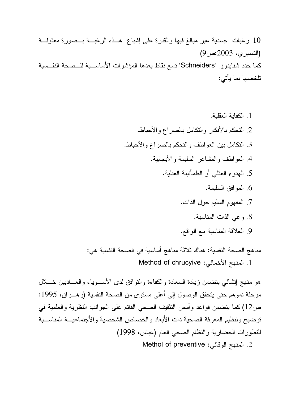رغبات جسدية غير مبالغ فيها والقدرة على إشباع ۖهـذه الرغبـــة بــصورة معقولـــة $10$  $(9)$ الشميري، 2003:ص $(9)$ كما حدد شنايدرز "Schneiders "تسع نقاط يعدها المؤشرات الأساسـية للـصحة النفـسية تلخصها بما يأتي:

> .1 الكفاية العقلية. .2 التحكم بالأفكار والتكامل بالصراع والأحباط. .3 التكامل بين العواطف والتحكم بالصراع والأحباط. .4 العواطف والمشاعر السليمة والأيجابية. .5 الهدوء العقلي أو الطمأنينة العقلية. .6 الموافق السليمة. .7 المفهوم السليم حول الذات. .8 وعي الذات المناسبة. .9 العلاقة المناسبة مع الواقع. مناهج الصحة النفسية: هناك ثلاثة مناهج أساسية في الصحة النفسية هي:

Method of chrucyive : المنهج الأخمائي.

هو منهج إنشائي يتضمن زيادة السعادة والكفاءة والتوافق لدى الأسـوياء والعـاديين خـلال مرحلة نموهم حتى يتحقق الوصول إلى أعلى مستوى من الصحة النفسية (زهـران، :1995 ص12) كما يتضمن قواعد وأسس التثقيف الصحي القائم على الجوانب النظرية والعلمية في توضيح وتنظيم المعرفة الصحية ذات الأبعاد والخصاص الشخصية والأجتماعيـة المناسـبة للتطورات الحضارية والنظام الصحي العام (عباس، 1998)

Methol of preventive : المنهج الوقائي. $\,$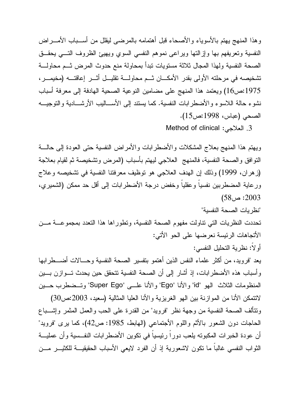وهذا المنهج يهتم بالأسوياء والأصحاء قبل أهتمامه بالمرضى ليقلل من أسـباب الأمـراض النفسية وتعريفهم بها وإزالتها ويراعى نموهم النفسي السوي ويهيئ الظروف التـي يحقـق الصحة النفسية ولهذا المجال ثلاثة مستويات تبدأ بمحاولة منع حدوث المرض ثـم محاولـة تشخيصه في مرحلته الأولى بقدر الأمكـان ثـم محاولـة تقليـل أثـر إعاقتـه (مخيمـر، :1975ص16) ويعتمد هذا المنهج على مضامين النوعية الصحية الهادفة إلى معرفة أسباب نشوء حالة اللاسوء والأضطرابات النفسية. كما يستند إلى الأسـاليب الأرشـادية والتوجيـه الصحي (عباس، :1998ص15).

Method of clinical : العلاجي .3

ويهتم هذا المنهج بعلاج المشكلات والأضطرابات والأمراض النفسية حتى العودة إلى حالـة التوافق والصحة النفسية، فالمنهج العلاجي ليهتم بأسباب (المرض وتشخيصة ثم لقيام بعلاجة (زهران، 1999) وذلك إن الهدف العلاجي هو توظيف معرفتنا النفسية في تشخيصه وعلاج ورعاية المضطربين نفسياً وعقلياً وخفض درجة الأضطرابات إلى أقل حد ممكن (الشميري،  $(58) \approx 2003$ 

"نظريات الصحة النفسية"

تحددت النظريات التي تناولت مفهوم الصحة النفسية، وتطوراها هذا التعدد بمجموعـة مـن الأتجاهات الرئيسة نعرضها على الحو الأتي:

أولاً: نظرية التحليل النفسي:

يعد "فرويد، من أكثر علماء النفس الذين أهتمو بتفسير الصحة النفسية وحـالات أضـطرابها وأسباب هذه الأضطرابات، إذ أشار إلى أن الصحة النفسية تتحقق حين يحدث تـوازن بـين المنظومات الثلاث الهو "id "والأنا "Ego "والأنا علـى "Ego Super "وتـضطرب حـين

لاتتمكن الأنا من الموازنة بين الهو الغريزية والأنا العليا المثالية (سعيد، :2003ص30) وتتألف الصحة النفسية من وجهة نظر "فرويد" من القدرة على الحب والعمل المثمر وإشـباع الحاجات دون الشعور بالأثم واللوم الأجتماعي (الهابط، :1985 ص42)، كما يرى "فرويد" أن عودة الخبرات المكبوته يلعب دوراً رئيسياً في تكوين الأضطرابات النفـسية وأن عمليـة الثواب النفسي غالباً ما تكون لاشعورية إذ أن الفرد لايعي الأسباب الحقيقيـة للكثيـر مـن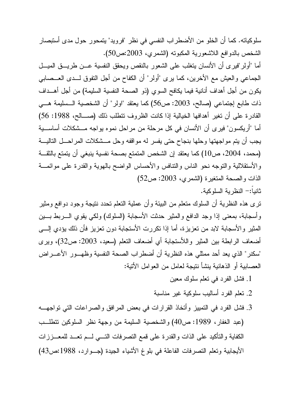سلوكياته. كما أن الخلو من الأضطراب النفسي في نظر "فرويد" يتمحور حول مدى أستبصار الشخص بالدوافع اللاشعورية المكبوته (الشمري، :2003ص50).

أما "أولر"فيرى أن الأنسان يتغلب على الشعور بالنقص ويحقق النفسية عـن طريـق الميـل الجماعي والعيش مع الأخرين، كما يرى "أولر" أن الكفاح من أجل التفوق لـدى العـصابي يكون من أجل أهداف أنانية فيما يكافح السوي (ذو الصحة النفسية السليمة) من أجل أهـداف ذات طابع إجتماعي (صالح، :2003 ص56) كما يعتقد "اولر" أن الشخصية الـسليمة هـي القادرة على أن تغير أهدافها الخيالية إذا كانت الظروف تتطلب ذلك (صـالح، :1988 56) أما "أريكسون" فيرى أن الأنسان في كل مرحلة من مراحل نموه يواجه مـشكلات أساسـية يجب أن يتم مواجهتها وحلها بنجاح حتى يفسر له مواقفه وحل مـشكلات المراحـل التاليـة (محمد، ،2004 ص10) كما يعتقد إن الشخص المتمتع بصحة نفسية ينبغي أن يتمتع بالثقـة والأستقلالية والتوجه نحو الناس والتنافس والأحساس الواضح بالهوية والقدرة على موائمـة الذات والصحة المتغيرة (الشمري، :2003 ص52) ثانياً-: النظرية السلوكية.

ترى هذه النظرية أن السلوك متعلم من البيئة وأن عملية التعلم تحدد نتيجة وجود دوافع ومثير وأسجابة، بمعنى إذا وجد الدافع والمثير حدثت الأسجابة (السلوك) ولكي يقوي الـربط بـين المثير والأسجابة لابد من تعزيزة، أما إذا تكررت الأستجابة دون تعزيز فأن ذلك يؤدي إلـى أضعاف الرابطة بين المثير واللأستجابة أي أضعاف التعلم (سعيد، :2003 ص32)، ويرى "سكنر" الذي يعد أحد ممثلي هذه النظرية أن أضطراب الصحة النفسية وظهـور الأعـراض العصابية أو الذهانية ينشأ نتيجة لعامل من العوامل الأتية:

- .1 فشل الفرد في تعلم سلوك معين
- . تعلم الفرد أساليب سلوكية غير مناسبة  $2$
- 3. فشل الفرد في التمييز وأتخاذ القرارات في بعض المرافق والصراعات التي تواجهــه (عبد الغفار، :1989 ص40) والشخصية السليمة من وجهة نظر السلوكين تتطلـب الكفاية والتأكيد على الذات والقدرة على قمع التصرفات التـي لـم تعـد للمعـززات الأيجابية وتعلم التصرفات الفاعلة في بلوغ الأشياء الجيدة (جـوارد، :1988ص43)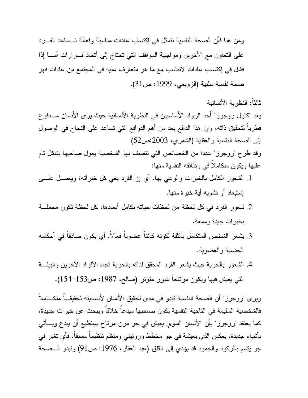ومن هنا فأن الصحة النفسية تتمثل في إكتساب عادات مناسبة وفعالة تـساعد الفـرد على التعاون مع الأخرين ومواجهة المواقف التي تحتاج إلى أتخاذ قـرارات أمـا إذا فشل في إكتساب عادات لاتناسب مع ما هو متعارف عليه في المجتمع من عادات فهو صحة نفسية سلبية (الزوبعي، 1999: ص31).

ثالثاً: النظرية الأنسانية

يعد "كارل روجرز" أحد الرواد الأساسيين في النظرية الأنسانية حيث يرى الأنسان مـدفوع فطرياً لتحقيق ذاته، وإن هذا الدافع يعد من أهم الدوافع التي تساعد على النجاح في الوصول إلى الصحة النفسية والعقلية (الشمري، :2003ص52)

وقد طرح "روجرز" عددا من الخصائص التي تتصف بها الشخصية يعول صاحبها بشكل تام عليها ويكون متكاملاً في وظائفه النفسية منها:

- .1 الشعور الكامل بالخبرات والوعي بها. أي إن الفرد يعي كل خبراته، ويعمـل علـى إستبعاد أو تشويه أية خبرة منها.
- .2 شعور الفرد في كل لحظة من لحظات حياته بكامل أبعادها، كل لحظة تكون محملـة بخبرات جيدة وممعة.
- .3 يشعر الشخص المتكامل بالثقة لكونه كائناً عضوياً فعالاً. أي يكون صادقاً في أحكامه الحدسية والعضوية.
- .4 الشعور بالحرية حيث يشعر الفرد المحقق لذاته بالحرية تجاه الأفراد الأخرين والبيئـة التي يعيش فيها ويكون مرتاحاً غيرر متوتر (صالح، :1987 ص154-153).

ويرى "روجرز" أن الصحة النفسية تبدو في مدى تحقيق الأنسان لأنسانيته تحقيقـاً متكـاملاً فالشخصية السليمة في الناحية النفسية يكون صاحبها مبدعاً خلاقاً ويبحث عن خبرات جديدة، كما يعتقد "روجرز" بأن الأنسان السوي يعيش في جو مرن مرتاح يستطيع أن يبدع ويـأتي بأشياء جديدة، يعكس الذي يعيشة في جو مخطط وروتيني ومنظم تنظيماً مسبقاً. فأي تغير في جو يتسم بالركود والجمود قد يؤدي إلى القلق (عبد الغفار، :1976 ص91) وتبدو الـصحة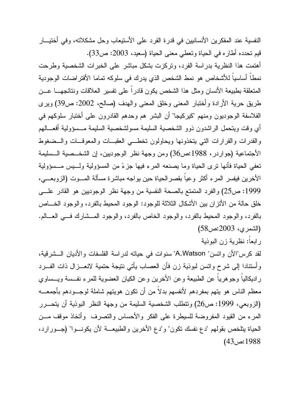النفسية عند المفكرين الأنسانيين في قدرة الفرد على الأستيعاب وحل مشكلاته، وفي أختيـار قيم تحدده أطاره في الحياة وتعطي معنى الحياة (سعيد، :2003 ص33). أهتمت هذا النظرية بدراسة الفرد، وتركزت بشكل مباشر على الخبرات الشخصية وطرحت نمطاً أساسياً للأشخاص هو نمط الشخص الذي يدرك في سلوكه تماما الأفتراضات الوجودية المتعلقة بطبيعة الأنسان ومثل هذا الشخص يكون قادراً على تفسير العلاقات ونتائجهـا عـن طريق حرية الأرادة وأختبار المعنى وخلق المعنى والهدف (صالح، :2002 ص39) ويرى الفلاسفة الوجوديون ومنهم "كيركيجا" أن البشر هم وحدهم القادرون على أختبار سلوكهم في أي وقت ويتحمل الراشدون ذوو الشخصية السليمة مسولشخصية السليمة مـسؤولية أفعـالهم والقدرات والقرارات التي يتخذونها ويحاولون تخطـي العقبـات والمعوقـات والـضغوط الأجتماعية (جواردر، :1988ص36) ومن وجهة نظر الوجوديين، إن الشخـصية الـسليمة تعفي الحياة فأنها ترى الحياة وما يصنعه المرء فيها جزء من المسؤولية ولـيس مـسؤولية الأخرين فيفسر المرء أكثر وعياً بقصرالحياة حين يواجه مباشرة مسألة المـوت (الزوبعـي، :1999 ص25) والفرد المتمتع بالصحة النفسية من وجهة نظر الوجوديين هو القادر علـى خلق حالة من الأتزان بين الأشكال الثلاثة للوجود: الوجود المحيط بالفرد، والوجود الخـاص بالفرد، والوجود المحيط بالفرد، والوجود الخاص بالفرد، والوجود المـشارك فـي العـالم. (الشمري، :2003ص58)

رابعاً: نظرية زن البوذية

لقد كرس"الأن واتسن" Watson.A "سنوات في حياته لدراسة الفلسفات والأديان الـشرقية، وأستنادا إلى شرح واتسن لبوذية زن فأن العصاب يأتي نتيجة حتمية لانعـزال ذات الفـرد راديكالياً وجوهرياً عن الطبيعة وعن الأخرين وعن الكيان العضوية للمرء نفـسة ويـساوي معظم الناس هو يتهم بمفردهم لأنفسهم بدلاً من أن تكون هويتهم شاملة لوجـودهم بأجمعـه (الزوبعي، :1999 ص26) وتتطلب الشخصية السليمة من وجهة النظر البوذية أن يتحـرر المرء من القيود المفروضة للسيطرة على الفكر والأحساس والتصرف وأتخاذ موقف مـن الحياة يتلخص بقولهم "دع نفسك تكون" و"دع الأخرين والطبيعـة لأن يكونـوا" (جـورارد، :1988ص43)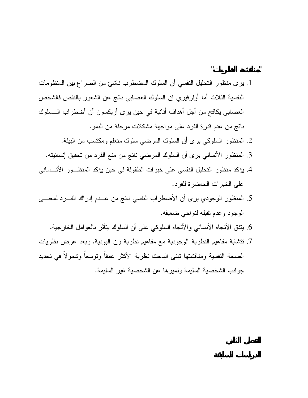- .1 يرى منظور التحليل النفسي أن السلوك المضطرب ناشئ من الصراع بين المنظومات النفسية الثلاث أما أولرفيري إن السلوك العصابي ناتج عن الشعور بالنقص فالشخص العصابي يكافح من أجل أهداف أنانية في حين يرى أريكسون أن أضطراب الـسلوك ناتج من عدم قدرة الفرد على مواجهة مشكلات مرحلة من النمو.
	- .2 المنظور السلوكي يرى أن السلوك المرضي سلوك متعلم ومكتسب من البيئة.

**"مناقشة النظريات"**

- .3 المنظور الأنساني يرى أن السلوك المرضي ناتج من منع الفرد من تحقيق إنسانيته.
- .4 يؤكد منظور التحليل النفسي على خبرات الطفولة في حين يؤكد المنظـور الأنـساني على الخبرات الحاضرة للفرد.
- .5 المنظور الوجودي يرى أن الأضطراب النفسي ناتج من عـدم إدراك الفـرد لمعنـى الوجود وعدم تقبله لنواحي ضعيفه.
	- .6 يتفق الأتجاه الأنساني والأتجاه السلوكي على أن السلوك يتأثر بالعوامل الخارجية.
- .7 تتشابة مفاهيم النظرية الوجودية مع مفاهيم نظرية زن البوذية. وبعد عرض نظريات الصحة النفسية ومناقشتها تبنى الباحث نظرية الأكثر عمقاً وتوسعاً وشمولاً في تحديد جوانب الشخصية السليمة وتميزها عن الشخصية غير السليمة.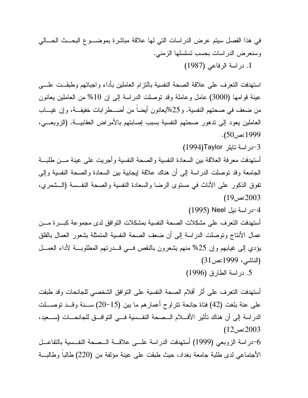في هذا الفصل سيتم عرض الدراسات التي لها علاقة مباشرة بموضـوع البحـث الحـالي وسنعرض الدراسات بحسب تسلسلها الزمني.

.1 دراسة الرفاعي (1987)

استهدفت التعرف على علاقة الصحة النفسية بالتزام العاملين بأداء واجباتهم وطبقـت علـى عينة قوامها (3000) عامل وعاملة وقد توصلت الدراسة إلى إن %10 من العاملين يعانون من ضعف في صحتهم النفسية. و%25يعانون أيضاً من أضـطرابات خفيفـة، وإن غيـاب العاملين يعود إلى تدهور صحتهم النفسية بسبب إصابتهم بالأمراض العقابيـة. (الزوبعـي،  $.1999$ :ص $1999$ 

-3دراسة تايلر Taylor)1994(

أستهدفت معرفة العلاقة بين السعادة النفسية والصحة النفسية وأجريت على عينة مـن طلبـة الجامعة وقد توصلت الدراسة إلى أن هناك علاقة إيجابية بين السعادة والصحة النفسية وإلى تفوق الذكور على الأناث في مستوى الرضا والسعادة النفسية والصحة النفـسة (الـشمري،  $(19)$ :ص $(2003)$ 

-4دراسة نيل Neel) 1995( أستهدفت التعرف على مشكلات الصحة النفسية بمشكلات التوافق لدى مجموعة كبـرة مـن عمال الأنتاج وتوصلت الدراسة إلى أن ضعف الصحة النفسية المتمثلة بشعور العمال بالقلق يؤدي إلى غيابهم وإن %25 منهم يشعرون بالنقص فـي قـدرتهم المطلوبـة لأداء العمـل (الناشي، :1999ص31)

.5 دراسة الطارق (1996)

أستهدفت التعرف على أثر أفلام الصحة النفسية على التوافق الشخصي للجانحات وقد طبقت على عنة بلغت (42) فتاة جانحة تتراوح أعمارهم ما بين (20-15) سـنة وقـد توصـلت الدراسة إلى أن هناك تأثير الأفـلام الـصحة النفـسية فـي التوافـق للجانحـات (سـعيد،  $(12)$ :ص $2003$ 

-6دراسة الزوبعي (1999) أستهدفت الدراسة علـى علاقـة الـصحة النفـسية بالتفاعـل الأجتماعي لدى طلبة جامعة بغداد، حيث طبقت على عينة مؤلفة من (220) طالباً وطالبـة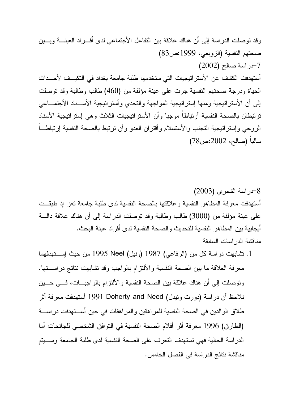وقد توصلت الدراسة إلى أن هناك علاقة بين التفاعل الأجتماعي لدى أفـراد العينـة وبـين صحتهم النفسية (الزوبعي، 1999:ص83) -7دراسة صالح (2002) أستهدفت الكشف عن الأستراتيجيات التي ستخدمها طلبة جامعة بغداد في التكيـف لأحـداث الحياة ودرجة صحتهم النفسية جرت على عينة مؤلفة من (460) طالب وطالبة وقد توصلت إلى أن الأستراتيجية ومنها إستراتيجية المواجهة والتحدي وأستراتيجية الأسـناد الأجتمـاعي ترتبطان بالصحة النفسية أرتباطاً موجبا وأن الأستراتيجيات الثلاث وهي إستراتيجية الأسناد الروحي وإستراتيجية التجنب والأستسلام وأقتران العدو وأن ترتبط بالصحة النفسية إرتباطـاً سالباً (صالح، :2002ص78)

-8دراسة الشمري (2003) أستهدفت معرفة المظاهر النفسية وعلاقتها بالصحة النفسية لدى طلبة جامعة تعز إذ طبقـت على عينة مؤلفة من (3000) طالب وطالبة وقد توصلت الدراسة إلى أن هناك علاقة دالـة أيجابية بين المظاهر النفسية للتحديث والصحة النفسية لدى أفراد عينة البحث. مناقشة الدراسات السابقة

.1 تشابهت دراسة كل من (الرفاعي) 1987 (ونيل) Neel 1995 من حيث إسـتهدفهما معرفة العلاقة ما بين الصحة النفسية والألتزام بالواجب وقد تشابهت نتائج دراسـتها. وتوصلت إلى أن هناك علاقة بين الصحة النفسية والألتزام بالواجبـات، فـي حـين نلاحظ أن دراسة (دورت ونيدل) Need and Doherty 1991 أستهدفت معرفة أثر طلاق الوالدين في الصحة النفسية للمراهقين والمراهقات في حين أسـتهدفت دراسـة (الطارق) 1996 معرفة أثر أفلام الصحة النفسية في التوافق الشخصي للجانحات أما الدراسة الحالية فهي تستهدف التعرف على الصحة النفسية لدى طلبة الجامعة وسـيتم مناقشة نتائج الدراسة في الفصل الخامس.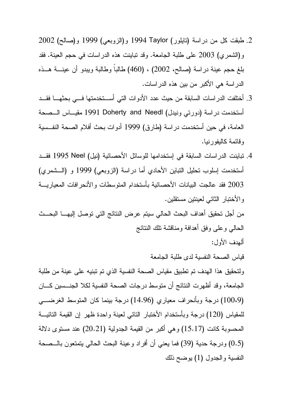- .2 طبقت كل من دراسة (تايلور) Taylor 1994 و(الزوبعي) 1999 و(صالح) 2002 و(الشمري) 2003 على طلبة الجامعة. وقد تباينت هذه الدراسات في حجم العينة. فقد بلغ حجم عينة دراسة (صالح، 2002) ، (460) طالباً وطالبة ويبدو أن عينـة هـذه الدراسة هي الأكبر من بين هذه الدراسات.
- .3 أختلفت الدراسات السابقة من حيث عدد الأدوات التي أسـتخدمتها فـي بحثهـا فقـد أستخدمت دراسة (دورتي ونيدل) Needl and Doherty 1991 مقيـاس الـصحة العامة، في حين أستخدمت دراسة (طارق) 1999 أدوات بحث أفلام الصحة النفـسية وقائمة كاليفورنيا.
- .4 تباينت الدراسات السابقة في إستخدامها للوسائل الأحصائية (نيل) Neel 1995 فقـد أستخدمت إسلوب تحليل التباين الأحادي أما دراسة (الزوبعي) 1999 و (الـشمري) 2003 فقد عالجت البيانات الأحصائية بأستخدام المتوسطات والأنحرافات المعياريـة والأختبار الثائي لعينتين مستقلين. من أجل تحقيق أهداف البحث الحالي سيتم عرض النتائج التي توصل إليهـا البحـث الحالي وعلى وفق أهدافة ومناقشة تلك النتائج ألهدف الأول:

قياس الصحة النفسية لدى طلبة الجامعة ولتحقيق هذا الهدف تم تطبيق مقياس الصحة النفسية الذي تم تبنيه على عينة من طلبة الجامعة، وقد أظهرت النتائج أن متوسط درجات الصحة النفسية لكلا الجنـسين كـان (100،9) درجة وبأنحراف معياري (14.96) درجة بينما كان المتوسط الغرضـي للمقياس (120) درجة وبأستخدام الأختبار التائي لعينة واحدة ظهر إن القيمة التائيـة المحسوبة كانت (15.17) وهي أكبر من القيمة الجدولية (20.21) عند مستوى دلالة (0.5) ودرجة حدية (39) فما يعني أن أفراد وعينة البحث الحالي يتمتعون بالـصحة النفسية والجدول (1) يوضح ذلك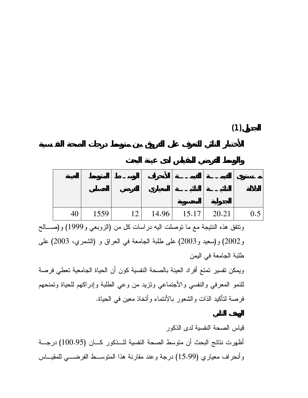| (1) |  |  |
|-----|--|--|
|     |  |  |

| 40 | 1559 | 12 <sup>1</sup> | $14.96$   15.17   20.21 | 0.5 |
|----|------|-----------------|-------------------------|-----|

وتتفق هذه النتيجة مع ما توصلت اليه دراسات كل من (الزوبعي و1999) و(صـالح و2002) و(سعيد و2003) على طلبة الجامعة في العراق و (الشمري، 2003) على طلبة الجامعة في اليمن ويمكن تفسير تمتع أفراد العينة بالصحة النفسية كون أن الحياة الجامعية تعطي فرصة للنمو المعرفي والنفسي والأجتماعي وتزيد من وعي الطلبة وإدراكهم للحياة وتمنحهم فرصة لتأكيد الذات والشعور بالأنتماء وأتخاذ معين في الحياة.

قياس الصحة النفسية لدى الذكور أظهرت نتائج البحث أن متوسط الصحة النفسية للـذكور كـان (100.95) درجـة وأنحراف معياري (15.99) درجة وعند مقارنة هذا المتوسـط الفرضـي للمقيـاس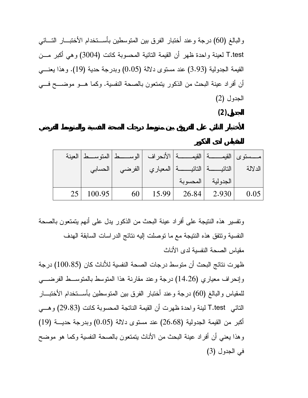والبالغ (60) درجة وعند أختبار الفرق بين المتوسطين بأسـتخدام الأختبـار التـائي test.T لعينة واحدة ظهر أن القيمة التائية المحسوبة كانت (3004) وهي أكبر مـن القيمة الجدولية (3.93) عند مستوى دلالة (0.05) وبدرجة حدية (19). وهذا يعنـي أن أفراد عينة البحث من الذكور يتمتعون بالصحة النفسية. وكما هـو موضـح فـي الجدول (2) **الجدول(2)**

|  | مـــستوى  القيمــــــــــة  القيمــــــــــة  الأنحراف  الوســــــط  المتوســـط  العينة |                 |                          |  |
|--|-----------------------------------------------------------------------------------------|-----------------|--------------------------|--|
|  |                                                                                         |                 |                          |  |
|  |                                                                                         |                 | الجدولية المحسوبة ا      |  |
|  | $25 \mid 100.95$                                                                        | 60 <sup>1</sup> | $15.99$ 26.84 2.930 0.05 |  |

وتفسير هذه النتيجة على أفراد عينة البحث من الذكور يدل على أنهم يتمتعون بالصحة النفسية وتتفق هذه النتيجة مع ما توصلت إليه نتائج الدراسات السابقة الهدف مقياس الصحة النفسية لدى الأناث ظهرت نتائج البحث أن متوسط درجات الصحة النفسية للأناث كان (100.85) درجة وإنحراف معياري (14.26) درجة وعند مقارنة هذا المتوسط بالمتوسـط الفرضـي للمقياس والبالغ (60) درجة وعند أختبار الفرق بين المتوسطين بأسـتخدام الأختبـار التائي test.T لينة واحدة ظهرت أن القيمة الناتجة المحسوبة كانت (29.83) وهـي أكبر من القيمة الجدولية (26.68) عند مستوى دلالة (0.05) وبدرجة حديـة (19) وهذا يعني أن أفراد عينة البحث من الأناث يتمتعون بالصحة النفسية وكما هو موضح في الجدول (3)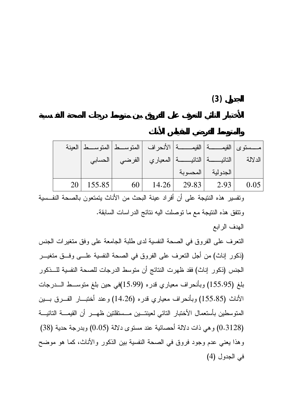|  |               |    |       | الجدولية المحسوبة ا |      |      |
|--|---------------|----|-------|---------------------|------|------|
|  | $20$   155.85 | 60 | 14.26 | 29.83               | 2.93 | 0.05 |

| وتفسير هذه النتيجة على أن أفراد عينة البحث من الأناث يتمتعون بالصحة النفسية |  |
|-----------------------------------------------------------------------------|--|
| ونتفق هذه النتيجة مع ما نوصلت اليه نتائج الدراسات السابقة.                  |  |

الهدف الرابع

التعرف على الفروق في الصحة النفسية لدى طلبة الجامعة على وفق متغيرات الجنس (ذكور إناث) من أجل التعرف على الفروق في الصحة النفسية علـى وفـق متغيـر الجنس (ذكور إناث) فقد ظهرت النتائج أن متوسط الدرجات للصحة النفسية للـذكور بلغ (155.95) وبأنحراف معياري قدره (15.99)في حين بلغ متوسـط الـدرجات الأناث (155.85) وبأنحراف معياري قدره (14.26) وعند أختبـار الفـرق بـين المتوسطين بأستعمال الأختبار التائي لعينتـين مـستقلتين ظهـر أن القيمـة التائيـة (0.3128) وهي ذات دلالة أحصائية عند مستوى دلالة (0.05) وبدرجة حدية (38) وهذا يعني عدم وجود فروق في الصحة النفسية بين الذكور والأناث، كما هو موضح في الجدول (4)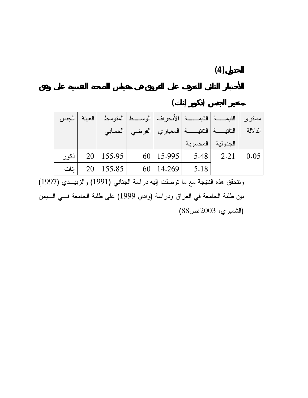| (4) |  |
|-----|--|
|-----|--|

| الجنس | العينة |         |    |        |          |          | مستوى   |
|-------|--------|---------|----|--------|----------|----------|---------|
|       |        | الحسابى |    |        |          |          | الدلالة |
|       |        |         |    |        | المحسوبة | الجدولية |         |
| ذكور  | 20     | 155.95  | 60 | 15.995 | 5.48     | 2.21     | 0.05    |
| إناث  |        | 155.85  | 60 | 14.269 | 5.18     |          |         |

وتتحقق هذه النتيجة مع ما توصلت إليه دراسة الجناني (1991) والزبيـدي (1997) بين طلبة الجامعة في العراق ودراسة (وادي 1999) على طلبة الجامعة فـي الـيمن (الشميري، :2003ص88)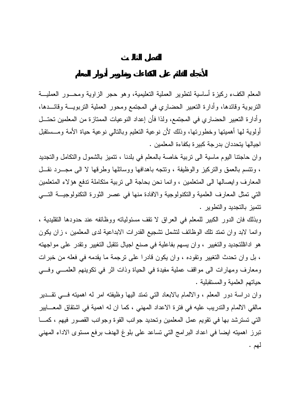المعلم الكفء ركيزة أساسية لتطوير العملية التعليمية، وهو حجر الزاوية ومحـور العمليـة التربوية وقائدها، وأدارة التعبير الحضاري في المجتمع ومحور العملية التربويـة وقائـدها، وأدارة التعبير الحضاري في المجتمع، ولذا فأن إعداد النوعيات الممتازة من المعلمين تحتـل أولوية لها أهميتها وخطورتها، وذلك لأن نوعية التعليم وبالتالي نوعية حياة الأمة ومـستقبل اجيالها يتحددان بدرجة كبيرة بكفاءة المعلمين .

وان حاجتنا اليوم ماسية الى تربية خاصة بالمعلم في بلدنا ، تتميز بالشمول والتكامل والتجديد ، وتتسم بالعمق والتركيز والوظيفة ، وتتجه باهدافها ووسائلها وطرقها لا الى مجـرد نقـل المعارف وايصالها الى المتعلمين ، وانما نحن بحاجة الى تربية متكاملة تدفع هؤلاء المتعلمين التي تمثل المعارف العلمية والتكنولوجية والافادة منها في عصر الثورة التكنولوجيـة التـي تتميز بالتجديد والتطوير .

وبذلك فان الدور الكبير للمعلم في العراق لا تقف مسئولياته ووظائفه عند حدودها التقليدية ، وانما لابد وان تمتد تلك الوظائف لتشمل تشجيع القدرات الابداعية لدى المعلمين ، زان يكون هو اداةللتجديد والتغيير ، وان يسهم بفاعلية في صنع اجيال تتقبل التغيير وتقدر على مواجهته ، بل وان تحدث التغيير وتقوده ، وان يكون قادرا على ترجمة ما يقدمه في فعله من خبرات ومعارف ومهارات الى مواقف عملية مفيدة في الحياة وذات اثر في تكوينهم العلمـي وفـي حياتهم العلمية والمستقبلية .

وان دراسة دور المعلم ، والالمام بالابعاد التي تمتد اليها وظيفته امر له اهميته فـي تقـدير مالقي الالمام والتدريب عليه في فترة الاعداد المهني ، كما ان له اهمية في اشتقاق المعـايير التي تسترشد بها في تقويم عمل المعلمين وتحديد جوانب القوة وجوانب القصور فيهم ، كمـا تبرز اهميته ايضا في اعداد البرامج التي تساعد على بلوغ الهدف برفع مستوى الاداء المهني لهم .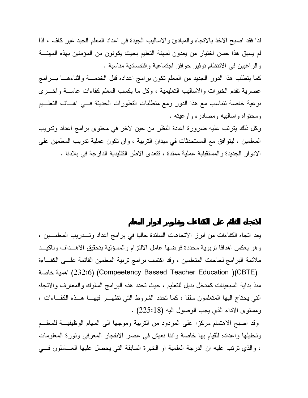لذا فقد اصبح الاخذ بالاتجاه والمبادئ والاساليب الجيدة في اعداد المعلم الجيد غير كاف ، اذا لم يسبق هذا حسن اختيار من يعدون لمهنة التعليم بحيث يكونون من المؤمنين بهذه المهنـة والراغبين في الانتظام توفير حوافز اجتماعية واقتصادية مناسبة . كما يتطلب هذا الدور الجديد من المعلم تكون برامج اعداده قبل الخدمـة واثناءهـا بـرامج عصرية تقدم الخبرات والاساليب التعليمية ، وكل ما يكسب المعلم كفاءات عامـة واخـرى نوعية خاصة تتناسب مع هذا الدور ومع متطلبات التطورات الحديثة فـي اهـاف التعلـيم ومحتواه واساليبه ومصادره واوعيته . وكل ذلك يترتب عليه ضرورة اعادة النظر من حين لاخر في محتوى برامج اعداد وتدريب

المعلمين ، ليتوافق مع المستحدثات في ميدان التربية ، وان تكون عملية تدريب المعلمين على الادوار الجديدة والمستقبلية عملية ممتدة ، تتعدى الاطر التقليدية الدارجة في بلادنا .

يعد اتجاه الكفاءات من ابرز الاتجاهات السائدة حاليا في برامج اعداد وتـدريب المعلمـين ، وهو يعكس اهدافا تربوية محددة فرضها عامل الالتزام والمسؤلية بتحقيق الاهـداف وتاكيـد ملائمة البرامج لحاجات المتعلمين ، وقد اكتسب برامج تربية المعلمين القائمة علـى الكفـاءة خاصة اهمية) 232:6) (Compeetency Bassed Teacher Education )(CBTE) منذ بداية السبعينات كمدخل بديل للتعليم ، حيث تحدد هذه البرامج السلوك والمعارف والاتجاه التي يحتاج اليها المتعلمون سلفا ، كما تحدد الشروط التي تظهـر فيهـا هـذه الكفـاءات ، ومستوى الاداء الذي يجب الوصول اليه (225:18) .

وقد اصبح الاهتمام مركزا على المردود من التربية وموجها الى المهام الوظيفيـة للمعلـم وتحليلها واعداده للقيام بها خاصة واننا نعيش في عصر الانفجار المعرفي وثورة المعلومات ، والذي ترتب عليه ان الدرجة العلمية او الخبرة السابقة التي يحصل عليها العـاملون فـي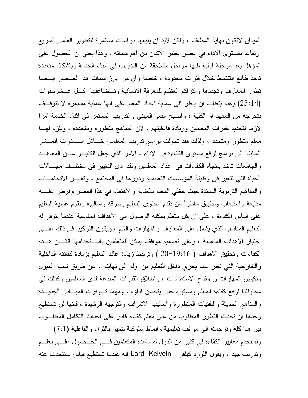الميدان لاتكون نهاية المطاف ، ولكن لابد ان يتبعها دراسات مستمرة للتطوير العلمي السريع ارتفاعا بمستوى الاداء في عصر يعتبر الاتقان من اهم سماته ، وهذا يعني ان الحصول على المؤهل بعد مرحلة اولية تليها مراحل متلاحقة من التدريب في اثناء الخدمة وباشكال متعددة تاخذ طابع التنشيط خلال فترات محدودة ، خاصة وان من ابرز سمات هذا العـصر ايـضا تطور المعارف وتجددها والتراكم العظيم للمعرفة الانسانية وتـضاعفها كـل عـشرسنوات (25:14) وهذا يتطلب ان ينظر الى عملية اعداد المعلم على انها عملية مستمرة لا تتوقـف بتخرجه من المعهد او الكلية ، واصبح النمو المهني والتدريب المستمر في اثناء الخدمة امرا لازما لتجديد خبرات المعلمين وزيادة فاعليتهم ، لان المناهج متطورة ومتجددة ، ويلزم لهـا معلم متطور ومتجدد ، ولذلك فقد تحولت برامج تدريب المعلمين خـلال الـسنوات العـشر السابقة الى برامج لرفع مستوى الكفاءة في الاداء ، الامر الذي جعل الكثيـر مـن المعاهـد والجامعات تاخذ باتجاه الكفاءات في اعداد المعلمين ولقد ادى التغيير في مختلـف مجـالات الحياة التي تتغير في وظيفة المؤسسات التعليمية ودورها في المجتمع ، وتغيـر الاتجاهـات والمفاهيم التربوية السائدة حيث حظي المعلم بالعناية والاهتمام في هذا العصر وفرض عليـه متابعة واستيعاب وتطبيق ماطرأ من تقدم محتوى التعليم وطرقه واساليبه وتقوم عملية التعليم على اساس الكفاءة ، على ان كل متعلم يمكنه الوصول الى الاهداف المناسبة عندما يتوفر له التعليم المناسب الذي يشمل على المعارف والمهارات والقيم ، ويكون التركيز في ذلك علـى اختيار الاهداف المناسبة ، وعلى تصميم مواقف يمكن للمتعلمين باسـتخدامها اتقـان هـذه الكفاءات وتحقيق الاهداف ( 20-19:16 ) وترتبط زيادة عائد التعليم بزيادة كفائته الداخلية والخارجية التي تعبر عما يجري داخل التعليم من اوله الى نهايته ، عن طريق تنمية الميول وتكوين المهارات ن وقدح الاستعدادات ، واطلاق القدرات المبدعة لدى المعلمين وكذلك في محاولتنا لرفع كفاءة المعلم ومستواه حتى يتحسن اداؤه ، ومهما تـوفرت المبـاني الجديـدة والمناهج الحديثة والتقنيات المتطورة واساليب الاشراف والتوجيه الرشيدة ، فانها لن تستطيع وحدها ان تحدث التطور المطلوب من غير معلم كفء قادر على احداث التكامل المطلـوب بين هذا كله وترجمته الى مواقف تعليمية وانماط سلوكية تتميز بالثراء والفاعلية (7:1) . وتستخدم معايير الكفاءة في كثير من الدول لمساعدة المتعلمين فـي الحـصول علـى تعلـم

وتدريب جيد ، ويقول اللورد كيلفن Kelvein Lord انه عندما تستطيع قياس ماتتحدث عنه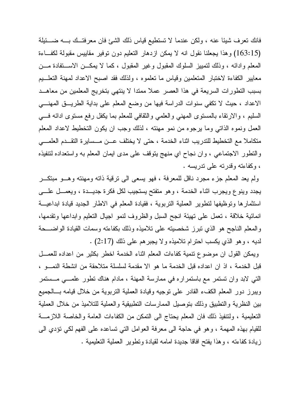فانك تعرف شيئا عنه ، ولكن عندما لا تستطيع قياس ذلك الشئ فان معرفتـك بـه ضـئيلة (163:15) وهذا يجعلنا نقول انه لا يمكن ازدهار التعليم دون توفير مقاييس مقبولة لكفـاءة المعلم وادائه ، وذلك لتمييز السلوك المقبول وغير المقبول ، كما لا يمكـن الاسـتفادة مـن معايير الكفاءة لاختبار المتعلمين وقياس ما تعلموه ، ولذلك فقد اصبح الاعداد لمهنة التعلـيم بسبب التطورات السريعة في هذا العصر عملا ممتدا لا ينتهي بتخريج المعلمين من معاهـد الاعداد ، حيث لا تكفي سنوات الدراسة فيها من وضع المعلم على بداية الطريـق المهنـي السليم ، والارتقاء بالمستوى المهني والعلمي والثقافي للمعلم بما يكفل رفع مستوى ادائه فـي العمل ونموه الذاتي وما يرجوه من نمو مهنته ، لذلك وجب ان يكون التخطيط لاعداد المعلم متكاملا مع التخطيط للتدريب اثناء الخدمة ، حتى لا يختلف عـن مـسايرة التقـدم العلمـي والتطور الاجتماعي ، وان نجاح اي منهج يتوقف على مدى ايمان المعلم به واستعداده لتنفيذه ، وكفاءته وقدرته على تدريسه .

ولم يعد المعلم جزء مجرد ناقل للمعرفة ، فهو يسعى الى ترقية ذاته ومهنته وهـو مبتكـر يجدد وينوع ويجرب اثناء الخدمة ، وهو متفتح يستجيب لكل فكرة جديـدة ، ويعمـل علـى استثمارها وتوظيفها لتطوير العملية التربوية ، فقيادة المعلم في الاطار الجديد قيادة ابداعيـة انمائية خلاقة ، تعمل على تهيئة انجح السبل والظروف لنمو اجيال التعليم وابداعها وتقدمها، والمعلم الناجح هو الذي تبرز شخصيته على تلاميذه وذلك بكفاءته وسمات القيادة الواضـحة لديه ، وهو الذي يكسب احترام تلاميذه ولا يجبرهم على ذلك (2:17) .

ويمكن القول ان موضوع تنمية كفاءات المعلم اثناء الخدمة اخطر بكثير من اعداده للعمـل قبل الخدمة ، اذ ان اعداده قبل الخدمة ما هو الا مقدمة لسلسلة متلاحقة من انشطة النمـو ، التي لابد وان تستمر مع باستمراره في ممارسة المهنة ، مادام هناك تطور علمـي مـستمر ويبرز دور المعلم الكفء القادر على توجيه وقيادة العملية التربوية من خلال قيامه بـالجميع بين النظرية والتطبيق وذلك بتوصيل الممارسات التطبيقية والعملية للتلاميذ من خلال العملية التعليمية ، ولتنفيذ ذلك فان المعلم يحتاج الى التمكن من الكفاءات العامة والخاصة اللازمـة للقيام بهذه المهمة ، وهو في حاجة الى معرفة العوامل التي تساعده على الفهم لكي تؤدي الى زيادة كفاءته ، وهذا يفتح افاقا جديدة امامه لقيادة وتطوير العملية التعليمية .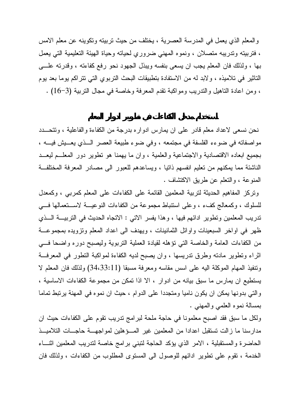والمعلم الذي يعمل في المدرسة العصرية ، يختلف من حيث تربيته وتكوينه عن معلم الامس ، فتربيته وتدريبه متصلان ، ونموه المهني ضروري لحياته وحياة الهيئة التعليمية التي يعمل بها ، ولذلك فان المعلم يجب ان يسعى بنفسه ويبذل الجهود نحو رفع كفاءته ، وقدرته علـى التاثير في تلاميذه ، ولابد له من الاستفادة بتطبيقات البحث التربوي التي تتراكم يوما بعد يوم ، ومن اعادة التاهيل والتدريب ومواكبة تقدم المعرفة وخاصة في مجال التربية (16-3) .

نحن نسعى لاعداد معلم قادر على ان يمارس ادواره بدرجة من الكفاءة والفاعلية ، وتتحـدد مواصفاته في ضوءء الفلسفة في مجتمعه ، وفي ضوء طبيعة العصر الـذي يعـيش فيـه ، بجميع ابعاده الاقتصادية والاجتماعية والعلمية ، وان ما يهمنا هو تطوير دور المعلـم ليعـد الناشئة مما يمكنهم من تعليم انفسهم ذاتيا ، ويساعدهم للعبور الى مصادر المعرفة المختلفـة المنوعة ، والتعلم عن طريق الاكتشاف .

وتركز المفاهيم الحديثة لتربية المعلمين القائمة على الكفاءات على المعلم كمربي ، وكمعدل للسلوك ، وكمعالج كفء ، وعلى استنباط مجموعة من الكفاءات النوعيـة لاسـتعمالها فـي تدريب المعلمين وتطوير ادائهم فيها ، وهذا يفسر الاتي : الاتجاه الحديث في التربيـة الـذي ظهر في اواخر السبعينات واوائل الثمانينات ، ويهدف الى اعداد المعلم وتزويده بمجموعـة من الكفاءات العامة والخاصة التي تؤهله لقيادة العملية التربوية وليصبح دوره واضحا فـي اثراء وتطوير مادته وطرق تدريسها ، وان يصبح لديه الكفاءة لمواكبة التطور في المعرفـة وتنفيذ المهام الموكلة اليه على اسس مقاسه ومعرفة مسبقا (34،33:11) ولذلك فان المعلم لا يستطيع ان يمارس ما سبق بيانه من ادوار ، الا اذا تمكن من مجموعة الكفاءات الاساسية ، والتي بدونها يمكن ان يكون ناميا ومتجددا على الدوام ، حيث ان نموه في المهنة يرتبط تماما بمسالة نموه العلمي والمهني .

ولكل ما سبق فقد اصبح معلمونا في حاجة ملحة لبرامج تدريب تقوم على الكفاءات حيث ان مدارسنا ما زالت تستقبل اعدادا من المعلمين غير المـؤهلين لمواجهـة حاجـات التلاميـذ الحاضرة والمستقبلية ، الامر الذي يؤكد الحاجة لتبني برامج خاصة لتدريب المعلمين اثنـاء الخدمة ، تقوم على تطوير ادائهم للوصول الى المستوى المطلوب من الكفاءات ، ولذلك فان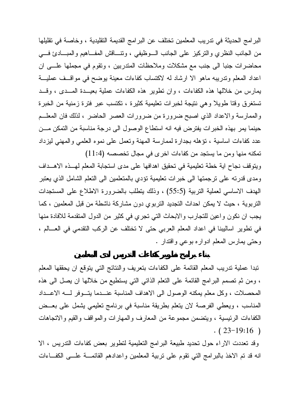البرامج الحديثة في تدريب المعلمين تختلف عن البرامج القديمة التقليدية ، وخاصة في تقليلها من الجانب النظري والتركيز على الجانب الـوظيفي ، وتنـاقش المفـاهيم والمبـادئ فـي محاضرات جنبا الى جنب مع مشكلات وملاحظات المتدربين ، وتقوم في مجملها علـى ان اعداد المعلم وتدريبه ماهو الا ارشاد له لاكتساب كفاءات معينة يوضح في مواقـف عمليـة يمارس من خلالها هذه الكفاءات ، وان تطوير هذه الكفاءات عملية بعيـدة المـدى ، وقـد تستغرق وقتا طويلا وهي نتيجة لخبرات تعليمية كثيرة ، تكتسب عبر فترة زمنية من الخبرة والممارسة والاعداد الذي اصبح ضرورة من ضرورات العصر الحاضر ، لذلك فان المعلـم حينما يمر بهذه الخبرات يفترض فيه انه استطاع الوصول الى درجة مناسبة من التمكن مـن عدد كفاءات اساسية ، تؤهله بجدارة لممارسة المهنة وتعمل على نموه العلمي والمهني ليزداد تمكنه منها ومن ما يستجد من كفاءات اخرى في مجال تخصصه (11:4)

ويتوقف نجاح اية خطة تعليمية في تحقيق اهدافها على مدى استجابة المعلم لهـذه الاهـداف ومدى قدرته على ترجمتها الى خبرات تعليمية تؤدي بالمتعلمين الى التعلم الشامل الذي يعتبر الهدف الاساسي لعملية التربية (55:5) ، وذلك يتطلب بالضرورة الاطلاع على المستجدات التربوية ، حيث لا يمكن احداث التجديد التربوي دون مشاركة ناشطة من قبل المعلمين ، كما يجب ان نكون واعين للتجارب والابحاث التي تجري في كثير من الدول المتقدمة للافادة منها في تطوير اساليبنا في اعداد المعلم العربي حتى لا تختلف عن الركب التقدمي في العـالم ، وحتى يمارس المعلم ادواره بوعي واقتدار .

تبدا عملية تدريب المعلم القائمة على الكفاءات بتعريف والنتائج التي يتوقع ان يحققها المعلم ، ومن ثم تصمم البرامج القائمة على التعلم الذاتي التي يستطيع من خلالها ان يصل الى هذه المحصلات ، وكل معلم يمكنه الوصول الى الاهداف المناسبة عنـدما يتـوفر لـه الاعـداد المناسب ، ويعطي الفرصة لان يتعلم بطريقة مناسبة في برنامج تعليمي يشمل على بعـض الكفاءات الرئيسية ، ويتضمن مجموعة من المعارف والمهارات والمواقف والقيم والاتجاهات  $(23-19:16)$ 

وقد تعددت الاراء حول تحديد طبيعة البرامج التعليمية لتطوير بعض كفاءات التدريس ، الا انه قد تم الاخذ بالبرامج التي تقوم على تربية المعلمين واعدادهم القائمـة علـى الكفـاءات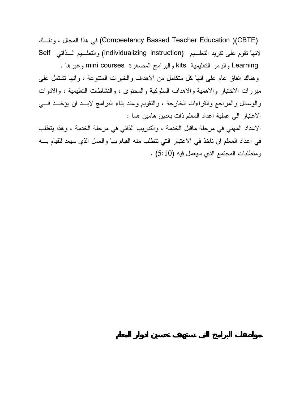وذلـك ، المجال هذا في) Compeetency Bassed Teacher Education )(CBTE) لانها تقوم على تفريد التعلـيم (Individualizing instruction) والتعلـيم الــذاتي Self Learning والزمر التعليمية kits والبرامج المصغرة courses mini وغيرها . وهناك اتفاق عام على انها كل متكامل من الاهداف والخبرات المتنوعة ، وانها تشتمل على مبررات الاختبار والاهمية والاهداف السلوكية والمحتوى ، والنشاطات التعليمية ، والادوات والوسائل والمراجع والقراءات الخارجة ، والتقويم وعند بناء البرامج لابـد ان يؤخـذ فـي الاعتبار الى عملية اعداد المعلم ذات بعدين هامين هما : الاعداد المهني في مرحلة ماقبل الخدمة ، والتدريب الذاتي في مرحلة الخدمة ، وهذا يتطلب في اعداد المعلم ان ناخذ في الاعتبار التي تتطلب منه القيام بها والعمل الذي سيعد للقيام بـه

ومتطلبات المجتمع الذي سيعمل فيه (5:10) .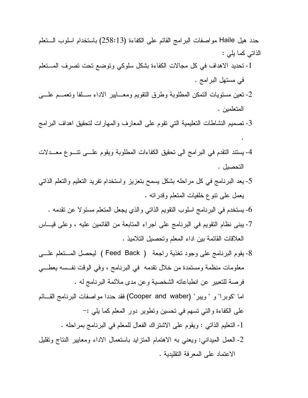حدد هيل Haile مواصفات البرامج القائم على الكفاءة (258:13) باستخدام اسلوب الـتعلم الذاتي كما يلي :

- -1 تحديد الاهداف في كل مجالات الكفاءة بشكل سلوكي وتوضع تحت تصرف المـتعلم في مستهل البرامج .
- -2 تعين مستويات التمكن المطلوبة وطرق التقويم ومعـايير الاداء سـلفا وتعمـم علـى المتعلمين .
- -3 تصميم النشاطات التعليمية التي تقوم على المعارف والمهارات لتحقيق اهداف البرامج .
- -4 يستند التقدم في البرامج الى تحقيق الكفاءات المطلوبة ويقوم علـى تنـوع معـدلات التحصيل .
- -5 يعد البرنامج في كل مراحله بشكل يسمح بتعزيز واستخدام تفريد التعليم والتعلم الذاتي يعمل على تنوع خلفيات المتعلم وقدراته .
	- -6 يستخدم في البرنامج اسلوب التقويم الذاتي والذي يجعل المتعلم مسئولا عن تقدمه .
- -7 يبنى نظام التقويم في البرنامج على اجراء المتابعة من القائمين عليه ، وعلى قيـاس العلاقات القائمة بين اداء المعلم وتحصيل التلاميذ .
- -8 يقوم البرنامج على وجود تغذية راجعة ( Back Feed ( ليحصل المـتعلم علـى معلومات منظمة ومستمدة من خلال تقدمه في البرنامج ، وفي الوقت نفـسه يعطـي فرصة للتعبير عن انطباعاته الشخصية وعن مدى ملائمة البرنامج له . اما "كوبرا" و " ويبر" (waber and Cooper (فقد حددا مواصفات البرنامج القـائم على الكفاءة والتي تسهم في تحسين وتطوير دور المعلم كما يلي -:
	- -1 التعليم الذاتي : ويقوم على الاشتراك الفعال للمعلم في البرنامج بمراحله .
- -2 العمل الميداني: ويعني به الاهتمام المتزايد باستعمال الاداء ومعايير النتاج وتقليل الاعتماد على المعرفة التقليدية .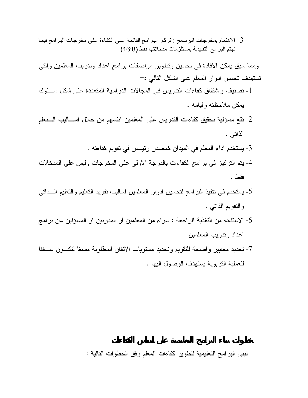د- الاهتمام بمخرجات البرنـامج : تركز البرامج القائمـة علـى الكفـاءة علـى مخرجـات البرامج فيمـا " تهتم البرامج التقليدية بمستلزمات مدخلاتها فقط (16:8) .

ومما سبق يمكن الافادة في تحسين وتطوير مواصفات برامج اعداد وتدريب المعلمين والتي تستهدف تحسين ادوار المعلم على الشكل التالي -:

- -1 تصنيف واشتقاق كفاءات التدريس في المجالات الدراسية المتعددة على شكل سـلوك يمكن ملاحظته وقيامه .
- -2 تقع مسؤلية تحقيق كفاءات التدريس على المعلمين انفسهم من خلال اسـاليب الـتعلم الذاتي .
	- -3 يستخدم اداء المعلم في الميدان كمصدر رئيسس في تقويم كفاءته .
- -4 يتم التركيز في برامج الكفاءات بالدرجة الاولى على المخرجات وليس على المدخلات فقط .
- -5 يستخدم في تنفيذ البرامج لتحسين ادوار المعلمين اساليب تفريد التعليم والتعليم الـذاتي والتقويم الذاتي .
- -6 الاستفادة من التغذية الراجعة : سواء من المعلمين او المدربين او المسؤلين عن برامج اعداد وتدريب المعلمين .
- -7 تحديد معايير واضحة للتقويم وتجديد مستويات الاتقان المطلوبة مسبقا لتكـون سـقفا للعملية التربوية يستهدف الوصول اليها .

تبنى البرامج التعليمية لتطوير كفاءات المعلم وفق الخطوات التالية -: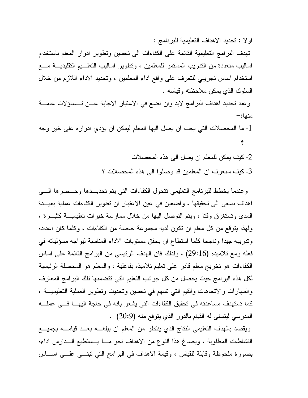اولا : تحديد الاهداف التعليمية للبرنامج -: تهدف البرامج التعليمية القائمة على الكفاءات الى تحسين وتطوير ادوار المعلم باستخدام اساليب متعددة من التدريب المستمر للمعلمين ، وتطوير اساليب التعلـــيم التقليديــــة مــــع استخدام اساس تجريبي للتعرف على واقع اداء المعلمين ، وتحديد الاداء اللازم من خلال السلوك الذي يمكن ملاحظته وقياسه .

وعند تحديد اهداف البرامج لابد وان نضع في الاعتبار الاجابة عـن تـساؤلات عامـة منها-:

-1 ما المحصلات التي يجب ان يصل اليها المعلم ليمكن ان يؤدي ادواره على خير وجه ؟

> -2 كيف يمكن للمعلم ان يصل الى هذه المحصلات -3 كيف سنعرف ان المعلمين قد وصلوا الى هذه المحصلات ؟

 وعندما يخطط للبرنامج التعليمي تتحول الكفاءات التي يتم تحديـدها وحـصرها الـى اهداف نسعى الى تحقيقها ، واضعين في عين الاعتبار ان تطوير الكفاءات عملية بعيـدة المدى وتستغرق وقتا ، ويتم التوصل اليها من خلال ممارسة خبرات تعليميـة كثيـرة ، ولهذا يتوقع من كل معلم ان تكون لديه مجموعة خاصة من الكفاءات ، وكلما كان اعداده وتدريبه جيدا وناجحا كلما استطاع ان يحقق مستويات الاداء المناسبة ليواجه مسؤلياته في فعله ومع تلاميذه (29:16) ، ولذلك فان الهدف الرئيسي من البرامج القائمة على اساس الكفاءات هو تخريج معلم قادر على تعليم تلاميذه بفاعلية ، والمعلم هو المحصلة الرئيسية لكل هذه البرامج حيث يحصل من كل جوانب التعليم التي تتضمنها تلك البرامج المعارف والمهارات والاتجاهات والقيم التي تسهم في تحسين وتحديث وتطوير العملية التعليميـة ، كما تستهدف مساعدته في تحقيق الكفاءات التي يشعر بانه في حاجة اليهـا فـي عملـه المدرسي ليتسنى له القيام بالدور الذي يتوقع منه (20:9) .

ويقصد بالهدف التعليمي النتاج الذي ينتظر من المعلم ان يبلغـه بعـد قيامـه بجميـع النشاطات المطلوبة ، ويصاغ هذا النوع من الاهداف نحو مـا يـستطيع الـدارس اداءه بصورة ملحوظة وقابلة للقياس ، وقيمة الاهداف في البرامج التي تبنـى علـى اسـاس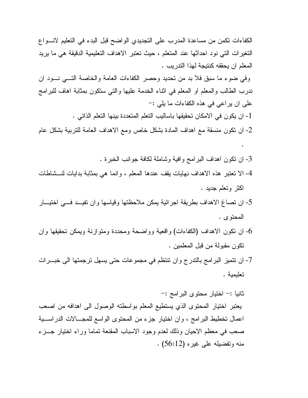الكفاءات تكمن من مساعدة المدرب على التجديدي الواضح قبل البدء في التعليم لانـواع التغيرات التي نود احداثها عند المتعلم ، حيث تعتبر الاهداف التعليمية الدقيقة هي ما يريد المعلم ان يحققه كنتيجة لهذا التدريب .

وفي ضوء ما سبق فلا بد من تحديد وحصر الكفاءات العامة والخاصة التـي نـود ان ندرب الطالب والمعلم او المعلم في اثناء الخدمة عليها والتي ستكون بمثابة اهاف للبرامج على ان يراعي في هذه الكفاءات ما يلي -: -1 ان يكون في الامكان تحقيقها باساليب التعلم المتعددة بينها التعلم الذاتي .

-2 ان تكون منسقة مع اهداف المادة بشكل خاص ومع الاهداف العامة للتربية بشكل عام

- -3 ان تكون اهداف البرامج وافية وشاملة لكافة جوانب الخبرة .
- -4 الا تعتبر هذه الاهداف نهايات يقف عندها المعلم ، وانما هي بمثابة بدايات لنـشاطات اكثر وتعلم جديد .
- -5 ان تصاغ الاهداف بطريقة اجرائية يمكن ملاحظتها وقياسها وان تفيـد فـي اختيـار المحتوى .
- -6 ان تكون الاهداف (الكفاءات) واقعية وواضحة ومحددة ومتوازنة ويمكن تحقيقها وان تكون مقبولة من قبل المعلمين .
- -7 ان تتميز البرامج بالتدرج وان تنتظم في مجموعات حتى يسهل ترجمتها الى خبـرات تعليمية .

ثانيا -: اختيار محتوى البرامج -:

.

يعتبر اختيار المحتوى الذي يستطيع المعلم بواسطته الوصول الى اهدافه من اصعب اعمال تخطيط البرامج ، وان اختيار جزء من المحتوى الواسع للمجـالات الدراسـية صعب في معظم الاحيان وذلك لعدم وجود الاسباب المقنعة تماما وراء اختيار جـزء منه وتفضيله على غيره (56:12) .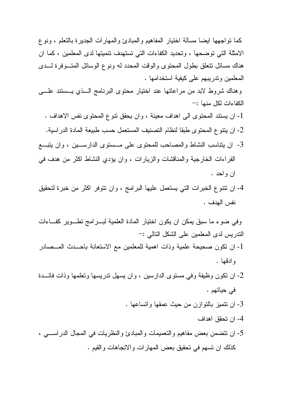كما تواجهها ايضا مسالة اختيار المفاهيم والمبادئ والمهارات الجديرة بالتعلم ، ونوع الامثلة التي توضحها ، وتحديد الكفاءات التي تستهدف تنميتها لدى المعلمين ، كما ان هناك مسائل تتعلق بطول المحتوى والوقت المحدد له ونوع الوسائل المتـوفرة لـدى المعلمين وتدريبهم على كيفية استخدامها . وهناك شروط لابد من مراعاتها عند اختيار محتوى البرنامج الـذي يـستند علـى الكفاءات لكل منها -: -1 ان يستند المحتوى الى اهداف معينة ، وان يحقق تنوع المحتوى نفس الاهداف . -2 ان يتنوع المحتوى طبقا لنظام التصنيف المستعمل حسب طبيعة المادة الدراسية.

- -3 ان يتناسب النشاط والمصاحب للمحتوى على مـستوى الدارسـين ، وان يتبـع القراءات الخارجية والمناقشات والزيارات ، وان يؤدي النشاط اكثر من هدف في ان واحد .
- -4 ان تتنوع الخبرات التي يستعمل عليها البرامج ، وان تتوفر اكثر من خبرة لتحقيق نفس الهدف .
- وفي ضوء ما سبق يمكن ان يكون اختيار المادة العلمية لبـرامج تطـوير كفـاءات التدريس لدى المعلمين على الشكل التالي -: -1 ان تكون صحيحة علمية وذات اهمية للمعلمين مع الاستعانة باحـدث المـصادر وادقها . -2 ان تكون وظيفة وفي مستوى الدارسين ، وان يسهل تدريسها وتعلمها وذات فائـدة في حياتهم .
	- -3 ان تتميز بالتوازن من حيث عمقها واتساعها .
		- -4 ان تحقق اهداف
- -5 ان تتضمن بعض مفاهيم والتعميمات والمبادئ والنظريات في المجال الدراسـي ، كذلك ان تسهم في تحقيق بعض المهارات والاتجاهات والقيم .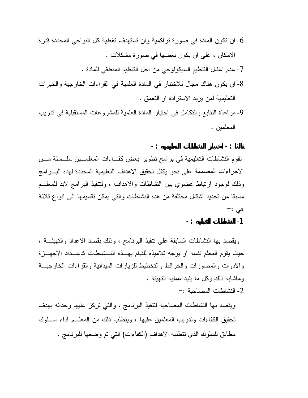- -6 ان تكون المادة في صورة تراكمية وان تستهدف تغطية كل النواحي المحددة قدرة الامكان ، على ان يكون بعضها في صورة مشكلات .
	- -7 عدم اغفال التنظيم السيكولوجي من اجل التنظيم المنطقي للمادة .
- -8 ان يكون هناك مجال للاختبار في المادة العلمية في القراءات الخارجية والخبرات التعليمية لمن يريد الاستزادة او التعمق .
- -9 مراعاة التتابع والتكامل في اختيار المادة العلمية للمشروعات المستقبلية في تدريب المعلمين .

**ثالثا -: اختيار النشاطات التعليمية -:**

تقوم النشاطات التعليمية في برامج تطوير بعض كفـاءات المعلمـين سلـسلة مـن الاجراءات المصممة على نحو يكفل تحقيق الاهداف التعليمية المحددة لهذه البـرامج وذلك لوجود ارتباط عضوي بين النشاطات والاهداف ، ولتنفيذ البرامج لابد للمعلـم مسبقا من تحديد اشكال مختلفة من هذه النشاطات والتي يمكن تقسيمها الى انواع ثلاثة هي -:

**-1 النشاطات القبلية -:**

 ويقصد بها النشاطات السابقة على تنفيذ البرنامج ، وذلك بقصد الاعداد والتهيئـة ، حيث يقوم المعلم نفسه او يوجه تلاميذه للقيام بهـذه النـشاطات كاعـداد الاجهـزة والادوات والمصورات والخرائط والتخطيط للزيارات الميدانية والقراءات الخارجيـة وماشابه ذلك وكل ما يفيد عملية التهيئة .

-2 النشاطات المصاحبة -:

ويقصد بها النشاطات المصاحبة لتنفيذ البرنامج ، والتي تركز عليها وحداته بهدف تحقيق الكفاءات وتدريب المعلمين عليها ، ويتطلب ذلك من المعلـم اداء سـلوك مطابق للسلوك الذي تتطلبه الاهداف (الكفاءات) التي تم وضعها للبرنامج .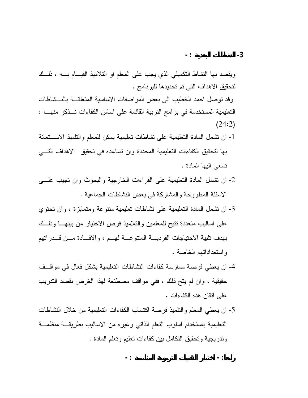ويقصد بها النشاط التكميلي الذي يجب على المعلم او التلاميذ القيـام بـه ، ذلـك لتحقيق الاهداف التي تم تحديدها للبرنامج . وقد توصل احمد الخطيب الى بعض المواصفات الاساسية المتعلقـة بالنـشاطات

- المستخدمة في برامج التربية القائمة على اساس الكفاءات (24:2)
- -1 ان تشمل المادة التعليمية على نشاطات تعليمية يمكن للمعلم والتلميذ الاسـتعانة بها لتحقيق الكفاءات التعليمية المحددة وان تساعده في تحقيق الاهداف التـي تسعى اليها المادة .
- -2 ان تشمل المادة التعليمية على القراءات الخارجية والبحوث وان تجيب علـى الاسئلة المطروحة والمشاركة في بعض النشاطات الجماعية .
- -3 ان تشمل المادة التعليمية على نشاطات تعليمية متنوعة ومتمايزة ، وان تحتوي على اساليب متعددة تتيح للمعلمين والتلاميذ فرص الاختيار من بينهـا وذلـك بهدف تلبية الاحتياجات الفرديـة المتنوعـة لهـم ، والافـادة مـن قـدراتهم واستعداداتهم الخاصة .
- -4 ان يعطي فرصة ممارسة كفاءات النشاطات التعليمية بشكل فعال في مواقـف حقيقية ، وان لم يتح ذلك ، ففي مواقف مصطنعة لهذا الغرض بقصد التدريب على اتقان هذه الكفاءات .
- -5 ان يعطي المعلم والتلميذ فرصة اكتساب الكفاءات التعليمية من خلال النشاطات التعليمية باستخدام اسلوب التعلم الذاتي وغيره من الاساليب بطريقـة منظمـة وتدريجية وتحقيق التكامل بين كفاءات تعليم وتعلم المادة .

$$
\mathcal{A}^{\mathcal{A}}_{\mathcal{A}}(x) = \mathcal{A}^{\mathcal{A}}_{\mathcal{A}}(x) = \mathcal{A}^{\mathcal{A}}_{\mathcal{A}}(x) = \mathcal{A}^{\mathcal{A}}_{\mathcal{A}}(x)
$$

**-3 النشاطات البعدية -:**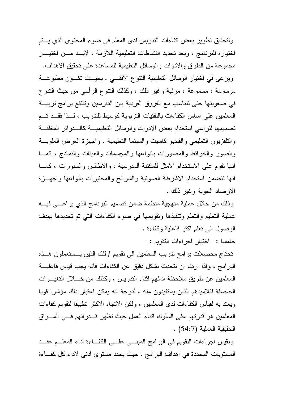ولتحقيق تطوير بعض كفاءات التدريس لدى المعلم في ضوء المحتوى الذي يـتم اختياره للبرنامج ، وبعد تحديد النشاطات التعليمية اللازمة ، لابـد مـن اختيـار مجموعة من الطرق والادوات والوسائل التعليمية للمساعدة على تحقيق الاهداف. ويرعى في اختيار الوسائل التعليمية التنوع الافقـي . بحيـث تكـون مطبوعـة مرسومة ، مسموعة ، مرئية وغير ذلك ، وكذلك التنوع الرأسي من حيث التدرج في صعوبتها حتى تتناسب مع الفروق الفردية بين الدارسين وتنتفع برامج تربيـة المعلمين على اساس الكفاءات بالتقنيات التربوية كوسيط للتدريب ، لـذا فقـد تـم تصميمها لتراعي استخدام بعض الادوات والوسائل التعليميـة كالـدوائر المغلقـة والتلفزيون التعليمي والفيديو كاسيت والسينما التعليمية ، واجهزة العرض العلويـة والصور والخرائط والمصورات بانواعها والمجسمات والعينات والنماذج ، كمـا انها تقوم على الاستخدام الامثل للمكتبة المدرسية ، والاطالس والسبورات ، كمـا انها تتضمن استخدام الاشرطة الصوتية والشرائح والمختبرات بانواعها واجهـزة الارصاد الجوية وغير ذلك .

وذلك من خلال عملية منهجية منظمة ضمن تصميم البرنامج الذي يراعـى فيـه عملية التعليم والتعلم وتنفيذها وتقويمها في ضوء الكفاءات التي تم تحديدها بهدف الوصول الى تعلم اكثر فاعلية وكفاءة .

خامسا -: اختيار اجراءات التقويم -:

تحتاج محصلات برامج تدريب المعلمين الى تقويم اولئك الذين يـستعملون هـذه البرامج ، واذا اردنا ان نتحدث بشكل دقيق عن الكفاءات فانه يجب قياس فاعليـة المعلمين عن طريق ملاحظة ادائهم اثناء التدريس ، وكذلك من خـلال التغيـرات الحاصلة لتلاميذهم الذين يستفيدون منه ، لدرجة انه يمكن اعتبار ذلك مؤشرا قويا ويعتد به لقياس الكفاءات لدى المعلمين ، ولكن الاتجاه الاكثر تطبيقا لتقويم كفاءات المعلمين هو قدرتهم على السلوك اثناء العمل حيث تظهر قـدراتهم فـي المـواق الحقيقية العملية (54:7) .

وتقيس اجراءات التقويم في البرامج المبنـي علـى الكفـاءة اداء المعلـم عنـد المستويات المحددة في اهداف البرامج ، حيث يحدد مستوى ادنى لاداء كل كفـاءة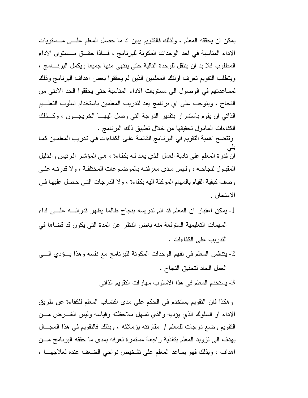يمكن ان يحققه المعلم ، ولذلك فالتقويم يبين اذ ما حصل المعلم علـى مـستويات الاداء المناسبة في احد الوحدات المكونة للبرنامج ، فـاذا حقـق مـستوى الاداء المطلوب فلا بد ان ينتقل للوحدة التالية حتى ينتهي منها جميعا ويكمل البرنـامج ، ويتطلب التقويم تعرف اولئك المعلمين الذين لم يحققوا بعض اهداف البرنامج وذلك لمساعدتهم في الوصول الى مستويات الاداء المناسبة حتى يحققوا الحد الادنى من النجاح ، ويتوجب على اي برنامج يعد لتدريب المعلمين باستخدام اسلوب التعلـيم الذاتي ان يقوم باستمرار بتقدير الدرجة التي وصل اليهـا الخريجـون ، وكـذلك الكفاءات المامول تحقيقها من خلال تطبيق ذلك البرنامج . وتتضح اهمية التقويم في البرنـامج القائمـة علـى الكفـاءات فـي تـدريب المعلمين كمـا يلي ان قدرة المعلم على تادية العمل الذي يعد لـه بكفاءة ، هي المؤشر الرئيس والدليل المقبول لنجاحـه ، ولـيس مـدى معرفتـه بالموضـوعات المختلفـة ، ولا قدرتـه علـى وصف كيفية القيام بالمهام الموكلة اليه بكفاءة ، ولا الدرجات التبي حصل عليها في الامتحان .

- -1 يمكن اعتبار ان المعلم قد اتم تدريسه بنجاح طالما يظهر قدراتـه علـى اداء المهمات التعليمية المتوقعة منه بغض النظر عن المدة التي يكون قد قضاها في التدريب على الكفاءات .
- -2 يتنافس المعلم في تفهم الوحدات المكونة للبرنامج مع نفسه وهذا يـؤدي الـى العمل الجاد لتحقيق النجاح .
	- -3 يستخدم المعلم في هذا الاسلوب مهارات التقويم الذاتي

وهكذا فان التقويم يستخدم في الحكم على مدى اكتساب المعلم للكفاءة عن طريق الاداء او السلوك الذي يؤديه والذي تسهل ملاحظته وقياسه وليس الغـرض مـن التقويم وضع درجات للمعلم او مقارنته بزملائه ، وبذلك فالتقويم في هذا المجـال يهدف الى تزويد المعلم بتغذية راجعة مستمرة تعرفه بمدى ما حققه البرنامج مـن اهداف ، وبذلك فهو يساعد المعلم على تشخيص نواحي الضعف عنده لعلاجهـا ،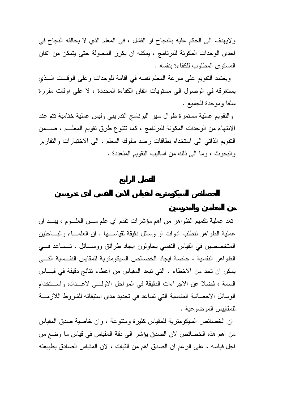ولايهدف الى الحكم عليه بالنجاح او الفشل ، في المعلم الذي لا يحالفه النجاح في احدى الوحدات المكونة للبرنامج ، يمكنه ان يكرر المحاولة حتى يتمكن من اتقان المستوى المطلوب للكفاءة بنفسه .

 ويعتمد التقويم على سرعة المعلم نفسه في اقامة للوحدات وعلى الوقـت الـذي يستغرقه في الوصول الى مستويات اتقان الكفاءة المحددة ، لا على اوقات مقررة سلفا وموحدة للجميع .

والتقويم عملية مستمرة طوال سير البرنامج التدريبي وليس عملية ختامية تتم عند الانتهاء من الوحدات المكونة للبرنامج ، كما تتنوع طرق تقويم المعلـم ، ضـمن التقويم الذاتي الى استخدام بطاقات رصد سلوك المعلم ، الى الاختبارات والتقارير والبحوث ، وما الى ذلك من اساليب التقويم المتعددة .

تعد عملية تكميم الظواهر من اهم مؤشرات تقدم اي علم مـن العلـوم ، يبـد ان عملية الظواهر تتطلب ادوات او وسائل دقيقة لقياسـها . ان العلمـاء والبـاحثين المتخصصين في القياس النفسي يحاولون ايجاد طرائق ووسـائل ، تـساعد فـي الظواهر النفسية ، خاصة ايجاد الخصائص السيكومترية للمقايس النفـسية التـي يمكن ان تحد من الاخطاء ، التي تبعد المقياس من اعطاء نتائج دقيقة في قيـاس السمة ، فضلا عن الاجراءات الدقيقة في المراحل الاولـى لاعـداده واسـتخدام الوسائل الاحصائية المناسبة التي تساعد في تحديد مدى استيفائه للشروط اللازمـة للمقاييس الموضوعية .

ان الخصائص السيكومترية للمقياس كثيرة ومتنوعة ، وان خاصية صدق المقياس من اهم هذه الخصائص لان الصدق يؤشر الى دقة المقياس في قياس ما وضع من اجل قياسه ، على الرغم ان الصدق اهم من الثبات ، لان المقياس الصادق بطبيعته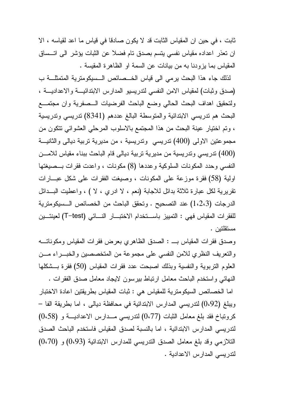ثابت ، في حين ان المقياس الثابت قد لا يكون صادقا في قياس ما اعد لقياسه ، الا ان تعذر اعداده مقياس نفسي يتسم بصدق تام فضلا عن الثبات يؤشر الى اتـساق المقياس بما يزودنا به من بيانات عن السمة او الظاهرة المقيسة .

 لذلك جاء هذا البحث يرمي الى قياس الخـصائص الـسيكومترية المتمثلـة ب (صدق وثبات) لمقياس الامن النفسي لتدريسيو المدارس الابتدائيـة والاعداديـة ، ولتحقيق اهداف البحث الحالي وضع الباحث الفرضيات الـصفرية وان مجتمـع البحث هم تدريسي الابتدائية والمتوسطة البالغ عددهم (8341) تدريسي وتدريسية ، وتم اختيار عينة البحث من هذا المجتمع بالاسلوب المرحلي العشوائي تتكون من مجموعتين الاولى (400) تدريسي وتدريسية ، من مديرية تربية ديالى والثانيـة (400) تدريسي وتدريسية من مديرية تربية ديالى قام الباحث ببناء مقياس للامـن النفسي وحدد المكونات السلوكية وعددها (8) مكونات ، واعدت فقرات بـصيغتها اولية (58) فقرة موزعة على المكونات ، وصيغت الفقرات على شكل عبـارات تقريرية لكل عبارة ثلاثة بدائل للاجابة (نعم ، لا ادري ، لا ) ، واعطيت البـدائل الدرجات (1،2،3) عند التصحيح . وتحقق الباحث من الخصائص الـسيكومترية للفقرات المقياس فهي : التمييز باسـتخدام الاختبـار النـائي (test-T (لعينتـين مستقلتين .

وصدق فقرات المقياس بـ : الصدق الظاهري بعرض فقرات المقياس ومكوناتـه والتعريف النظري للامن النفسي على مجموعة من المتخصصين والخبـراء مـن العلوم التربوية والنفسية وبذلك اصبحت عدد فقرات المقياس (50) فقرة بـشكلها النهائي واستخدم الباحث معامل ارتباط بيرسون لايجاد معامل صدق الفقرات . اما الخصائص السيكومترية للمقياس هي : ثبات المقياس بطريقتين اعادة الاختبار ويبلغ (0،92) لتدريسي المدارس الابتدائية في محافظة ديالى ، اما بطريقة الفا – كروتباخ فقد بلغ معامل الثبات (0،77) لتدريسي مـدارس الاعداديـة و (0،58) لتدريسي المدارس الابتدائية ، اما بالنسبة لصدق المقياس فاستخدم الباحث الصدق التلازمي وقد بلغ معامل الصدق التدريسي للمدارس الابتدائية (0،93) و (0،70) لتدريسي المدارس الاعدادية .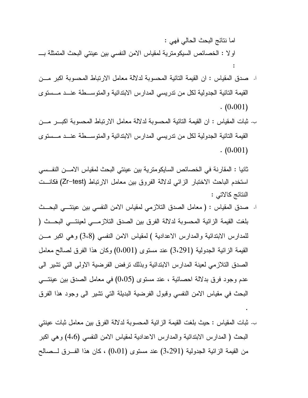اما نتائج البحث الحالي فهي : اولا : الخصائص السيكومترية لمقياس الامن النفسي بين عينتي البحث المتمثلة بـ :

- <sup>أ</sup> صدق المقياس : ان القيمة التائية المحسوبة لدلالة معامل الارتباط المحسوبة اكبر مـن القيمة التائية الجدولية لكل من تدريسي المدارس الابتدائية والمتوسـطة عنـد مـستوى  $. (0.001)$
- <sup>ب</sup> ثبات المقياس : ان القيمة التائية المحسوبة لدلالة معامل الارتباط المحسوبة اكبـر مـن القيمة التائية الجدولية لكل من تدريسي المدارس الابتدائية والمتوسـطة عنـد مـستوى  $. (0.001)$

ثانيا : المقارنة في الخصائص السايكومترية بين عينتي البحث لمقياس الامـن النفـسي استخدم الباحث الاختبار الزائي لدلالة الفروق بين معامل الارتباط (test-Zr (فكانـت النتائج كالاتي :

- <sup>أ</sup> صدق المقياس : ( معامل الصدق التلازمي لمقياس الامن النفسي بين عينتـي البحـث بلغت القيمة الزائية المحسوبة لدلالة الفرق بين الصدق التلازمـي لعينتـي البحـث ( للمدارس الابتدائية والمدارس الاعدادية ) لمقياس الامن النفسي (3،8) وهي اكبر مـن القيمة الزائية الجدولية (3،291) عند مستوى (0،001) وكان هذا الفرق لصالح معامل الصدق التلازمي لعينة المدارس الابتدائية وبذلك ترفض الفرضية الاولى التي تشير الى عدم وجود فرق بدلالة احصائية ، عند مستوى (0،05) في معامل الصدق بين عينتـي البحث في مقياس الامن النفسي وقبول الفرضية البديلة التي تشير الى وجود هذا الفرق
- <sup>ب</sup> ثبات المقياس : حيث بلغت القيمة الزائية المحسوبة لدلالة الفرق بين معامل ثبات عينتي البحث ( المدارس الابتدائية والمدارس الاعدادية لمقياس الامن النفسي (4،6) وهي اكبر من القيمة الزائية الجدولية (3،291) عند مستوى (0،01) ، كان هذا الفـرق لـصالح

.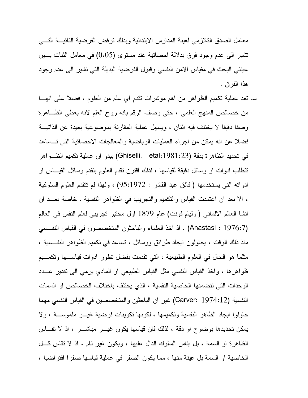معامل الصدق التلازمي لعينة المدارس الابتدائية وبذلك ترفض الفرضية التائيـة التـي تشير الى عدم وجود فرق بدلالة احصائية عند مستوى (0،05) في معامل الثبات بـين عينتي البحث في مقياس الامن النفسي وقبول الفرضية البديلة التي تشير الى عدم وجود هذا الفرق .

<sup>ت</sup>- تعد عملية تكميم الظواهر من اهم مؤشرات تقدم اي علم من العلوم ، فضلا على انهـا من خصائص المنهج العلمي ، حتى وصف الرقم بانه روح العلم لانه يعطي الظـاهرة وصفا دقيقا لا يختلف فيه اثنان ، ويسهل عملية المقارنة بموضوعية بعيدة عن الذاتيـة فضلا عن انه يمكن من اجراء العمليات الرياضية والمعالجات الاحصائية التي تـساعد في تحديد الظاهرة بدقة (Ghiselli, etal:1981:23) يبدو ان عملية تكميم الظــواهر تتطلب ادوات او وسائل دقيقة لقياسها ، لذلك اقترن تقدم العلوم بتقدم وسائل القيـاس او ادواته التي يستخدمها ( فائق عبد القادر : 95:1972) ، ولهذا لم تتقدم العلوم السلوكية ، الا بعد ان اعتمدت القياس والتكميم والتجريب في الظواهر النفسية ، خاصة بعـد ان انشا العالم الالماني ( وليام فونت) عام 1879 اول مختبر تجريبي لعلم النفس في العالم (1976:7 : Anastasi (. اذ اخذ العلماء والباحثون المتخصصون في القياس النفـسي منذ ذلك الوقت ، يحاولون ايجاد طرائق ووسائل ، تساعد في تكميم الظواهر النفـسية ، مثلما هو الحال في العلوم الطبيعية ، التي تقدمت بفضل تطور ادوات قياسـها وتكمـيم ظواهرها ، واخذ القياس النفسي مثل القياس الطبيعي او المادي يرمي الى تقدير عـدد الوحدات التي تتضمنها الخاصية النفسية ، الذي يختلف باختلاف الخصائص او السمات النفسية (1974:12 :Carver (غير ان الباحثين والمتخصصين في القياس النفسي مهما حاولوا ايجاد الظاهر النفسية وتكميمها ، لكونها تكوينات فرضية غيـر ملموسـة ، ولا يمكن تحديدها بوضوح او دقة ، لذلك فان قياسها يكون غيـر مباشـر ، اذ لا تقـاس الظاهرة او السمة ، بل يقاس السلوك الدال عليها ، ويكون غير تام ، اذ لا تقاس كـل الخاصية او السمة بل عينة منها ، مما يكون الصفر في عملية قياسها صفرا افتراضيا ،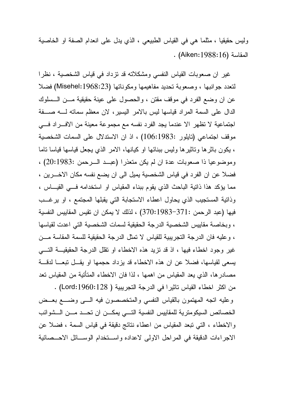وليس حقيقيا ، مثلما هي في القياس الطبيعي ، الذي يدل على انعدام الصفة او الخاصية المقاسة (Aiken:1988:16) .

 غير ان صعوبات القياس النفسي ومشكلاته قد تزداد في قياس الشخصية ، نظرا لتعدد جوانبها ، وصعوبة تحديد مفاهيمها ومكوناتها (:1968:23Misehel (فضلا عن ان وضع الفرد في موقف مقتن ، والحصول على عينة حقيقية مـن الـسلوك الدال على السمة المراد قياسها ليس بالامر اليسير، لان معظم سماته لـه صـفة اجتماعية لا تظهر الا عندما يجد الفرد نفسه مع مجموعة معينة من الافـراد فـي موقف اجتماعي (تايلور 106:1983:) ، اذ ان الاستدلال على السمات الشخصية ، يكون باثرها وتاثيرها وليس ببنائها او كيانها، الامر الذي يجعل قياسها قياسا تاما وموضوعيا ذا صعوبات عدة ان لم يكن متعذرا (عبـد الـرحمن 20:1983:) ، فضلا عن ان الفرد في قياس الشخصية يميل الى ان يضع نفسه مكان الاخـرين ، مما يؤكد هذا ذاتية الباحث الذي يقوم ببناء المقياس او استخدامه فـي القيـاس ، وذاتية المستجيب الذي يحاول اعطاء الاستجابة التي يقبلها المجتمع ، او يرغـب فيها (عبد الرحمن 370:1983-371:) ، لذلك لا يمكن ان تقيس المقاييس النفسية ، وبخاصة مقاييس الشخصية الدرجة الحقيقية لسمات الشخصية التي اعدت لقياسها ، وعليه فان الدرجة التجريبية للقياس لا تمثل الدرجة الحقيقية للسمة المقاسة مـن غير وجود اخطاء فيها ، اذ قد تزيد هذه الاخطاء او تقلل الدرجة الحقيقيـة التـي يسعى لقياسها، فضلا عن ان هذه الاخطاء قد يزداد حجمها او يقـل تبعـا لدقـة مصادرها، الذي يعد المقياس من اهمها ، لذا فان الاخطاء المتأتية من المقياس تعد

من اكثر اخطاء القياس تاثيرا في الدرجة التجريبية ( Lord:1960:128 ) . وعليه اتجه المهتمون بالقياس النفسي والمتخصصون فيه الـى وضـع بعـض الخصائص السيكومترية للمقاييس النفسية التـي يمكـن ان تحـد مـن الـشوائب والاخطاء ، التي تبعد المقياس من اعطاء نتائج دقيقة في قياس السمة ، فضلا عن الاجراءات الدقيقة في المراحل الاولى لاعداده واسـتخدام الوسـائل الاحـصائية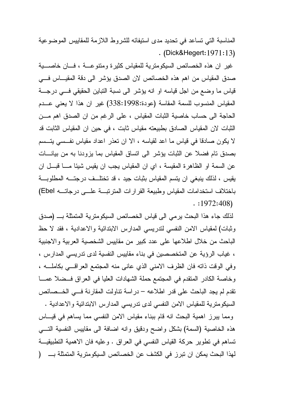المناسبة التي تساعد في تحديد مدى استيفائه للشروط اللازمة للمقاييس الموضوعية . (Dick&Hegert:1971:13)

غير ان هذه الخصائص السيكومترية للمقياس كثيرة ومتنوعـة ، فـان خاصـية صدق المقياس من اهم هذه الخصائص لان الصدق يؤشر الى دقة المقيـاس فـي قياس ما وضع من اجل قياسه او انه يؤشر الى نسبة التباين الحقيقي فـي درجـة المقياس المنسوب للسمة المقاسة (عودة338:1998:) غير ان هذا لا يعني عـدم الحاجة الى حساب خاصية الثبات المقياس ، على الرغم من ان الصدق اهم مـن الثبات لان المقياس الصادق بطبيعته مقياس ثابت ، في حين ان المقياس الثابت قد لا يكون صادقا في قياس ما اعد لقياسه ، الا ان تعذر اعداد مقياس نفـسي يتـسم بصدق تام فضلا عن الثبات يؤشر الى اتساق المقياس بما يزودنا به من بيانـات عن السمة او الظاهرة المقيسة ، اي ان المقياس يجب ان يقيس شيئا مـا قبـل ان يقيس ، لذلك ينبغي ان يتسم المقياس بثبات جيد ، قد تختلـف درجتـه المطلوبـة باختلاف استخدامات المقياس وطبيعة القرارات المترتبـة علـى درجاتـه Ebel(  $\cdot$  :1972:408)

لذلك جاء هذا البحث يرمي الى قياس الخصائص السيكومترية المتمثلة بـ (صدق وثبات) لمقياس الامن النفسي لتدريسي المدارس الابتدائية والاعدادية ، فقد لا حظ الباحث من خلال اطلاعها على عدد كبير من مقاييس الشخصية العربية والاجنبية ، غياب الرؤية عن المتخصصين في بناء مقاييس النفسية لدى تدريسي المدارس ، وفي الوقت ذاته فان الظرف الامني الذي عانى منه المجتمع العراقـي بكاملـه ، وخاصة الكادر المتقدم في المجتمع حملة الشهادات العليا في العراق فـضلا عمـا تقدم لم يجد الباحث على قدر اطلاعه – دراسة تناولت المقارنة فـي الخـصائص السيكومترية للمقياس الامن النفسي لدى تدريسي المدارس الابتدائية والاعدادية . ومما يبرز اهمية البحث انه قام ببناء مقياس الامن النفسي مما يساهم في قيـاس هذه الخاصية (السمة) بشكل واضح ودقيق وانه اضافة الى مقاييس النفسية التـي تساهم في تطوير حركة القياس النفسي في العراق . وعليه فان الاهمية التطبيقيـة لهذا البحث يمكن ان تبرز في الكشف عن الخصائص السيكومترية المتمثلة بـ (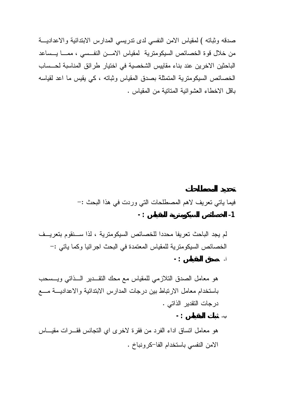صدقه وثباته ) لمقياس الامن النفسي لدى تدريسي المدارس الابتدائية والاعداديـة من خلال قوة الخصائص السيكومترية لمقياس الامـن النفـسي ، ممـا يـساعد الباحثين الاخرين عند بناء مقاييس الشخصية في اختيار طرائق المناسبة لحـساب الخصائص السيكومترية المتمثلة بصدق المقياس وثباته ، كي يقيس ما اعد لقياسه باقل الاخطاء العشوائية المتاتية من المقياس .

> فيما ياتي تعريف لاهم المصطلحات التي وردت في هذا البحث -: **-1 الخصائص السيكومترية للمقياس -:**

لم يجد الباحث تعريفا محددا للخصائص السيكومترية ، لذا سـنقوم بتعريـف الخصائص السيكومترية للمقياس المعتمدة في البحث اجرائيا وكما ياتي -: **<sup>أ</sup> - صدق المقياس -:**

هو معامل الصدق التلازمي للمقياس مع محك التقـدير الـذاتي ويـسحب باستخدام معامل الارتباط بين درجات المدارس الابتدائية والاعداديـة مـع درجات التقدير الذاتي . **<sup>ب</sup>- ثبات المقياس -:** هو معامل اتساق اداء الفرد من فقرة لاخرى اي التجانس فقـرات مقيـاس الامن النفسي باستخدام الفا-كرونباخ .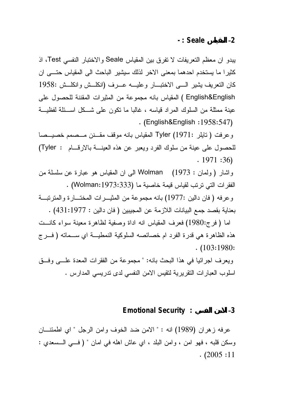يبدو ان معظم التعريفات لا تفرق بين المقياس Seale والاختبار النفسي Test، اذ كثيرا ما يستخدم احدهما بمعنى الاخر لذلك سيشير الباحث الى المقياس حتـى ان كان التعريف يشير الـى الاختبـار وعليـه عـرف (انكلـش وانكلـش 1958: English&English ( المقياس بانه مجموعة من المثيرات المقننة للحصول على عينة ممثلة من السلوك المراد قياسه ، غالبا ما تكون على شـكل اسـئلة لفظيـة . (English&English :1958:547)

وعرفت ( تايلر 1971:) Tyler المقياس بانه موقف مقـنن مـصمم خصيـصا للحصول على عينة من سلوك الفرد ويعبر عن هذه العينـة بالارقـام : Tyler( . 1971 :36)

واشار ( ولمان : 1973) Wolman الى ان المقياس هو عبارة عن سلسلة من الفقرات التي ترتب لقياس قيمة خاصية ما (:1973:333Wolman (.

وعرفه ( فان دالين 1977:) بانه مجموعة من المثيـرات المختـارة والمترتبـة بعناية بقصد جمع البيانات اللازمة عن المجيبين ( فان دالين : 431:1977) .

 اما ( فرج1980:) فعرف المقياس انه اداة وصفية لظاهرة معينة سواء كانـت هذه الظاهرة هي قدرة الفرد ام خصائصه السلوكية النمطيـة اي سـماته ( فـرج . (103:1980:

ويعرف اجرائيا في هذا البحث بانه: " مجموعة من الفقرات المعدة علـى وفـق اسلوب العبارات التقريرية لتقيس الامن النفسي لدى تدريسي المدارس .

### **-3 الامن النفسي : Security Emotional**

 عرفه زهران (1989) انه : " الامن ضد الخوف وامن الرجل " اي اطمئنـان وسكن قلبه ، فهو امن ، وامن البلد ، اي عاش اهله في امان " ( فـي الـسعدي :  $. (2005:11)$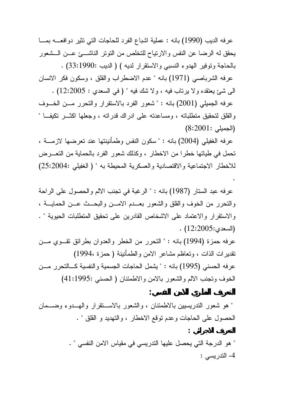عرفه الديب (1990) بانه : عملية اشباع الفرد للحاجات التي تثير دوافعـه بمـا يحقق له الرضا عن النفس والارتياح للتخلص من التوتر الناشـئ عـن الـشعور بالحاجة وتوفير الهدوء النسبي والاستقرار لديه ) ( الديب 33:1990:) . عرفه الشرباصي (1971) بانه " عدم الاضطراب والقلق ، وسكون فكر الانسان الى شئ يعتقده ولا يرتاب فيه ، ولا شك فيه " ( في السعدي : 12:2005) . عرفه الجميلي (2001) بانه : " شعور الفرد بالاستقرار والتحرر مـن الخـوف والقلق لتحقيق متطلباته ، ومساعدته على ادراك قدراته ، وجعلها اكثـر تكيفـا "  $(8:2001:$ الجميلي)

عرفه الغفيلي (2004) بانه : " سكون النفس وطمأنينتها عند تعرضها لازمـة ، تحمل في طياتها خطرا من الاخطار ، وكذلك شعور الفرد بالحماية من التعـرض للاخطار الاجتماعية والاقتصادية والعسكرية المحيطة به " ( الغفيلي 25:2004:) .

عرفه عبد الستار (1987) بانه : " الرغبة في تجنب الالم والحصول على الراحة والتحرر من الخوف والقلق والشعور بعـدم الامـن والبحـث عـن الحمايـة ، والاستقرار والاعتماد على الاشخاص القادرين على تحقيق المتطلبات الحيوية " .  $(12:2005:$ السعدي)

عرفه حمزة (1994) بانه : " التحرر من الخطر والعدوان بطرائق تقـوي مـن تقديرات الذات ، وتعاظم مشاعر الامن والطمأنينة ( حمزة 1994،) عرفه الحسني (1995) بانه : " يشمل الحاجات الجسمية والنفسية كـالتحرر مـن الخوف وتجنب الالم والشعور بالامن والاطمئنان ( الحسني 41:1995:)

**التعريف النظري للامن النفسي:** 

" هو شعور التدريسيين بالاطمئنان ، والشعور بالاسـتقرار والهـدوء وضـمان الحصول على الحاجات وعدم توقع الاخطار ، والتهديد و القلق " . **التعريف الاجرائي :** " هو الدرجة التي يحصل عليها التدريسي في مقياس الامن النفسي " . -4 التدريسي :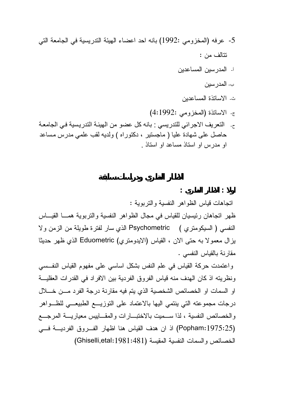- -5 عرفه (المخزومي 1992:) بانه احد اعضاء الهيئة التدريسية في الجامعة التي تتالف من :
	- <sup>أ</sup> المدرسين المساعدين
		- <sup>ب</sup> المدرسين
		- <sup>ث</sup> الاساتذة المساعدين
	- <sup>ج</sup> الاساتذة (المخزومي 4:1992:)
- ح- التعريف الاجرائي للتدريسي : بانه كل عضو من الهيئة التدريسية في الجامعة حاصل على شهادة عليا ( ماجستير ، دكتوراه ) ولديه لقب علمي مدرس مساعد او مدرس او استاذ مساعد او استاذ .

**اولا : الاطار النظري :** اتجاهات قياس الظواهر النفسية والتربوية : ظهر اتجاهان رئيسيان للقياس في مجال الظواهر النفسية والتربوية همـا القيـاس النفسي ( السيكومتري ) Psychometric الذي سار لفترة طويلة من الزمن ولا يزال معمولا به حتى الان ، القياس (الايدومتري) Eduometric الذي ظهر حديثا مقارنة بالقياس النفسي .

واعتمدت حركة القياس في علم النفس بشكل اساسي على مفهوم القياس النفـسي ونظريته اذ كان الهدف منه قياس الفروق الفردية بين الافراد في القدرات العقليـة او السمات او الخصائص الشخصية الذي يتم فيه مقارنة درجة الفرد مـن خـلال درجات مجموعته التي ينتمي اليها بالاعتماد على التوزيـع الطبيعـي للظـواهر والخصائص النفسية ، لذا سـميت بالاختبـارات والمقـاييس معياريـة المرجـع (:1975:25Popham (اذ ان هدف القياس هنا اظهار الفـروق الفرديـة فـي الخصائص والسمات النفسية المقيسة (Ghiselli,etal:1981:481)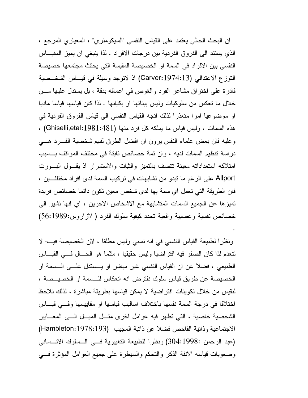ان البحث الحالي يعتمد على القياس النفسي "السيكومتري" ، المعياري المرجع ، الذي يستند الى الفروق الفردية بين درجات الافراد . لذا ينبغي ان يميز المقيـاس النفسي بين الافراد في السمة او الخصيصة المقيسة التي يحثث مجتمعها خصيصة التوزع الاعتدالي (:1974:13Carver (اذ لاتوجد وسيلة في قيـاس الشخـصية قادرة على اختراق مشاعر الفرد والغوص في اعماقه بدقة ، بل يستدل عليها مـن خلال ما تعكس من سلوكيات وليس ببنائها او بكيانها . لذا كان قياسها قياسا ماديا او موضوعيا امرا متعذرا لذلك اتجه القياس النفسي الى قياس الفروق الفردية في هذه السمات ، وليس قياس ما يملكه كل فرد منها (Ghiselli,etal:1981:481) ، وعليه فان بعض علماء النفس يرون ان افضل الطرق لفهم شخصية الفـرد هـي دراسة تنظيم السمات لديه ، وان ثمة خصائص ثابتة في مختلف المواقف بـسبب امتلاكه استعداداته معينة تتصف بالتميز والثبات والاستمرار اذ يقـول البـورت Allport على الرغم ما تبدو من تشابهات في تركيب السمة لدى افراد مختلفـين ، فان الطريقة التي تعمل اي سمة بها لدى شخص معين تكون دائما خصائص فريدة تميزها عن الجميع السمات المتشابهة مع الاشخاص الاخرين ، اي انها تشير الى خصائص نفسية وعصبية واقعية تحدد كيفية سلوك الفرد ( لازاروس56:1989:) .

ونظرا لطبيعة القياس النفسي في انه نسبي وليس مطلقا ، لان الخصيصة فيـه لا تنعدم لذا كان الصفر فيه افتراضيا وليس حقيقيا ، مثلما هو الحـال فـي القيـاس الطبيعي ، فضلا عن ان القياس النفسي غير مباشر او يـستدل علـى الـسمة او الخصيصة عن طريق قياس سلوك نفترض انه انعكاس للـسمة او الخصيـصة ، لنقيس من خلال تكوينات افتراضية لا يمكن قياسها بطريقة مباشرة ، لذلك نلاحظ اختلافا في درجة السمة نفسها باختلاف اساليب قياسها او مقاييسها وفـي قيـاس الشخصية خاصية ، التي تظهر فيه عوامل اخرى مثـل الميـل الـى المعـايير الاجتماعية وذاتية الفاحص فضلا عن ذاتية المجيب (:1978:193Hambleton( (عبد الرحمن 304:1998:) ونظرا للطبيعة التغييرية فـي الـسلوك الانـساني وصعوبات قياسه الانفة الذكر والتحكم والسيطرة على جميع العوامل المؤثرة فـي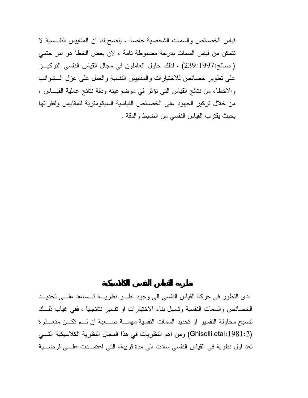قياس الخصائص والسمات الشخصية خاصة ، يتضح لنا ان المقاييس النفـسية لا تتمكن من قياس السمات بدرجة مضبوطة تامة ، لان بعض الخطا هو امر حتمي ( صالح239:1997:) ، لذلك حاول العاملون في مجال القياس النفسي التركيـز على تطوير خصائص للاختبارات والمقاييس النفسية والعمل على عزل الـشوائب والاخطاء من نتائج القياس التي تؤثر في موضوعيته ودقة نتائج عملية القيـاس ، من خلال تركيز الجهود على الخصائص القياسية السيكومترية للمقاييس ولفقراتها بحيث يقترب القياس النفسي من الضبط والدقة .

ادى التطور في حركة القياس النفسي الى وجود اطـر نظريـة تـساعد علـى تحديـد الخصائص والسمات النفسية وتسهل بناء الاختبارات او تفسير نتائجها ، ففي غياب ذلـك تصبح محاولة التفسير او تحديد السمات النفسية مهمـة صـعبة ان لـم تكـن متعـذرة (:1981:2etal,Ghiselli (ومن اهم النظريات في هذا المجال النظرية الكلاسيكية التـي تعد اول نظرية في القياس النفسي سادت الى مدة قريبة، التي اعتمـدت علـى فرضـية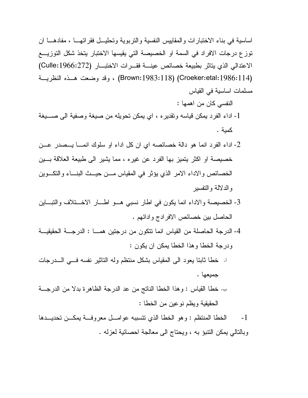اساسية في بناء الاختبارات والمقاييس النفسية والتربوية وتحليـل فقراتهـا ، مفادهـا ان توزع درجات الافراد في السمة او الخصيصة التي يقيسها الاختبار يتخذ شكل التوزيـع الاعتدالي الذي يتاثر بطبيعة خصائص عينـة فقـرات الاختبـار (:1966:272Culle( (Croeker:etal:1986:114) (:1983:118) وقد وضعت هـذه النظريـــة مسلمات اساسية في القياس

النفسي كان من اهمها :

- -1 اداء الفرد يمكن قياسه وتقديره ، اي يمكن تحويله من صيغة وصفية الى صـيغة كمية .
- -2 اداء الفرد انما هو دالة خصائصه اي ان كل اداء او سلوك انمـا يـصدر عـن خصيصة او اكثر يتميز بها الفرد عن غيره ، مما يشير الى طبيعة العلاقة بـين الخصائص والاداء الامر الذي يؤثر في المقياس مـن حيـث البنـاء والتكـوين والدلالة والتفسير
- -3 الخصيصة والاداء انما يكون في اطار نسبي هـو اطـار الاخـتلاف والتبـاين الحاصل بين خصائص الافرادج وادائهم .
- -4 الدرجة الحاصلة من القياس انما تتكون من درجتين همـا : الدرجـة الحقيقيـة ودرجة الخطا وهذا الخطا يمكن ان يكون :
- <sup>أ</sup> خطا ثابتا يعود الى المقياس بشكل منتظم وله التاثير نفسه فـي الـدرجات جميعها .
- <sup>ب</sup> خطا القياس : وهذا الخطا الناتج من عد الدرجة الظاهرة بدلا من الدرجـة الحقيقية ويظم نوعين من الخطا :
- -1 الخطا المنتظم : وهو الخطا الذي تتسببه عوامـل معروفـة يمكـن تحديـدها وبالتالي يمكن التنبؤ به ، ويحتاج الى معالجة احصائية لعزله .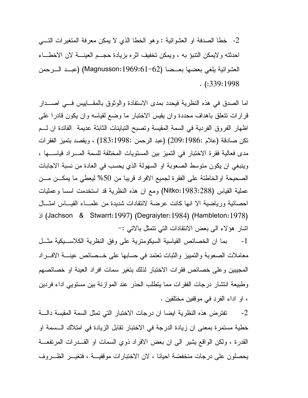-2 خطا الصدفة او العشوائية : وهو الخطا الذي لا يمكن معرفة المتغيرات التـي احدثته ولايمكن التنبؤ به ، ويمكن تخفيف اثره بزيادة حجـم العينـة لان الاخطـاء العشوائية يلغي بعضها بعـضا (:1969:61-62Magnusson) (عبـد الـرحمن . (:339:1998

اما الصدق في هذه النظرية فيحدد بمدى الاستفادة والوثوق بالمقـاييس فـي اصـدار قرارات تتعلق باهداف محددة وان يقيس الاختبار ما وضع لقياسه وان يكون قادرا على اظهار الفروق الفردية في السمة المقيسة وتصبح التباينات الثابتة عديمة الفائدة ان لـم تكن صادقة (علام 209:1986:) (عبد الرحمن 183:1998:) ، ويقصد بتميز الفقرات مدى فعالية فقرة الاختبار في التميز بين المستويات المختلفة للسمة المـراد قياسـها ، وينبغي ان يكون متوسط الصعوبة او السهولة الذي يحسب في العادة من نسبة الاجابات الصحيحة اوالخاطئة على الفقرة لجميع الافراد قريبا من %50 ليعطي ما يمكـن مـن عملية القياس (1983:288)Nitko ومع ان هذه النظرية قد استخدمت اسسا وعمليات احصائية ورياضية الا انها كانت عرضة لانتقادات شديدة من علمـاء القيـاس امثـال اذ) Jachson & Stwarrt:1997) (Degraiyter:1984) (Hambleton:1978) اشار هؤلاء الى بعض الانتقادات التي تتمثل بالاتي -:

-1 بما ان الخصائص القياسية السيكومترية على وفق النظرية الكلاسـيكية مثـل معاملات الصعوبة والتمييز والثبات تعتمد في حسابها على خـصائص عينـة الافـراد المجيبين وعلى خصائص فقرات الاختبار لذلك بتغير سمات افراد العينة او خصائصهم وطبيعة انتشار درجات الفقرات مما يتطلب الحذر عند الموازنة بين مستويي اداء فردين ، او اداء الفرد في موقفين مختلفين .

-2 تفترض هذه النظرية ايضا ان درجات الاختبار التي تمثل السمة المقيسة دالـة خطية مستمرة بمعنى ان زيادة الدرجة في الاختبار تقابل الزيادة في امتلاك الـسمة او القدرة ، ولكن الواقع يشير الى ان بعض الافراد ذوي السمات او القـدرات المرتفعـة يحصلون على درجات منخفضة احيانا ، لان الاختبارات موقفيـة ، فتغيـر الظـروف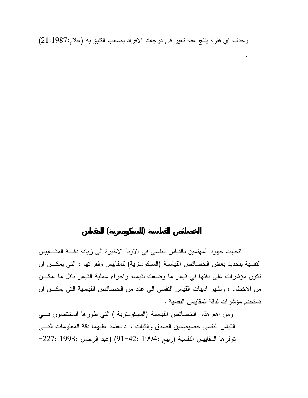وحذف اي فقرة ينتج عنه تغير في درجات الافراد يصعب التنبؤ به (علام21:1987:)

.

# **الخصائص القياسية (السيكومترية) للمقياس**

 اتجهت جهود المهتمين بالقياس النفسي في الاونة الاخيرة الى زيادة دقـة المقـاييس النفسية بتحديد بعض الخصائص القياسية (السيكومترية) للمقاييس وفقراتها ، التي يمكـن ان تكون مؤشرات على دقتها في قياس ما وضعت لقياسه واجراء عملية القياس باقل ما يمكـن من الاخطاء ، وتشير ادبيات القياس النفسي الى عدد من الخصائص القياسية التي يمكـن ان تستخدم مؤشرات لدقة المقاييس النفسية .

ومن اهم هذه الخصائص القياسية (السيكومترية ) التي طورها المختصون فـي القياس النفسي خصيصتين الصدق والثبات ، اذ تعتمد عليهما دقة المعلومات التـي توفرها المقاييس النفسية (ربيع 1994: 91-42:) (عبد الرحمن 1998: -227: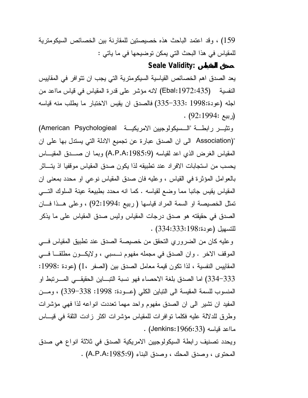159) ، وقد اعتمد الباحث هذه خصيصتين للمقارنة بين الخصائص السيكومترية للمقياس في هذا البحث التي يمكن توضيحها في ما ياتي :

#### **Seale Validity:**

يعد الصدق اهم الخصائص القياسية السيكومترية التي يجب ان تتوافر في المقاييس النفسية (:1972:435Ebal (لانه مؤشر على قدرة المقياس في قياس مااعد من اجله (عودة1998: 335-333:) فالصدق ان يقيس الاختبار ما يطلب منه قياسه . (ربيع 92:1994:)

وتثيـر رابطـة "الـسيكولوجيين الامريكيـة American Psychologieal) "(Association الى ان الصدق عبارة عن تجميع الادلة التي يستدل بها على ان المقياس الغرض الذي اعد لقياسه (:1985:9A.P.A (وبما ان صـدق المقيـاس يحسب من استجابات الافراد عند تطبيقه لذا يكون صدق المقياس موقفيا اذ يتـاثر بالعوامل المؤثرة في القياس ، وعليه فان صدق المقياس نوعي او محدد بمعنى ان المقياس يقيس جانبا مما وضع لقياسه . كما انه محدد بطبيعة عينة السلوك التـي تمثل الخصيصة او السمة المراد قياسها ( ربيع 92:1994:) ، وعلى هـذا فـان الصدق في حقيقته هو صدق درجات المقياس وليس صدق المقياس على ما يذكر للتسهيل (عودة334:333:198:) .

وعليه كان من الضروري التحقق من خصيصة الصدق عند تطبيق المقياس فـي الموقف الاخر . وان الصدق في مجمله مفهوم نـسبي ، ولايكـون مطلقـا فـي المقاييس النفسية ، لذا تكون قيمة معامل الصدق بين (الصفر 1،) (عودة :1998: 334-333) اما الصدق بلغة الاحصاء فهو نسبة التبـاين الحقيقـي المـرتبط او المنسوب للسمة المقيسة الى التباين الكلي (عـودة: :1998 339-338) ، ومـن المفيد ان تشير الى ان الصدق مفهوم واحد مهما تعددت انواعه لذا فهي مؤشرات وطرق للدلالة عليه فكلما توافرات للمقياس مؤشرات اكثر زادت الثقة في قيـاس مااعد قياسه (Jenkins:1966:33) .

ويحدد تصنيف رابطة السيكولوجيين الامريكية الصدق في ثلاثة انواع هي صدق المحتوى ، وصدق المحك ، وصدق البناء (:1985:9A.P.A (.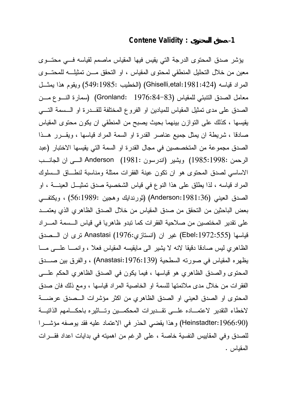يؤشر صدق المحتوى الدرجة التي يقيس فيها المقياس ماصمم لقياسه فـي محتـوى معين من خلال التحليل المنطقي لمحتوى المقياس ، او التحقق مـن تمثيلـه للمحتـوى المراد قياسه (Ghiselli,etal:1981:424) (الخطيب :549:1985) ويقوم هذا يمثــل معامل الصدق التنبئي للمقياس (1976:84-83 :Gronland) (سمارة النـوع مـن الصدق على مدى تمثيل المقياس للميادين او الفروع المختلفة للقـدرة او الـسمة التـي يقيسها ، كذلك على التوازن بينهما بحيث يصبح من المنطقي ان يكون محتوى المقياس صادقا ، شريطة ان يمثل جميع عناصر القدرة او السمة المراد قياسها ، ويقـرر هـذا الصدق مجموعة من المتخصصين في مجال القدرة او السمة التي يقيسها الاختبار (عبد الرحمن 1985:1998:) ويشير (اندرسون 1981:) Anderson الـى ان الجانـب الاساسي لصدق المحتوى هو ان تكون عينة الفقرات ممثلة ومناسبة لنطـاق الـسلوك المراد قياسه ، لذا يطلق على هذا النوع في قياس الشخصية صدق تمثيـل العينـة ، او الصدق العيني (:1981:36Anderson) (ثورندايك وهجين 56:1989:) ، ويكتفـي بعض الباحثين من التحقق من صدق المقياس من خلال الصدق الظاهري الذي يعتمـد على تقدير المختصين من صلاحية الفقرات كما تبدو ظاهريا في قياس الـسمة المـراد قياسها (Ebel:1972:555) غير ان (انستازي:Anastasi (1976 ترى ان الــصدق الظاهري ليس صادقا دقيقا لانه لا يشير الى مايقيسه المقياس فعلا ، وانمـا علـى مـا يظهره المقياس في صورته السطحية (Anastasi:1976:139) ، والفرق بين صــدق المحتوى والصدق الظاهري هو قياسها ، فيما يكون في الصدق الظاهري الحكم علـى الفقرات من خلال مدى ملائمتها للسمة او الخاصية المراد قياسها ، ومع ذلك فان صدق المحتوى او الصدق العيني او الصدق الظاهري من اكثر مؤشرات الـصدق عرضـة لاخطاء التقدير لاعتمـاده علـى تقـديرات المحكمـين وتـاثيره باحكـامهم الذاتيـة (:1966:90Heinstadter (وهذا يقضي الحذر في الاعتماد عليه فقد يوصفه مؤشـرا للصدق وفي المقاييس النفسية خاصة ، على الرغم من اهميته في بدايات اعداد فقـرات المقياس .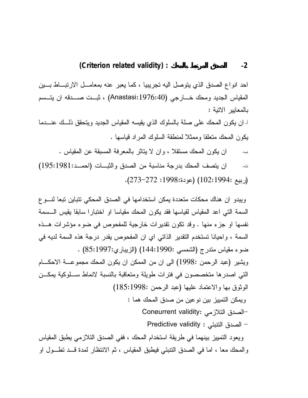احد انواع الصدق الذي يتوصل اليه تجريبيا ، كما يعبر عنه بمعامـل الارتبـاط بـين المقياس الجديد ومحك خـارجي (:1976:40Anastasi (، ثبـت صـدقه ان يتـسم بالمعايير الاتية :

<sup>أ</sup>- ان يكون المحك على صلة بالسلوك الذي يقيسه المقياس الجديد ويتحقق ذلـك عنـدما يكون المحك متعلقا وممثلا لمنطقة السلوك المراد قياسها .

<sup>ب</sup>- ان يكون المحك مستقلا ، وان لا يتاثر بالمعرفة المسبقة عن المقياس .

<sup>ت</sup>- ان يتصف المحك بدرجة مناسبة من الصدق والثبـات (احمـد195:1981:) (ربيع 102:1994:) (عودة:1998: 273-272).

ويبدو ان هناك محكات متعددة يمكن استخدامها في الصدق المحكي تتباين تبعا لنـوع السمة التي اعد المقياس لقياسها فقد يكون المحك مقياسا او اختبارا سابقا يقيس الـسمة نفسها او جزء منها . وقد تكون تقديرات خارجية للمفحوص في ضوء مؤشرات هـذه السمة ، واحيانا تستخدم التقدير الذاتي اي ان المفحوص يقدر درجة هذه السمة لديه في ضوء مقياس متدرج (الشمسي 144:1990:) (الزيباري85:1997:) . ويشير (عبد الرحمن 1998:) الى ان من الممكن ان يكون المحك مجموعـة الاحكـام التي اصدرها متخصصون في فترات طويلة ومتعاقبة بالنسبة لانماط سـلوكية يمكـن الوثوق بها والاعتماد عليها (عبد الرحمن 185:1998:) ويمكن التمييز بين نوعين من صدق المحك هما : - الصدق التنبئي : validity Predictive-Coneurrent validity: ألصدق التلازمي

 ويعود التمييز بينهما في طريقة استخدام المحك ، ففي الصدق التلازمي يطبق المقياس والمحك معا ، اما في الصدق التنبئي فيطبق المقياس ، ثم الانتظار لمدة قـد تطـول او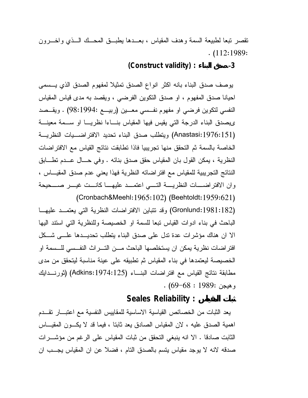تقصر تبعا لطبيعة السمة وهدف المقياس ، بعـدها يطبـق المحـك الـذي واخـرون . (112:1989:

## **(Construct validity)** :  $-3$

يوصف صدق البناء بانه اكثر انواع الصدق تمثيلا لمفهوم الصدق الذي يـسمى احيانا صدق المفهوم ، او صدق التكوين الفرضي ، ويقصد به مدى قياس المقياس النفسي لتكوين فرضي او مفهوم نفـسي معـين (ربيـع 98:1994:) . ويقـصد ىبصدق البناء الدرجة التي يقيس فيها المقياس بنـاءا نظريـا او سـمة معينـة (:1976:151Anastasi (ويتطلب صدق البناء تحديد الافتراضـيات النظريـة الخاصة بالسمة ثم التحقق منها تجريبيا فاذا تطابقت نتائج القياس مع الافتراضات النظرية ، يمكن القول بان المقياس حقق صدق بنائه . وفي حـال عـدم تطـابق النتائج التجريبية للمقياس مع افتراضاته النظرية فهذا يعني عدم صدق المقيـاس ، وان الافتراضــات النظريــة التــي اعتمــد عليهــا كانــت غيــر صــحيحة (Cronbach&Meehl:1965:102) (Beehtoldt:1959:621)

(:1981:182Gronlund (وقد تتباين الافتراضات النظرية التي يعتمـد عليهـا الباحث في بناء ادوات القياس تبعا للسمة او الخصيصة وللنظرية التي استند اليها الا ان هناك مؤشرات عدة تدل على صدق البناء يتطلب تحديـدها علـى شـكل افتراضات نظرية يمكن ان يستخلصها الباحث مـن التـراث النفـسي للـسمة او الخصيصة ليعتمدها في بناء المقياس ثم تطبيقه على عينة مناسبة ليتحقق من مدى مطابقة نتائج القياس مع افتراضات البنـاء (:1974:125Adkins) (ثورنـدايك وهيجن 1989: : 69-68) .

## **Seales Reliability :**

 يعد الثبات من الخصائص القياسية الاساسية للمقاييس النفسية مع اعتبـار تقـدم اهمية الصدق عليه ، لان المقياس الصادق يعد ثابتا ، فيما قد لا يكـون المقيـاس الثابت صادقا . الا انه ينبغي التحقق من ثبات المقياس على الرغم من مؤشـرات صدقه لانه لا يوجد مقياس يتسم بالصدق التام ، فضلا عن ان المقياس يجـب ان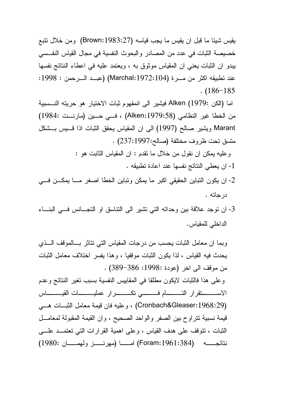يقيس شيئا ما قبل ان يقيس ما يجب قياسه (:1983:27Brown (ومن خلال تتبع خصيصة الثبات في عدد من المصادر والبحوث النفسية في مجال القياس النفـسي يبدو ان الثبات يعني ان المقياس موثوق به ، ويعتمد عليه في اعطاء النتائج نفسها عند تطبيقه اكثر من مـرة (:1972:104Marchal) (عبـد الـرحمن : :1998 . (186-185

اما (الكن 1979:) Alken فيشير الى انمفهوم ثبات الاختيار هو حريته النـسبية من الخطا غير النظامي (1979:58Alken) ، فـي حـين (مارنـت 1984:) Marant ويشير صالح (1997) الى ان المقياس يحقق الثبات اذا قـيس بـشكل متسق تحت ظروف مختلفة (صالح237:1997:) .

> وعليه يمكن ان نقول من خلال ما تقدم : ان المقياس الثابت هو : -1 ان يعطي النتائج نفسها عند اعادة تطبيقه .

- -2 ان يكون التباين الحقيقي اكبر ما يمكن وتباين الخطا اصغر مـا يمكـن فـي درجاته .
- -3 ان توجد علاقة بين وحداته التي تشير الى التناسق او التجـانس فـي البنـاء الداخلي للمقياس.

وبما ان معامل الثبات يحسب من درجات المقياس التي تتاثر بـالموقف الـذي يحدث فيه القياس ، لذا يكون الثبات موقفيا ، وهذا يفسر اختلاف معامل الثبات من موقف الى اخر (عودة :1998: 389-386) . وعلى هذا فالثبات لايكون مطلقا في المقاييس النفسية بسبب تغير النتائج وعدم الاســــتقرار التــــام فــــي تكــــرار عمليــــات القيــــاس (:1968:29Gleaser&Cronbach (، وعليه فان قيمة معامل الثبـات هـي قيمة نسبية تتراوح بين الصفر والواحد الصحيح ، وان القيمة المقبولة لمعامـل الثبات ، تتوقف على هدف القياس ، وعلى اهمية القرارات التي تعتمـد علـى نتائجــه (:1961:384Foram (امــا (مهرنــز ولهمــان 1980:)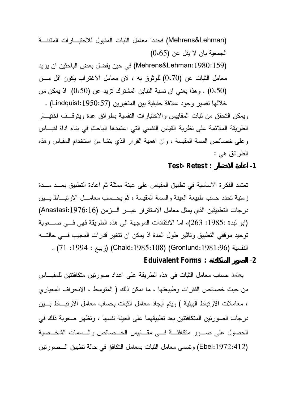(Lehman&Mehrens (فحددا معامل الثبات المقبول للاختبـارات المقننـة الجمعية بان لا يقل عن (0،65) (:1980:159Lehman&Mehrens (في حين يفضل بعض الباحثين ان يزيد معامل الثبات عن (0،70) للوثوق به ، لان معامل الاغتراب يكون اقل مـن (0،50) . وهذا يعني ان نسبة التباين المشترك تزيد عن (0،50) اذ يمكن من خلالها تفسير وجود علاقة حقيقية بين المتغيرين (:1950:57Lindquist (. ويمكن التحقق من ثبات المقاييس والاختبارات النفسية بطرائق عدة ويتوقـف اختيـار الطريقة الملائمة على نظرية القياس النفسي التي اعتمدها الباحث في بناء اداة لقيـاس وعلى خصائص السمة المقيسة ، وان اهمية القرار الذي ينشا من استخدام المقياس وهذه الطرائق هي :

**-1 اعادة الاختبار : Retest-Test**

تعتمد الفكرة الاساسية في تطبيق المقياس على عينة ممثلة ثم اعادة التطبيق بعـد مـدة زمنية تحدد حسب طبيعة العينة والسمة المقيسة ، ثم يحـسب معامـل الارتبـاط بـين درجات التطبيقين الذي يمثل معامل الاستقرار عبـر الـزمن (:1976:16Anastasi( (ابو لبدة :1985: 263)، اما الانتقادات الموجهة الى هذه الطريقة فهي فـي صـعوبة توحيد موقفي التطبيق وتاثير طول المدة اذ يمكن ان تتغير قدرات المجيب فـي حالتـه النفسية (:1981:96Gronlund) (:1985:108Chaid) (ربيع : :1994 71) .

**-2 الصور المتكافئة : Forms Eduivalent**

 يعتمد حساب معامل الثبات في هذه الطريقة على اعداد صورتين متكافئتين للمقيـاس من حيث خصائص الفقرات وطبيعتها ، ما امكن ذلك ( المتوسط ، الانحراف المعياري ، معاملات الارتباط البيئية ) ويتم ايجاد معامل الثبات بحساب معامل الارتبـاط بـين درجات الصورتين المتكافئتين بعد تطبيقهما على العينة نفسها ، وتظهر صعوبة ذلك في الحصول على صـور متكافئـة فـي مقـاييس الخـصائص والـسمات الشخـصية (:1972:412Ebel (وتسمى معامل الثبات بمعامل التكافؤ في حالة تطبيق الـصورتين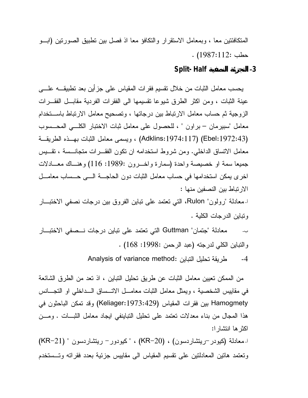المتكافئتين معا ، وبمعامل الاستقرار والتكافؤ معا اذ فصل بين تطبيق الصورتين (ابـو  $(1987:112:$ حطب

## **-3 التجزئة النصفية Half-Split**

 يحسب معامل الثبات من خلال تقسيم فقرات المقياس على جزأين بعد تطبيقـه علـى عينة الثبات ، ومن اكثر الطرق شيوعا تقسيمها الى الفقرات الفردية مقابـل الفقـرات الزوجية ثم حساب معامل الارتباط بين درجاتها ، وتصحيح معامل الارتباط باسـتخدام معامل "سبيرمان – براون " ، للحصول على معامل ثبات الاختبار الكلـي المحـسوب (Ebel:1972:43) (Adklins:1974:117) ، ويسمى معامل الثبات بهــذه الطريقــة معامل الاتساق الداخلي. ومن شروط استخدامه ان تكون الفقـرات متجانـسة ، تقـيس جميعا سمة او خصيصة واحدة (سمارة واخـرون :1989: 116) وهنـاك معـادلات اخرى يمكن استخدامها في حساب معامل الثبات دون الحاجـة الـى حـساب معامـل الارتباط بين النصفين منها :

<sup>أ</sup>-معادلة "رولون" Rulon، التي تعتمد على تباين الفروق بين درجات نصفي الاختبـار وتباين الدرجات الكلية .

<sup>ب</sup>- معادلة "جتمان" Guttman التي تعتمد على تباين درجات نـصفي الاختبـار والتباين الكلي لدرجته (عبد الرحمن :1998: 168) .

Analysis of variance method: التباين تحليل طريقة -4

 من الممكن تعيين معامل الثبات عن طريق تحليل التباين ، اذ تعد من الطرق الشائعة في مقاييس الشخصية ، ويمثل معامل الثبات معامـل الاتـساق الـداخلي او التجـانس Hamogmety بين فقرات المقياس (:1973:429Keliager (وقد تمكن الباحثون في هذا المجال من بناء معدلات تعتمد على تحليل التباينفي ايجاد معامل الثبـات . ومـن اكثرها انتشارا:

<sup>أ</sup>-معادلة (كيودر-ريتشاردسون) ، (-20KR (، " كيودور- ريتشاردسون " (-21KR ( وتعتمد هاتين المعادلتين على تقسيم المقياس الى مقاييس جزئية بعدد فقراته وتـستخدم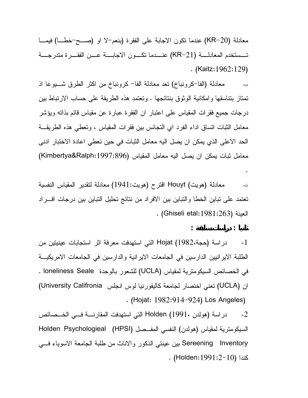معادلة (KR-20) عندما تكون الاجابة على الفقرة (بنعم<sup>-</sup>لا او (صـــح-خطــا) فيمـــا تــستخدم المعادلــة (-21KR (عنــدما تكــون الاجابــة عــن الفقــرة متدرجــة . (Kaitz:1962:129)

<sup>ب</sup>- معادلة (الفا-كرونباخ) تعد معادلة الفا- كرونباخ من اكثر الطرق شـيوعا اذ تمتاز بتناسقها وامكانية الوثوق بنتائجها . وتعتمد هذه الطريقة على حساب الارتباط بين درجات جميع فقرات المقياس على اعتبار ان الفقرة عبارة عن مقياس قائم بذاته ويؤشر معامل الثبات اتساق اداء الفرد اي التجانس بين فقرات المقياس ، وتعطي هذه الطريقـة الحد الاعلى الذي يمكن ان يصل اليه معامل الثبات في حين تعطي اعادة الاختبار ادنى معامل ثبات يمكن ان يصل اليه معامل المقياس (Kimbertya&Ralph:1997:896) .

<sup>ت</sup>- معادلة (هويت) Houyt اقترح (هويت1941:) معادلة لتقدير المقياس النفسية تعتمد على تباين الخطا والتباين بين الافراد من نتائج تحليل التباين بين درجات افـراد . (Ghiseli etal:1981:263) العينة

**ثانيا : دراسات سابقة :**

-1 دراسة (حجة1982،) Hojat التي استهدفت معرفة اثر استجابات عينيتين من الطلبة الايرانيين الدارسين في الجامعات الايرانية والدارسين في الجامعات الامريكيـة في الخصائص السيكومترية لمقياس (UCLA (للشعور بالوحدة Seale loneliness . ان (UCLA (تعني اختصار لجامعة كاليفورنيا لوس انجلس Califronia University( . (Hojat: 1982:914-924) Los Angeles)

-2 دراسة (هولدن 1991،) Holden التي استهدفت المقارنـة فـي الخـصائص السيكومترية لمقياس (هولدن) النفسي المفـصل (HPSI (Psychologieal Holden Inventory Sereening بين عينتي الذكور والاناث من طلبة الجامعة الاسوياء فـي  $.$  (Holden:1991:2-10) كندا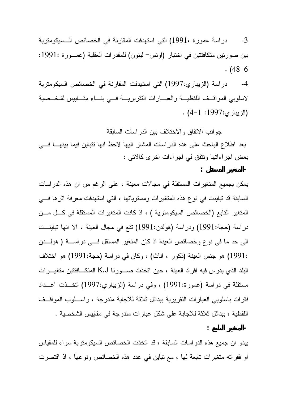-3 دراسة عمورة 1991،) التي استهدفت المقارنة في الخصائص الـسيكومترية بين صورتين متكافئتين في اختبار (اوتس- لينون) للمقدرات العقلية (عمـورة :1991: . (48-6

-4 دراسة (الزيباري1997،) التي استهدفت المقارنة في الخصائص السيكومترية لاسلوبي المواقـف اللفظيـة والعبـارات التقريريـة فـي بنـاء مقـاييس لشخـصية (الزيباري:1997: 4-1) .

 جوانب الاتفاق والاختلاف بين الدراسات السابقة بعد اطلاع الباحث على هذه الدراسات المشار اليها لاحظ انها تتباين فيما بينهـا فـي بعض اجراءاتها وتتفق في اجراءات اخرى كالاتي : **المتغير المستقل :**

يمكن بجميع المتغيرات المستقلة في مجالات معينة ، على الرغم من ان هذه الدراسات**-**السابقة قد تباينت في نوع هذه المتغيرات ومستوياتها ، التي استهدفت معرفة اثرها فـي المتغير التابع (الخصائص السيكومترية ) ، اذ كانت المتغيرات المستقلة في كـل مـن دراسة (حجة1991:) ودراسة (هولدن1991:) تقع في مجال العينة ، الا انها تباينـت الى حد ما في نوع وخصائص العينة اذ كان المتغير المستقل فـي دراسـة ( هولـدن 1991:) هو جنس العينة (ذكور ، اناث) ، وكان في دراسة (حجة1991:) هو اختلاف البلد الذي يدرس فيه افراد العينة ، حين اتخذت صـورتا J.K المتكـافئتين متغيـرات مستقلة في دراسة (عمورة1991:) ، وفي دراسة (الزيباري1997:) اتخـذت اعـداد فقرات باسلوبي العبارات التقريرية ببدائل ثلاثة للاجابة متدرجة ، واسـلوب المواقـف اللفظية ، ببدائل ثلاثة للاجابة على شكل عبارات متدرجة في مقاييس الشخصية . **المتغير التابع :**

يبدو ان جميع هذه الدراسات السابقة ، قد اتخذت الخصائص السيكومترية سواء للمقياس**-**او فقراته متغيرات تابعة لها ، مع تباين في عدد هذه الخصائص ونوعها ، اذ اقتصرت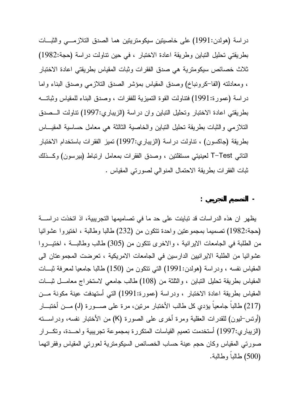دراسة (هولدن1991:) على خاصيتين سيكومتريتين هما الصدق التلازمـي والثبـات بطريقتي تحليل التباين وطريقة اعادة الاختبار ، في حين تناولت دراسة (حجة1982:) ثلاث خصائص سيكومترية هي صدق الفقرات وثبات المقياس بطريقتي اعادة الاختبار ، ومعادلته (الفا-كرونباخ) وصدق المقياس بمؤشر الصدق التلازمي وصدق البناء واما دراسة (عمورة1991:) فتناولت القوة التميزية للفقرات ، وصدق البناء للمقياس وثباتـه بطريقتي اعادة الاختبار وتحليل التباين وان دراسة (الزيباري1997:) تناولت الـصدق التلازمي والثبات بطريقة تحليل التباين والخاصية الثالثة هي معامل حساسية المقيـاس بطريقة (جاكسون) ، تناولت دراسة (الزيباري1997:) تميز الفقرات باستخدام الاختبار التائي Test-T لعينيتي مستقلتين ، وصدق الفقرات بمعامل ارتباط (بيرسون) وكـذلك ثبات الفقرات بطريقة الاحتمال المنوالي لصورتي المقياس .

 يظهر ان هذه الدراسات قد تباينت على حد ما في تصاميمها التجريبية، اذ اتخذت دراسـة (حجة1982:) تصميما بمجموعتين واحدة تتكون من (232) طالبا وطالبة ، اختيروا عشوائيا من الطلبة في الجامعات الايرانية ، والاخرى تتكون من (305) طالب وطالبـة ، اختيـروا عشوائيا من الطلبة الايرانيين الدارسين في الجامعات الامريكية ، تعرضت المجموعتان الى المقياس نفسه ، ودراسة (هولدن1991:) التي تتكون من (150) طالبا جامعيا لمعرفة ثبـات المقياس بطريقة تحليل التباين ، والثلثة من (108) طالب جامعي لاستخراج معامـل ثبـات المقياس بطريقة اعادة الاختبار ، ودراسة (عمورة1991:) التي أستهدفت عينة مكونة مـن (217) طالباً جامعياً يؤدي كل طالب الأختبار مرتين، مرة على صـورة (J (مـن أختبـار (أوتس-ليون) للقدرات العقلية ومرة أخرى على الصورة (K (من الأختبار نفسه، ودراسـته (الزيباري1997:) أستخدمت تعميم القياسات المتكررة بمجموعة تجريبية واحـدة، وتكـرار صورتي المقياس وكان حجم عينة حساب الخصائص السيكومترية لعورتي المقياس وفقراتهما (500) طالباً وطالبة.

**- التصميم التجريبي :**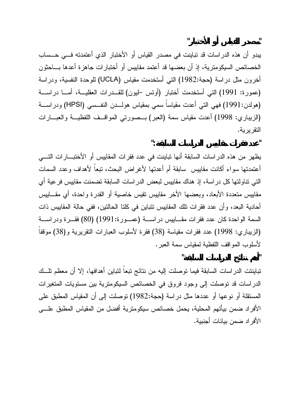يبدو أن هذه الدراسات قد تباينت في مصدر القياس أو الأختبار الذي أعتمدته فـي حـساب الخصائص السيكومترية، إذ أن بعضها قد أعتمد مقاييس أو أختبارات جاهزة أعدها بـاحثون أخرون مثل دراسة (حجة1982:) التي أستخدمت مقياس (UCLA (للوحدة النفسية، ودراسة (عمورة: 1991) التي أستخدمت أختبار (أوتس –ليون) للقـدرات العقليـة، أمـا دراسـة (هولدن1991:) فهي التي أعدت مقياساً سمي بمقياس هولـدن النفـسي (HPSI (ودراسـة (الزيباري: 1998) أعدت مقياس سمة (العبر) بـصورتي المواقـف اللفظيـة والعبـارات التقريرية.

**"مصدر القياس أو الأختبار"**

**"أهم نتائج الدراسات السابقة"**

**"عدد فقرات مقاييس الدراسات السابقة:"**

يظهر من هذه الدراسات السابقة أنها تباينت في عدد فقرات المقاييس أو الأختبـارات التـي أعتمدتها سواء أكانت مقاييس سابقة أم أعدتها لأغراض البحث، تبعاً لأهداف وعدد السمات التي تناولتها كل دراسة، إذ هناك مقاييس لبعض الدراسات السابقة تضمنت مقاييس فرعية أي مقاييس متعددة الأبعاد، وبعضها الأخر مقاييس تقيس خاصية أو القدرة واحدة، أي مقـاييس أحادية البعد، وأن عدد فقرات تلك المقاييس تتباين في كلتا الحالتين، ففي حالة المقاييس ذات السمة الواحدة كان عدد فقرات مقـاييس دراسـة (عمـورة1991:) (80) فقـرة ودراسـة (الزيباري: 1998) عدد فقرات مقياسة (38) فقرة لأسلوب العبارات التقريرية و(38) موقفاً لأسلوب المواقف اللفظية لمقياس سمة العبر.

تباينتت الدراسات السابقة فيما توصلت إليه من نتائج تبعاً لتباين أهدافها، إلا أن معظم تلـك الدراسات قد توصلت إلى وجود فروق في الخصائص السيكومترية بين مستويات المتغيرات المستقلة أو نوعها أو عددها مثل دراسة (حجة1982:) توصلت إلى أن المقياس المطبق على الأفراد ضمن بيأتهم المحلية، يحمل خصائص سيكومترية أفضل من المقياس المطبق علـى الأفراد ضمن بيانات أجنبية.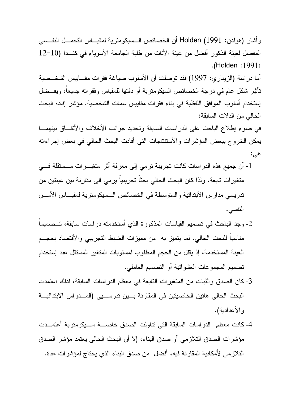وأشار (هولدن: 1991) Holden أن الخصائص الـسيكومترية لمقيـاس التحمـل النفـسي المفصل لعينة الذكور أفضل من عينة الأناث من طلبة الجامعة الأسوياء في كنـدا (12-10 .(Holden :1991:

أما دراسة (الزيباري: 1997) فقد توصلت أن الأسلوب صياغة فقرات مقـاييس الشخـصية تأثير شكل عام في درجة الخصائص السيكومترية أو دقتها للمقياس وفقراته جميعاً، ويفـضل إستخدام أسلوب الموافق اللفظية في بناء فقرات مقاييس سمات الشخصية. مؤشر إفاده البحث الحالي من الدلات السابقة:

في ضوء إطلاع الباحث على الدراسات السابقة وتحديد جوانب الأخلاف والأتفـاق بينهمـا يمكن الخروج ببعض المؤشرات والأستنتاجات التي أفادت البحث الحالي في بعض إجراءاته هي:

- -1 أن جميع هذه الدراسات كانت تجريبة ترمي إلى معرفة أثر متغيـرات مـستقلة فـي متغيرات تابعة، ولذا كان البحث الحالي بحثاً تجريبياً يرمي الى مقارنة بين عينتين من تدريسي مدارس الأبتدائية والمتوسطة في الخصائص الـسيكومترية لمقيـاس الأمـن النفسي.
- -2 وجد الباحث في تصميم القياسات المذكورة الذي أستخدمته دراسات سابقة، تـصميماً مناسباً للبحث الحالي، لما يتميز به من مميزات الضبط التجريبي والأقتصاد بحجـم العينة المستخدمة، إذ يقلل من الحجم المطلوب لمستويات المتغير المستقل عند إستخدام تصميم المجموعات العشوائية أو التصميم العاملي.
- -3 كان الصدق والثبات من المتغيرات التابعة في معظم الدراسات السابقة، لذلك اعتمدت البحث الحالي هاتين الخاصيتين في المقارنة بـين تدرسـيي (المـدراس الابتدائيـة والأعدادية).
- -4 كانت معظم الدراسات السابقة التي تناولت الصدق خاصـة سـيكومترية أعتمـدت مؤشرات الصدق التلازمي أو صدق البناء، إلا أن البحث الحالي يعتمد مؤشر الصدق التلازمي لأمكانية المقارنة فيه، أفضل من صدق البناء الذي يحتاج لمؤشرات عدة.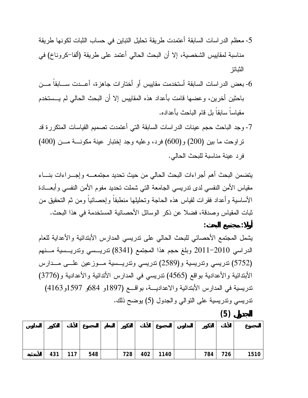- -5 معظم الدراسات السابقة أعتمدت طريقة تحليل التباين في حساب الثبات لكونها طريقة مناسبة لمقاييس الشخصية، إلا أن البحث الحالي أعتمد على طريقة (ألفا-كروناخ) في الثباتز
- -6 بعض الدراسات السابقة أستخدمت مقاييس أو أختارات جاهزة، أعـدت سـابقاً مـن باحثين أخرين، وعضها قامت بأعداد هذه المقاييس إلا أن البحث الحالي لم يـستخدم مقياساً سابقاً بل قام الباحث بأعداده.
- -7 وجد الباحث حجم عينات الدراسات السابقة التي أعتمدت تصميم القياسات المتكررة قد تراوحت ما بين (200) و(600) فرد، وعليه وجد إختبار عينة مكونـة مـن (400) فرد عينة مناسبة للبحث الحالي.

يتضمن البحث أهم أجراءات البحث الحالي من حيث تحديد مجتمعـه وإجـراءات بنـاء مقياس الأمن النفسي لدى تدريسي الجامعة التي شملت تحديد مفوم الأمن النفسي وأبعـادة الأساسية وأعداد فقرات لقياس هذه الحاجة وتحليلها منطبقاً وإحصائياً ومن ثم التحقيق من ثبات المقياس وصدقة، فضلا عن ذكر الوسائل الأحصائية المستخدمة في هذا البحث. **أولا: مجتمع البحث:**

يشمل المجتمع الأحصائي للبحث الحالي على تدريسي المدارس الأبتدائية والأعداية للعام الدراسي 2011-2010 وبلغ حجم هذا المجتمع (8341) تدريـسي وتدريـسية مـنهم (5752) تدريسي وتدريسية و(2589) تدريسي وتدريـسية مـوزعين علـى مـدارس الأبتدائية والأعدادية بواقع (4565) تدريسي في المدارس الأتدائية والأعدادية و(3776) تدريسية في المدارس الأبتدائية والاعداديـة، بواقـع (1897و 684و 1597و4163) تدريسي وتدريسية على التوالي والجدول (5) يوضح ذلك.

**الجدول (5)**

| 431 | 117 | 548 | 728 | 402 | 1140 | 784 | 726 | 1510 |
|-----|-----|-----|-----|-----|------|-----|-----|------|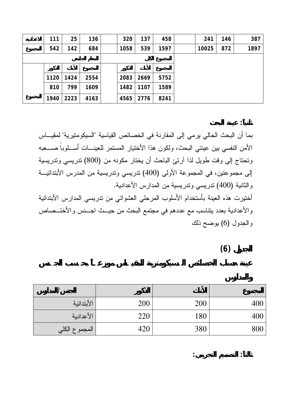| 111  | 25   | 136  | 320  | 137  | 458  | 241   | 146 | 387  |
|------|------|------|------|------|------|-------|-----|------|
| 542  | 142  | 684  | 1058 | 539  | 1597 | 10025 | 872 | 1897 |
|      |      |      |      |      |      |       |     |      |
|      |      |      |      |      |      |       |     |      |
| 1120 | 1424 | 2554 | 2083 | 2669 | 5752 |       |     |      |
| 810  | 799  | 1609 | 1482 | 1107 | 1589 |       |     |      |
| 1940 | 2223 | 4163 | 4565 | 2776 | 8241 |       |     |      |

بما أن البحث الحالي يرمي إلى المقارنة في الخصائص القياسية "السيكومتيرية" لمقيـاس الأمن النفسي بين عينتي البحث، ولكون هذا الأختيار المستمر للعينـات أسـلوباً صـعبه وتحتاج إلى وقت طويل لذا آرتئ الباحث أن يختار مكونه من (800) تدريسي وتدريسية إلى مجموعتين، في المجموعة الأولى (400) تدريسي وتدريسية من المدرس الأبتدائيـة والثانية (400) تدريسي وتدريسية من المدارس الأعدادية. أختيرت هذه العينة بأستخدام الأسلوب المرحلي العشوائي من تدريسي المدارس الأبتدائية والأعدادية بعدد يتناسب مع عددهم في مجتمع البحث من حيـث اجـنس والأختـصاص والجدول (6) يوضح ذلك

**الجدول (6)**

**ثالث : التصميم التجريبي:**

**ثانياً: عينة البحث**

| الأبتدائية    | 200 | 200 | 400 |
|---------------|-----|-----|-----|
| الأعدادية     | 220 | 180 | 400 |
| المجموع الكلي | 420 | 380 | 800 |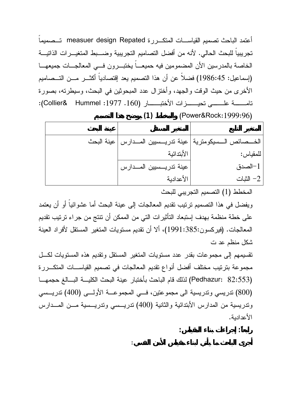أعتمد الباحث تصميم القياسـات المتكـررة Repated design measuer تـصميماً تجريبياً للبحث الحالي. لأنه من أفضل التصاميم التجريبية وضـبط المتغيـرات الذاتيـة الخاصة بالمدرسين الأن المضمومين فيه حميعـاً يختبـرون فـي المعالجـات جميعهـا (إسماعيل: 1986:45) فضلاً عن أن هذا التصميم يعد إقتصادياً أكثـر مـن التـصاميم الأخرى من حيث الوقت والجهد، وأختزال عدد المبحوثين في البحث، وسيطرته، بصورة تامــــــة علــــــى تحيـــــزات الأختبــــــار (160. Collier& Hummel): (:1999:96Rock&Power (**والمخطط (1) يوضح هذا التصميم**

| الخـــصائص الـــسيكومترية   عينة تدريـــسيين المـــدارس   عينة البحث |                           |  |
|----------------------------------------------------------------------|---------------------------|--|
| للمقياس:                                                             | الأبتدائية                |  |
| الصدق $-1$                                                           | عينة تدريــسيين المــدارس |  |
| الثبات $-2$                                                          | الأعدادية                 |  |

المخطط (1) التصميم التجريبي للبحث ويفضل في هذا التصميم ترتيب تقديم المعالجات إلى عينة البحث أما عشوائياً أو أن يعتمد على خطة منظمة بهدف إستبعاد التأثيرات التي من الممكن أن تنتج من جراء ترتيب تقديم المعالجات. (فيركسون1991:385:)، ألا أن تقديم مستويات المتغير المستقل لأفراد العينة شكل منظم عد ت

تقسيمهم إلى مجموعات بقدر عدد مستويات المتغير المستقل وتقديم هذه المستويات لكـل مجموعة بترتيب مختلف أفضل أنواع تقديم المعالجات في تصميم القياسـات المتكـررة (82:553 :Pedhazur (لذلك قام الباحث بأختبار عينة البحث الكليـة البـالغ حجمهـا (800) تدريسي وتدريسية الى مجموعتين، فـي المجموعـة الأولـى (400) تدريـسي وتدريسية من المدارس الأبتدائية والثانية (400) تدريـسي وتدريـسية مـن المـدارس الأعدادية.

**رابعاً: إجراءات بناء المقياس:**

**أجرى الباحث ما يأتي لبناء مقياس الأمن النفسي**: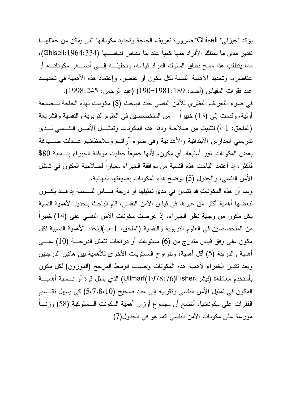يؤكد "جيزلي" Ghiseli "ضرورة تعريف الحاجة وتحديد مكوناتها التي يمكن من خلالهـا تقدير مدى ما يمتلك الأفراد منها كمياً عند بنا مقياس لقياســـها (Ghiseli:1964:334)، مما يتطلب هذا مسح نطاق السلوك المراد قياسه، وتحليلـه إلـى أصـغر مكوناتـه أو عناصره، وتحديد الأهمية النسبة لكل مكون أو عنصر، وإعتماد هذه الأهمية في تحديـد عدد فقرات المقياس (أحمد: 190-1981:189) (عبد الرحمن: 1998:245). في ضوء التعريف النظري للأمن النفسي حدد الباحث (8) مكونات لهذه الحاجة بـصيغة

أولية، وقدمت إلى (13) خبيراً من المتخصصين في العلوم التربوية والنفسية والشريعة (الملحق: -1أ) لتثبيت من صلاحية ودقة هذه المكونات وتمثيـل الأمـن النفـسي لـدى تدريسي المدارس الأبتدائية والأعدادية وفي ضوء آرائهم وملاحظاتهم عـدلت صـياغة بعض المكونات غير أستبعاد أي مكون، لأنها جميعاً حظيت موافقة الخبراء بنـسبة \$80 فأكثر، إذ أعتمد الباحث هذه النسبة من موافقة الخبراء معياراً لصلاحية المكون في تمثيل الأمن النفسي، والجدول (5) يوضح هذه المكونات بصيغتها النهائية.

وبما أن هذه المكونات قد تتباين في مدى تمثيلها أو درجة قيـاس للـسمة إذ قـد يكـون لبعضها أهمية أكثر من غيرها في قياس الأمن النفسي، قام الباحث بتحديد الأهمية النسبة بكل مكون من وجهة نظر الخبراء، إذ عرضت مكونات الأمن النفسي على (14) خبيراً من المتخصصين في العلوم التربوية والنفسية (الملحق، -1ب)ليتحدد الأهمية النسبية لكل مكون على وفق قياس متدرج من (6) مستويات أو دراجات تتمثل الدرجـة (10) علـى أهمية والدرجة (5) أقل أهمية، وتتراوح المستويات الأخرى للأهمية بين هاتين الدرجتين ويعد تقدير الخبراء لأهمية هذه المكونات وحساب الوسط المرجح (الموزون) لكل مكون بأستخدم معادلةة (فيشر،Fisher)1978:76(Ullmarf (الذي يمثل قوة أو نـسبة أهميـة المكون في تمثيل الأمن النفسي وتقريبه إلى عدد صحيح (5،7،8،10) كي يسهل تقـسيم الفقرات على مكوناتها، أتضح أن مجموع أوزان أهمية المكونت الـسلوكية (58) وزنـاً موزعة على مكونات الأمن النفسي كما هو في الجدول(7)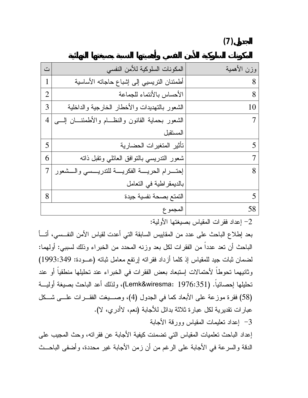| د می           | المكونات السلوكية للأمن النفسي                              | وزن الأهمية |
|----------------|-------------------------------------------------------------|-------------|
| 1              | أطمئنان التريسيي إلى إشباع حاجاته الأساسية                  | 8           |
| $\overline{2}$ | الأحساس بالأنتماء للجماعة                                   | 8           |
| 3              | الشعور بالتهديدات والأخطار الخارجية والداخلية               | 10          |
| $\overline{4}$ | الشعور بحماية القانون والنظــام والأطمئنـــان الســى        | 7           |
|                | المستقبل                                                    |             |
| 5              | تأثير المتغيرات الحضارية                                    |             |
| 6              | شعور الندريسي بالنوافق العائلي ونقبل ذانه                   |             |
| 7              | إحتــــرام الحريـــــة الفكريــــة للندريــــسى والــــشعور | 8           |
|                | بالديمقر اطية في التعامل                                    |             |
| 8              | التمتع بصحة نفسية جيدة                                      | 5           |
|                | المجمو ع                                                    | 58          |

- اعداد فقر ات المقباس بصبغتها الأولية:  $-2$ 

بعد إطلاع الباحث على عدد من المقاييس السابقة التي أعدت لقياس الأمن النفـسي، أتـأ الباحث أن تعد عدداً من الفقرات لكل بعد وزنه المحدد من الخبراء وذلك لسببي: أولهما: لضمان ثبات جيد للمقياس إذ كلما أزداد فقراته إرتفع معامل ثباته (عـودة: 1993:349) وثانيهما تحوطاً لأحتمالات إستبعاد بعض الفقرات في الخبراء عند تحليلها منطقياً أو عند تحليلها إحصائياً. (1976:351 :wiresma&Lemk(، ولذلك أعد الباحث بصيغة أوليـة (58) فقرة موزعة على الأبعاد كما في الجدول (4)، وصـيغت الفقـرات علـى شـكل عبارات تقديرية لكل عبارة ثلاثة بدائل للأجابة (نعم، لاأدري، لا). -3 إعداد تعليمات المقياس وورقة الأجابة إعداد الباحث تعلميات المقياس التي تضمنت كيفية الأجابة عن فقراته، وحث المجيب على

الدقة والسرعة في الأجابة على الرغم من أن زمن الأجابة غير محددة، وأضفى الباحـث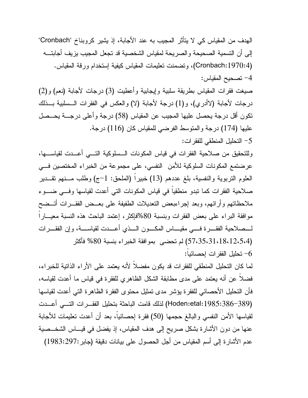الهدف من المقياس كي لا يتأثر المجيب به عند الأجابة، إذ يشير كروبناخ "Cronbach " إلى أن التسمية الصحيحة والصريحة لمقياس الشخصية قد تجعل المجيب يزيف أجابتـه (:1970:4Cronbach(، وتضمنت تعليمات المقياس كيفية إستخدام ورقة المقياس. -4 تصحيح المقياس:

صيغت فقرات المقياس بطريقة سلبية وإيجابية وأعطيت (3) درجات لأجابة (نعم) و(2) درجات لأجابة (لاأدري)، و(1) درجة لأجابة (لا) والعكس في الفقرات الـسلبية بـذلك تكون أقل درجة يحصل عليها المجيب عن المقياس (58) درجة وأعلى درجـة يحـصل عليها (174) درجة والمتوسط الفرضي للمقياس كان (116) درجة. -5 التحليل المنطقي للفقرات:

وللتحقيق من صلاحية الفقرات في قياس المكونات الـسلوكية التـي أعـدت لقياسـها، عرضتمع المكونات السلوكية للأمن النفسي، على مجموعة من الخبراء المختصين فـي العلوم التربوية والنفسية، بلغ عددهم (13) خبيراً (الملحق: -1ج) وطلب مـنهم تقـدير صلاحية الفقرات كما تبدو منطقياً في قياس المكونات التي أعدت لقياسها وفـي ضـوء ملاحظاتهم وأرائهم، وبعد إجراءبعض التعديلات الطفيفة على بعـض الفقـرات أتـضح موافقة البراء على بعض الفقرات وبنسبة %80فإكثر، إعتمد الباحث هذه النسبة معيـاراً لــصلاحية الفقــرة فــي مقيــاس المكــون الــذي أعــدت لقياســة، وإن الفقــرات (57،35،31،18،12،5،4) لم تحضى بموافقة الخبراء بنسبة %80 فأكثر

-6 تحليل الفقرات إحصائياً:

لما كان التحليل المنطقي للفقرات قد يكون مفضلاً لأنه يعتمد على الأراء الذاتية للخبراء، فضلاً عن أنه يعتمد على مدى مطابقة الشكل الظاهري للفقرة في قياس ما أعدت لقياسه، فأن التحليل الأحصائي للفقرة يؤشر مدى تمثيل محتوى الفقرة الظاهرة التي أعدت لقياسها (Hoden:etal:1985:386–389) لذلك قامت الباحثة بتحليل الفقـــرات التـــي أعـــدت لقياسها الأمن النفسي والبالغ حجمها (50) فقرة إحصائياً، بعد أن أعدت تعليمات للأجابة عنها من دون الأشارة بشكل صريح إلى هدف المقياس، إذ يفضل في قيـاس الشخـصية عدم الأشارة إلى أسم المقياس من أجل الحصول على بيانات دقيقة (جابر1983:297:)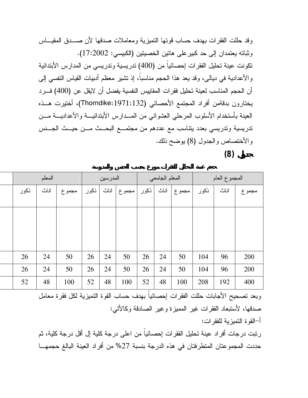وقد حللت الفقرات بهدف حساب قوتها التميزية ومعاملات صدقها لأن صـدق المقيـاس وثباته يعتمدان إلى حد كبيرعلى هاتين الخصيتين (الكبيسي: 17:2002). تكونت عينة تحليل الفقرات إحصائياً من (400) تدريسية وتدريسي من المدارس الأبتدائية والأعدادية في ديالى، وقد يعد هذا الحجم مناسباً، إذ تشير معظم أدبيات القياس النفسي إلى أن الحجم المناسب لعينة تحليل فقرات المقاييس النفسية يفضل أن لايقل عن (400) فـرد يختارون بدقةمن أفراد المجتمع الأحصائي (:1971:132Thorndike(، أختيرت هـذه العينة بأستخدام الأسلوب المرحلي العشوائي من المـدارس الأبتدائيـة والأعداديـة مـن تدريسية وتدريسي بعدد يتناسب مع عددهم من مجتمـع البحـث مـن حيـث الجـنس والأختصاص والجدول (8) يوضح ذلك. **جدول (8)**

| المعلم |      |       | المدرسين |    | المعلم الجامعي |      | المجموع العام |              |      |      |       |
|--------|------|-------|----------|----|----------------|------|---------------|--------------|------|------|-------|
| ذكور   | اناث | مجموع | ذكور     |    | مجموع  اناث    | ذكور |               | مجموع   اناث | ذكور | اناث | مجموع |
|        |      |       |          |    |                |      |               |              |      |      |       |
|        |      |       |          |    |                |      |               |              |      |      |       |
| 26     | 24   | 50    | 26       | 24 | 50             | 26   | 24            | 50           | 104  | 96   | 200   |
| 26     | 24   | 50    | 26       | 24 | 50             | 26   | 24            | 50           | 104  | 96   | 200   |
| 52     | 48   | 100   | 52       | 48 | 100            | 52   | 48            | 100          | 208  | 192  | 400   |

وبعد تصحيح الأجابات حللت الفقرات إحصائياً بهدف حساب القوة التميزية لكل فقرة معامل صدقها، لأستبعاد الفقرات غير المميزة وغير الصادقة وكالأتي: أ-القوة التميزية للفقرات:

رتبت درجات أفراد عينة تحليل الفقرات إحصائياً من اعلى درجة كلية إل أقل درجة كلية، ثم حددت المجموعتان المتطرفتان في هذه الدرجة بنسبة %27 من أفراد العينة البالغ حجمهـا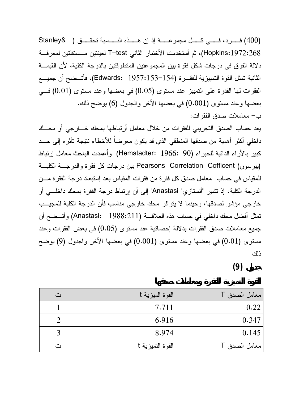(400) فــرد، فــي كــل مجموعــة إذ إن هــذه النــسبة تحقــق ( &Stanley :1972:268Hopkins(، ثم أستخدمت الأختبار الثاني test-T لعينتين مـستقلتين لمعرفـة دلالة الفرق في درجات شكل فقرة بين المجموعتين المتطرقتين بالدرجة الكلية، لأن القيمـة الثانية تمثل القوة التمييزية للفقـرة (1957:153-154 :Edwards(، فأتـضح أن جميـع الفقرات لها القدرة على التمييز عند مستوى (0.05) في بعضها وعند مستوى (0.01) فـي بعضها وعند مستوى (0.001) في بعضها الأخر والجدول (6) يوضح ذلك. ب- معاملات صدق الفقرات:

يعد حساب الصدق التجريبي للفقرات من خلال معامل أرتباطها بمحك خـارجي أو محـك داخلي أكثر أهمية من صدقها المنطقي الذي قد يكون معرضاً للأخطاء نتيجة تأثره إلى حـد كبير بالأراء الذاتية للخبراء (90 1966: :Hemstadter (وأعمدت الباحث معامل إرتباط (بيرسون) Cofficent Correlation Pearsons بين درجات كل فقرة والدرجـة الكليـة للمقياس في حساب معامل صدق كل فقرة من فقرات المقياس بعد إستبعاد درجة الفقرة مـن الدرجة الكلية، إذ تشير "أنستازي" Anastasi "إلى أن إرتباط درجة الفقرة بمحك داخلـي أو خارجي مؤشر لصدقها، وحينما لا يتوافر محك خارجي مناسب فأن الدرجة الكلية للمجيـب تمثل أفضل محك داخلي في حساب هذه العلاقـة (1988:211 :Anastasi (وأتـضح أن جميع معاملات صدق الفقرات بدلالة إحصائية عند مستوى (0.05) في بعض الفقرات وعند مستوى (0.01) في بعضها وعند مستوى (0.001) في بعضها الأخر واجدول (9) يوضح ذلك

**جدول (9)**

| $\ddot{\mathbf{c}}$ | القوة الميزية t  | معامل الصدق T |
|---------------------|------------------|---------------|
|                     | 7.711            | 0.22          |
| ◠                   | 6.916            | 0.347         |
| 3                   | 8.974            | 0.145         |
| $\ddot{\mathbf{C}}$ | القوة التميزية t | معامل الصدق T |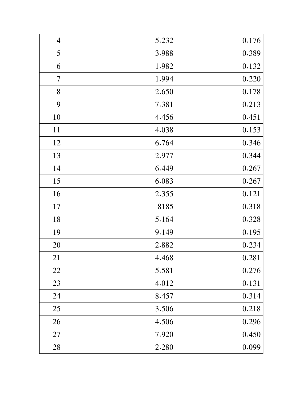| $\overline{4}$ | 5.232 | 0.176 |
|----------------|-------|-------|
| 5              | 3.988 | 0.389 |
| 6              | 1.982 | 0.132 |
| $\overline{7}$ | 1.994 | 0.220 |
| 8              | 2.650 | 0.178 |
| 9              | 7.381 | 0.213 |
| 10             | 4.456 | 0.451 |
| 11             | 4.038 | 0.153 |
| 12             | 6.764 | 0.346 |
| 13             | 2.977 | 0.344 |
| 14             | 6.449 | 0.267 |
| 15             | 6.083 | 0.267 |
| 16             | 2.355 | 0.121 |
| 17             | 8185  | 0.318 |
| 18             | 5.164 | 0.328 |
| 19             | 9.149 | 0.195 |
| 20             | 2.882 | 0.234 |
| 21             | 4.468 | 0.281 |
| 22             | 5.581 | 0.276 |
| 23             | 4.012 | 0.131 |
| 24             | 8.457 | 0.314 |
| 25             | 3.506 | 0.218 |
| 26             | 4.506 | 0.296 |
| 27             | 7.920 | 0.450 |
| 28             | 2.280 | 0.099 |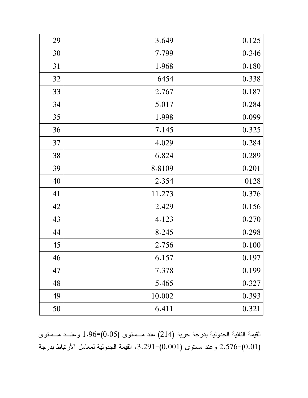| 29 | 3.649  | 0.125 |
|----|--------|-------|
| 30 | 7.799  | 0.346 |
| 31 | 1.968  | 0.180 |
| 32 | 6454   | 0.338 |
| 33 | 2.767  | 0.187 |
| 34 | 5.017  | 0.284 |
| 35 | 1.998  | 0.099 |
| 36 | 7.145  | 0.325 |
| 37 | 4.029  | 0.284 |
| 38 | 6.824  | 0.289 |
| 39 | 8.8109 | 0.201 |
| 40 | 2.354  | 0128  |
| 41 | 11.273 | 0.376 |
| 42 | 2.429  | 0.156 |
| 43 | 4.123  | 0.270 |
| 44 | 8.245  | 0.298 |
| 45 | 2.756  | 0.100 |
| 46 | 6.157  | 0.197 |
| 47 | 7.378  | 0.199 |
| 48 | 5.465  | 0.327 |
| 49 | 10.002 | 0.393 |
| 50 | 6.411  | 0.321 |

القيمة التائية الجدولية بدرجة حرية (214) عند مـستوى (0.05)=1.96 وعنـد مـستوى وعند مستوى (0.001)=2.576 وعند مستوى (0.001)=3.291، القيمة الجدولية لمعامل الأرتباط بدرجة  $2.576\text{=}$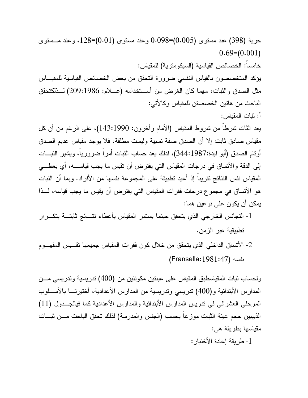حرية (398) عند مستوى (0.005)=0.098 وعند مستوى (0.01)=،128 وعند مـستوى  $0.69=(0.001)$ خامساً: الخصائص القياسية (السيكومترية) للمقياس: يؤكد المتخصصون بالقياس النفسي ضرورة التحقق من بعض الخصائص القياسية للمقيـاس مثل الصدق والثبات، مهما كان الغرض من أسـتخدامه (عـلام: 209:1986) لـذلكتحقق الباحث من هاتين الخصصتن للمقياس وكالأتي: أ: ثبات المقياس:

يعد الثات شرطاً من شروط المقياس (الأمام وأخرون: 143:1990)، على الرغم من أن كل مقياس صادق ثابت إلا أن الصدق صفة نسبية وليست مطلقة، فلا يوجد مقياس عديم الصدق أوتام الصدق (أبو ليدة344:1987:)، لذلك يعد حساب الثبات أمراً ضرورياً، ويشير الثبـات إلى الدقة والأتساق في درجات المقياس التي يفترض أن تقيس ما يجب قياسـه، أي يعطـي المقياس نفس النتائج تقريباً إذ أعيد تطبيقة على المجموعة نفسها من الأفراد. وبما أن الثبات هو الأتساق في مجموع درجات فقرات المقياس التي يفترض أن يقيس ما يجب قياسه، لـذا يمكن أن يكون على نوعين هما:

- -1 التجانس الخارجي الذي يتحقق حينما يستمر المقياس بأعطاء نتـائج ثابتـة بتكـرار تطبيقية عبر الزمن.
- -2 الأتساق الداخلي الذي يتحقق من خلال كون فقرات المقياس جميعها تقـيس المفهـوم  $(F$ ransella:1981:47) نفسه

ولحساب ثبات المقياسطبق المقياس على عينتين مكونتين من (400) تدريسية وتدريسي مـن المدارس الأبتدائية و(400) تدريسي وتدريسية من المدارس الأعدادية، أختيرتـا بالأسـلوب المرحلي العشوائي في تدريس المدارس الأبتدائية والمدارس الأعدادية كما فيالجـدول (11) الذييبين حجم عينة الثبات موزعاً بحسب (الجنس والمدرسة) لذلك تحقق الباحث مـن ثبـات مقياسها بطريقة هي:

-1 طريقة إعادة الأختبار: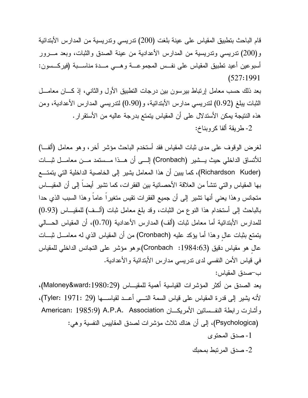قام الباحث بتطبيق المقياس على عينة بلغت (200) تدريسي وتدريسية من المدارس الأبتدائية و(200) تدريسي وتدريسية من المدارس الأعدادية من عينة الصدق والثبات، وبعد مـرور أسبوعين أعيد تطبيق المقياس على نفـس المجموعـة وهـي مـدة مناسـبة (فيركـسون: (527:1991

بعد ذلك حسب معامل إرتباط بيرسون بين درجات التطبيق الأول والثاني، إذ كـان معامـل الثبات يبلغ (0.92) لتدريسي مدارس الأبتدائية، و(0.90) لتدريسي المدارس الأعدادية، ومن هذه النتيجة يمكن الأستدلال على أن المقياس يتمتع بدرجة عاليه من الأستقرار. -2 طريقة ألفا كروبناخ:

لغرض الوقوف على مدى ثبات المقياس فقد أستخدم الباحث مؤشر أخر، وهو معامل (ألفـا) للأتساق الداخلي حيث يـشير (Cronbach (إلـى أن هـذا مـستمد مـن معامـل ثبـات (Richardson Kuder)، كما يبين أن هذا المعامل يشير إلى الخاصية الداخلية التي يتمتــع بها المقياس والتي تنشأ من العلاقة الأحصائية بين الفقرات، كما تشير أيضاً إلى أن المقيـاس متجانس وهذا يعني أنها تشير إلى أن جميع الفقرات تقيس متغيراً عاماً وهذا السبب الذي حدا بالباحث إلى أستخدام هذا النوع من الثبات، وقد بلغ معامل ثبات (ألـف) للمقيـاس (0.93) للمدارس الأبتدائية أما معامل ثبات (ألف) المدارس الأعدادية (0.70)، أن المقياس الحـالي يتمتع بثبات عالٍ وهذا أما يؤكد عليه (Cronbach (من أن المقياس الذي له معامـل ثبـات عالٍ هو مقياس دقيق (:1984:63 Cronbach(،وهو مؤشر على التجانس الداخلي للمقياس في قياس الأمن النفسي لدى تدريسي مدارس الأبتدائية والأعدادية.

ب-صدق المقياس:

يعد الصدق من أكثر المؤشرات القياسية أهمية للمقيـاس (:1980:29ward&Maloney(، لأنه يشير إلى قدرة المقياس على قياس السمة التـي أعـد لقياسـها (29 1971: :Tyler(، American: 1985:9) A.P.A. Association الأمريكـان النفـسائين رابطة وأشارت (Psychologica(، إلى أن هناك ثلاث مؤشرات لصدق المقاييس النفسية وهي:

-1 صدق المحتوى

-2 صدق المرتبط بمحبك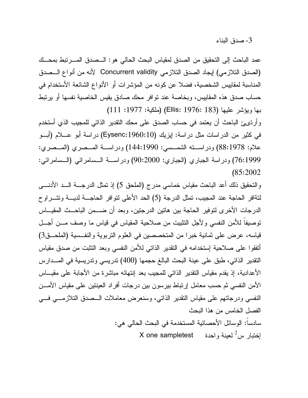-3 صدق البناء

عمد الباحث إلى التحقيق من الصدق لمقياس البحث الحالي هو: الـصدق المـرتبط بمحـك (الصدق التلازمي) إيجاد الصدق التلازمي validity Concurrent لأنه من أنواع الـصدق المناسبة لمقاييس الشخصية، فضلا عن كونه من المؤشرات أو الأنواع الشائعة الأستخدام في حساب صدق هذه المقاييس، وبخاصة عند توافر محك صادق يقيس الخاصية نفسها أو يرتبط بها ويؤشر عليها (183 1976: :Ellis) (ملكية: :1977 111)

وأرتىئ الباحث أن يعتمد في حساب الصدق على محك التقدير الذاتي للمجيب الذي أستخدم في كثير من الدراسات مثل دراسة: إيزيك (:1960:10Eysenc (دراسة أبو عـلام (أبـو علام: 88:1978) ودراسـته الشمـسي: 144:1990) ودراسـة المـصري (المـصري: 76:1999) ودراسة الجباري (الجباري: 90:2000) ودراسـة الـسامرائي (الـسامرائي: (85:2002

والتحقيق ذلك أعد الباحث مقياس خماسي مدرج (الملحق 5) إذ تمثل الدرجـة الـد الأدنـى لتةافر الحاجة عند المجيب، تمثل الدرجة (5) الحد الأعلى لتوافر الحاجـة لديـة وتتـراوح الدرجات الأخرى لتوفير الحاجة بين هاتين الدرجتين، وبعد أن ضـمن الباحـث المقيـاس توصيفاً للأمن النفسي ولأجل التثبيت من صلاحية المقياس في قياس ما وصف مـن أجـل قياسه، عرض على ثمانية خبرا من المتخصصين في العلوم التربوية والنفـسية (الملحـق3) أتفقوا على صلاحية إستخدامه في التقدير الذاتي للأمن النفسي وبعد التثبت من صدق مقياس التقدير الذاتي، طبق على عينة البحث البالغ حجمها (400) تدريسي وتدريسية في المـدارس الأعدادية، إذ يقدم مقياس التقدير الذاتي للمجيب بعد إنتهائه مباشرة من الأجابة على مقيـاس الأمن النفسي ثم حسب معامل إرتباط بيرسون بين درجات أفراد العينتين على مقياس الأمـن النفسي ودرجاتهم على مقياس التقدير الذاتي، وسنعرض معاملات الـصدق التلازمـي فـي الفصل الخامس من هذا البحث سادساً: الوسائل الأحصائية المستخدمة في البحث الحالي هي:

 $X$  one sampletest إختبار س<sup>2</sup> لعبنة واحدة  $^2$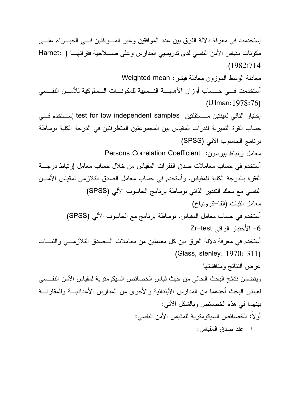إستخدمت في معرفة دلالة الفرق بين عدد الموافقين وغير المـوافقين فـي الخبـراء علـى مكونات مقياس الأمن النفسي لدى تدريسيي المدارس وعلى صـلاحية فقراتهـا ( :Harnet .(1982:714 معادلة الوسط الموزون معادلة فيشر: mean Weighted أستخدمت فـي حـساب أوزان الأهميـة النـسبية للمكونـات الـسلوكية للأمـن النفـسي (Ullman:1978:76) إختبار التائي لعينتين مــستقلتين test for tow independent samples إســتخدم فــي حساب القوة التميزية لفقرات المقياس بين المجموعتين المتطرفتين في الدرجة الكلية بوساطة برنامج الحاسوب الألي (SPSS( معامل إرتباط بيرسون: Coefficient Correlation Persons أستخدم في حساب معاملات صدق الفقرات المقياس من خلال حساب معامل إرتباط درجـة الفقرة بالدرجة الكلية للمقياس. وأستخدم في حساب معامل الصدق التلازمي لمقياس الأمـن النفسي مع محك التقدير الذاتي بوساطة برنامج الحاسوب الألي (SPSS( معامل الثبات (الفا-كرونباخ) أستخدم في حساب معامل المقياس، بوساطة برنامج مع الحاسوب الألي (SPSS( -6 الأختبار الزائي test-Zr أستخدم في معرفة دلالة الفرق بين كل معاملين من معاملات الـصدق التلازمـي والثبـات (Glass, stenley: 1970: 311) عرض النتائج ومناقشتها ويتضمن نتائج البحث الحالي من حيث قياس الخصائص السيكومترية لمقياس الأمن النفـسي لعينتي البحث أحدهما من المدارس الأبتدائية والأخرى من المدارس الأعداديـة وللمقارنـة بينهما في هذه الخصائص وبالشكل الأتي: أولاً: الخصائص السيكومترية للمقياس الأمن النفسي: <sup>أ</sup>- عند صدق المقياس: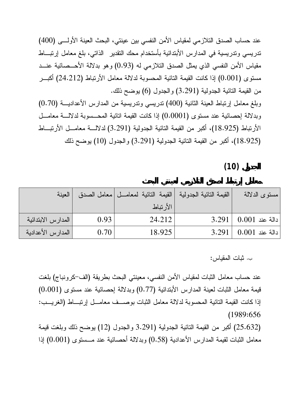عند حساب الصدق التلازمي لمقياس الأمن النفسي بين عينتي، البحث العينة الأولـى (400) تدريسي وتدريسية في المدارس الأبتدائية بأستخدام محك التقدير الذاتي، بلغ معامل إرتبـاط مقياس الأمن النفسي الذي يمثل الصدق التلازمي له (0.93) وهو بدلالة الأحـصائية عنـد مستوى (0.001) إذا كانت القيمة التائية المحسوبة لدلالة معامل الأرتباط (24.212) أكبـر من القيمة التائية الجدولية (3.291) والجدول (6) يوضح ذلك. وبلغ معامل إرتباط العينة الثانية (400) تدريسي وتدريسية من المدارس الأعداديـة (0.70) وبدلالة إحصائية عند مستوى (0.0001) إذا كانت القيمة اتائية المحـسوبة لدلالـة معامـل الأرتباط (18.925)، أكبر من القيمة التائية الجدولية (3.291) لدلالـة معامـل الأرتبـاط (18.925)، أكبر من القيمة التائية الجدولية (3.291) والجدول (10) يوضح ذلك

**الجدول (10)**

| العبنة              |      | القيمة النائية الجدولية  القيمة النائية لمعامــل  معامل الصدق | مستوى الدلالة                                |
|---------------------|------|---------------------------------------------------------------|----------------------------------------------|
|                     |      | الأر تباط                                                     |                                              |
| المدارس الابتدائية  | 0.93 | 24.212                                                        | $3.291$ $\mid$ $0.001$ $\mid$ $\mid$ $0.001$ |
| ا المدارس الأعدادية | 0.70 | 18.925                                                        | $3.291$ $\mid$ $0.001$ دالة عند              |

<sup>ب</sup>- ثبات المقياس:

عند حساب معامل الثبات لمقياس الأمن النفسي، معينتي البحث بطريقة (الف-كرونباج) بلغت قيمة معامل الثبات لعينة المدارس الأبتدائية (0.77) وبدلالة إحصائية عند مستوى (0.001) إذا كانت القيمة التائية المحسوبة لدلالة معامل الثبات بوصـف معامـل إرتبـاط (الغريـب: (1989:656

(25.632) أكبر من القيمة التائية الجدولية (3.291 والجدول (12) يوضح ذلك وبلغت قيمة معامل الثبات لقيمة المدارس الأعدادية (0.58) وبدلالة أحصائية عند مـستوى (0.001) إذا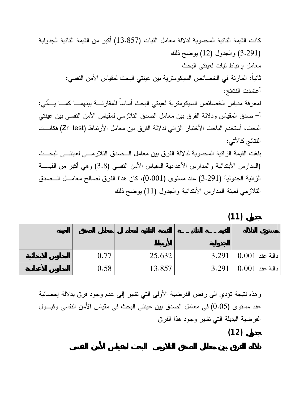كانت القيمة التائية المحسوبة لدلالة معامل الثبات (13.857) أكبر من القيمة التائية الجدولية (3.291) والجدول (12) يوضح ذلك معامل إرتباط ثبات لعينتي البحث ثانياً: المارنة في الخصائص السيكومترية بين عينتي البحث لمقياس الأمن النفسي: أعتمدت النتائج: لمعرفة مقياس الخصائص السيكومترية لعينتي البحث أساساً للمقارنـة بينهمـا كمـا يـأتي: أ- صدق المقياس ودلالة الفرق بين معامل الصدق التلازمي لمقياس الأمن النفسي بين عينتي البحث، أستخدم الباحث الأختبار الزائي لدلالة الفرق بين معامل الأرتباط (test-Zr (فكانـت النتائج كالأتي: بلغت القيمة الزائية المحسوبة لدلالة الفرق بين معامل الـصدق التلازمـي لعينتـي البحـث (المدارس الأبتدائية والمدارس الأعدادية المقياس الأمن النفسي (3.8) وهي أكبر من القيمـة الزائية الجدولية (3.291) عند مستوى (0.001)، كان هذاا الفرق لصالح معامـل الـصدق التلازمي لعينة المدارس الأبتدائية والجدول (11) يوضح ذلك

**جدول (11)**

| 0.77 | 25.632 | $3.291$ $\mid$ $0.001$ $\mid$ دالة عند |
|------|--------|----------------------------------------|
| 0.58 | 13.857 | $3.291$ $\mid$ $0.001$ $\mid$ دالة عند |

وهذه نتيجة تؤدي الى رفض الفرضية الأولى التي تشير إلى عدم وجود فرق بدلالة إحصائية عند مستوى (0.05) في معامل الصدق بين عينتي البحث في مقياس الأمن النفسي وقبـول الفرضية البديلة التي تشير وجود هذا الفرق **جدول (12)**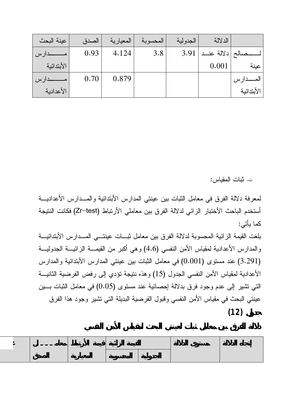| عينة البحث     | الصدق | المعيارية | المحسوبة | الجدولية | الدلالة              |              |
|----------------|-------|-----------|----------|----------|----------------------|--------------|
| مـــــــــدارس | 0.93  | 4.124     | 3.8      | 3.91     | حصالح   دلالة عنـــد |              |
| الأبتدائية     |       |           |          |          | 0.001                | عينة         |
| مـــــــــدارس | 0.70  | 0.879     |          |          |                      | المـــــدارس |
| الأعدادية      |       |           |          |          |                      | الأبتدائية   |

<sup>ت</sup>- ثبات المقياس:

لمعرفة دلالة الفرق في معامل الثبات بين عينتي المدارس الأبتدائية والمـدارس الأعداديـة أستخدم الباحث الأختبار الزائي لدلالة الفرق بين معاملي الأرتباط (test-Zr (فكانت النتيجة كما يأتي:

بلغت القيمة الزائية المحسوبة لدلالة الفرق بين معامل ثبـات عينتـي المـدارس الأبتدائيـة والمدارس الأعدادية لمقياس الأمن النفسي (4.6) وهي أكبر من القيمـة الزائيـة الجدوليـة (3.291) عند مستوى (0.001) في معامل الثبات بين عينتي المدارس الأبتدائية والمدارس الأعدادية لمقياس الأمن النفسي الجدول (15) وهذه نتيجة تؤدي إلى رفض الفرضية الثانيـة التي تشير إلى عدم وجود فرق بدلالة إحصائية عند مستوى (0.05) في معامل الثبات بـين عينتي البحث في مقياس الأمن النفسي وقبول الفرضية البديلة التي تشير وجود هذا الفرق

**جدول (12)**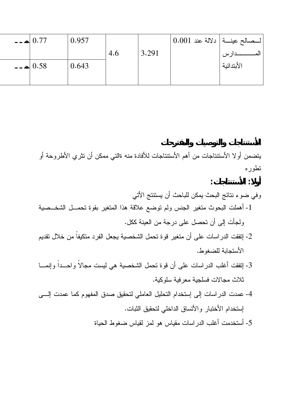| 0.77 | 0.957 |     |       | السصالح عينسة   دلالة عند 0.001 |            |
|------|-------|-----|-------|---------------------------------|------------|
|      |       | 4.6 | 3.291 |                                 | ــدارس     |
| 0.58 | 0.643 |     |       |                                 | الأبتدائية |
|      |       |     |       |                                 |            |

يتضمن أولا الأستنتاجات من أهم الأستنتاجات للأفادة منه ةالتي ممكن أن تثري الأطروحة أو تطوره

- **أولا: الأستنتاجات:** وفي ضوء نتائج البحث يمكن للباحث أن يستنتج الأتي -1 أهملت البحوث متغير الجنس ولم توضع علاقة هذا المتغير بقوة تحمـل الشخـصية ولجأت إلى أن تحصل على درجة من العينة ككل.
- -2 إتفقت الدراسات على أن متغير قوة تحمل الشخصية يجعل الفرد متكيفاً من خلال تقديم الأستجابة للضغوط.
- -3 إتفقت أغلب الدراسات على أن قوة تحمل الشخصية هي ليست مجالاً واحـداً وإنمـا ثلاث مجالات فسلجية معرفية سلوكية.
- -4 عمدت الدراسات إلى إستخدام التحليل العاملي لتحقيق صدق المفهوم كما عمدت إلـى إستخدام الأختبار والأتساق الداخلي لتحقيق الثبات.
	- -5 أستخدمت أغلب الدراسات مقياس هو لمز لقياس ضغوط الحياة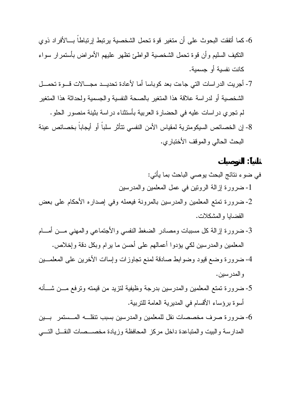- -6 كما أتفقت البحوث على أن متغير قوة تحمل الشخصية يرتبط إرتباطاً بـالأفراد ذوي التكيف السليم وأن قوة تحمل الشخصية الواطئ تظهر عليهم الأمراض بأستمرار سواء كانت نفسية أو جسمية.
- -7 أجريت الدراسات التي جاءت بعد كوباسا أما لأعادة تحديـد مجـالات قـوة تحمـل الشخصية أو لدراسة علاقة هذا المتغير بالصحة النفسية والجسمية ولحداثة هذا المتغير لم تجري دراسات عليه في الحضارة العربية بأستثناء دراسة بثينة منصور الحلو.
- -8 إن الخصائص السيكومترية لمقياس الأمن النفسي تتأثر سلباً أو أيجاباً بخصائص عينة البحث الحالي والموقف الأختباري.
- **ثانياً: التوصيات** في ضوء نتائج البحث يوصي الباحث بما يأتي: -1 ضرورة إزالة الروتين في عمل المعلمين والمدرسين -2 ضرورة تمتع المعلمين والمدرسين بالمرونة فيعمله وفي إصداره الأحكام على بعض القضايا والمشكلات.
- -3 ضرورة إزالة كل مسببات ومصادر الضغط النفسي والأجتماعي والمهني مـن أمـام المعلمين والمدرسين لكي يؤدوا أعمالهم على أحسن ما يرام وبكل دقة وإخلاص.
- -4 ضرورة وضع قيود وضوابط صادقة لمنع تجاوزات وإساات الأخرين على المعلمـين والمدرسين.
- -5 ضرورة تمتع المعلمين والمدرسين بدرجة وظيفية لتزيد من قيمته وترفع مـن شـأنه أسوة برؤساء الأقسام في المديرية العامة للتربية.
- -6 ضرورة صرف مخصصات نقل للمعلمين والمدرسين بسبب تنقلـه المـستمر بـين المدارسة والبيت والمتباعدة داخل مركز المحافظة وزيادة مخصـصات النقـل التـي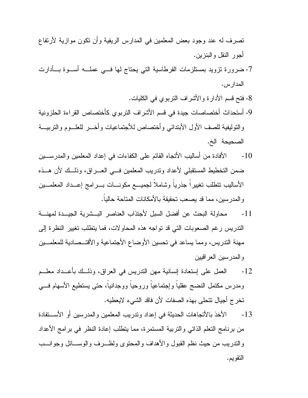تصرف له عند وجود بعض المعلمين في المدارس الريفية وأن تكون موازية لأرتفاع أجور النقل والبنزين.

-7 ضرورة تزويد بمستلزمات القرطاسية التي يحتاج لها فـي عملـه أسـوة بـأدارت المدارس.

-8 فتح قسم الأدارة والأشراف التربوي في الكليات.

- -9 أستحداث أختصاصات جيدة في قسم الأشراف التربوي كأختصاص القراءة الحلزونية والتوليفية للصف الأول الأبتدائي وأختصاص للأجتماعيات وأخـر للعلـوم والتربيـة الصحيحة الخ.
- -10 الأفادة من أساليب الأتجاه القائم على الكفاءات في إعداد المعلمين والمدرسـين ضمن التخطيط المستقبلي لأعداد وتدريب المعلمين فـي العـراق، وذلـك لأن هـذه الأساليب تتطلب تغييراً جذرياً وشاملاً لجميـع مكونـات بـرامج إعـداد المعلمـين والمدرسين، مما قد يصعب تحقيقة بالأمكانات المتاحة حالياً.
- -11 محاولة البحث عن أفضل السبل لأجتذاب العناصر البـشرية الجيـدة لمهنـة التدريس رغم الصعوبات التي قد تواجه هذه المحاولات، فما يتطلب تغيير النظرة إلى مهنة التدريس، ومما يساعد في تحسين الأوضاع الأجتماعية والأقتـصادية للمعلمـين والمدرسين العراقيين
- -12 العمل على إستعادة إنسانية مهن التدريس في العراق، وذلـك بأعـداد معلـم ومدرس مكتمل النضج عقلياً وإجتماعياً وروحياً ووجدانياً، حتى يستطيع الأسهام فـي تخرج أجيال تتحلى بهذه الصفات لأن فاقد الشيء لايعطيه.
- -13 الأخذ بالأتجاهات الحديثة في إعداد وتدريب المعلمين والمدرسين أو الأسـتفادة من برنامج التعلم الذاتي والتربية المستمرة، مما يتطلب إعادة النظر في برامج الأعداد والتدريب من حيث نظم القبول والأهداف والمحتوى ولظـرف والوسـائل وجوانـب التقويم.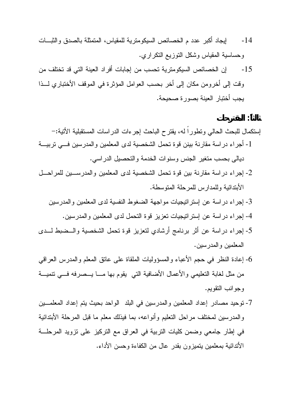- -14 إيجاد أكبر عدد م الخصائص السيكومترية للمقياس، المتمثلة بالصدق والثبـات وحساسية المقياس وشكل التوزيع التكراري.
- -15 إن الخصائص السيكومترية تحسب من إجابات أفراد العينة التي قد تختلف من وقت إلى أخرومن مكان إلى أخر بحسب العوامل المؤثرة في الموقف الأختباري لـذا يجب أختبار العينة بصورة صحيحة.
- **ثالثاً: المقترحات** إستكمال للبحث الحالي وتطوراً له، يقترح الباحث إجرءات الدراسات المستقبلية الأتية-: -1 أجراء دراسة مقارنة بينن قوة تحمل الشخصية لدى المعلمين والمدرسين فـي تربيـة ديالى بحسب متغير الجنس وسنوات الخدمة والتحصيل الدراسي. -2 إجراء دراسة مقارنة بين قوة تحمل الشخصية لدى المعلمين والمدرسـين للمراحـل
	- الأبتدائية وللمدارس للمرحلة المتوسطة.
	- -3 إجراء دراسة عن إستراتيجيات مواجهة الضغوط النفسية لدى المعلمين والمدرسين -4 إجراء دراسة عن إستراتيجيات تعزيز قوة التحمل لدى المعلمين والمدرسين.
- -5 إجراء دراسة عن أثر برنامج أرشادي لتعزيز قوة تحمل الشخصية والـضبط لـدى المعلمين والمدرسين.
- -6 إعادة النظر في حجم الأعباء والمسؤوليات الملقاة على عاتق المعلم والمدرس العراقي من مثل لغابة التعليمي والأعمال الأضافية التي يقوم بها مـا يـصرفه فـي تنميـة وجوانب التقويم.
- -7 توحيد مصادر إعداد المعلمين والمدرسين في البلد الواحد بحيث يتم إعداد المعلمـين والمدرسين لمختلف مراحل التعليم وأنواعه، بما فيذلك معلم ما قبل المرحلة الأبتدائية في إطار جامعي وضمن كليات التربية في العراق مع التركيز على تزويد المرحلـة الأتدائية بمعلمين يتميزون بقدر عال من الكفاءة وحسن الأداء.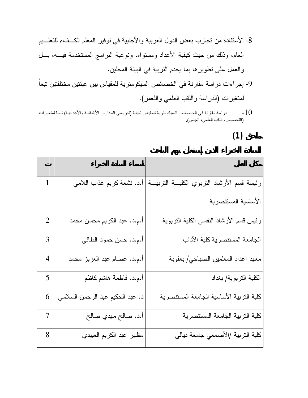- -8 الأستفادة من تجارب بعض الدول العربية والأجنبية في توفير المعلم الكـفء للتعلـيم العام، وذلك من حيث كيفية الأعداد ومستواه، ونوعية البرامج المستخدمة فيـه، بـل والعمل على تطويرها بما يخدم التربية في البيئة المحلين.
- -9 إجراءات دراسة مقارنة في الخصائص السيكومترية للمقياس بين عينتين مختلفتين تبعاً لمتغيرات (الدراسة واللقب العلمي واللعمر).
- دراسة مقارنة في الخصائص السيكومترية للمقياس لعينة (تدريسي المدارس الأبتدائية والأعدادية) تبعاً لمتغيرات  $10\,$ (التخصص، اللقب العلمي، الجنس).

**ملحق (1)**

| 1              | أ.د. نشعة كريم عذاب اللامي       | رئيسة قسم الأرشاد النزبوي الكليسة النزبيسة |
|----------------|----------------------------------|--------------------------------------------|
|                |                                  | الأساسية المستنصرية                        |
| 2              | أ.م.د. عبد الكريم محسن محمد      | رئيس قسم الأرشاد النفسي الكلية التربوية    |
| 3              | أ.م.د. حسن حمود الطائي           | الجامعة المستنصرية كلية الأداب             |
| $\overline{4}$ | أ.م.د. عصام عبد العزيز محمد      | معهد اعداد المعلمين الصباحي/بعقوبة         |
| 5              | أ.م.د. فاطمة هاشم كاظم           | الكلية النزبوية/بغداد                      |
| 6              | د. عبد الحكيم عبد الرحمن السلامي | كلية التربية الأساسية الجامعة المستنصرية   |
| $\overline{7}$ | أ.د. صالح مهدي صالح              | كلية التربية الجامعة المستنصرية            |
| 8              | مظهر عبد الكريم العبيدي          | كلية التربية /الأصمعي جامعة ديالي          |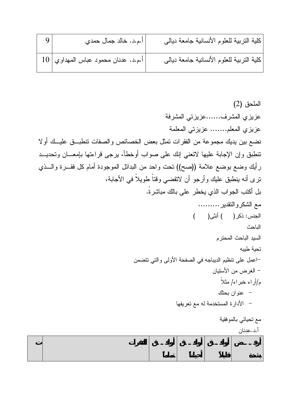| 9 | أ.م.د. خالد جمال حمدي                                     | كلية التربية للعلوم الأنسانية جامعة ديالى |
|---|-----------------------------------------------------------|-------------------------------------------|
|   | أ.م.د. عدنان محمود عباس المهداوي $\bigg  \, 10 \, \bigg $ | كلية التربية للعلوم الأنسانية جامعة ديالي |

الملحق (2) عزيزي المشرف......عزيزتي المشرفة عزيزي المعلم....... عزيزتي المعلمة نضع بين يديك مجموعة من الفقرات تمثل بعض الخصائص والصفات تنطبـق عليـك أولا تنطبق وإن الإجابة عليها لاتعني إنك على صواب أوخطأ، يرجى قراءتها بإمعـان وتحديـد رأيك وضع بوضع علامة ((صح)) تحت واحد من البدائل الموجودة أمام كل فقـرة والـذي ترى أنه ينطبق عليك وأرجو أن لاتقضي وقتاً طويلاً في الأجابة، بل أكتب الجواب الذي يخطر على بالك مباشرةً. مع الشكروالتقدير......... الجنس: ذكر( ) أنثى( ) الباحث السيد الباحث المحترم تحية طيبه - الغرض من الأستيان-اعمل على تنظيم الديباجه في الصفحة الأولى والتي تتضمن م/أراء خبراء/ مثلاً - عنوان بحثك - الأدارة المستخدمة له مع تعريفها مع تحياتي بالموفقية أ.د.عدنان

**أوافــق الفقرات**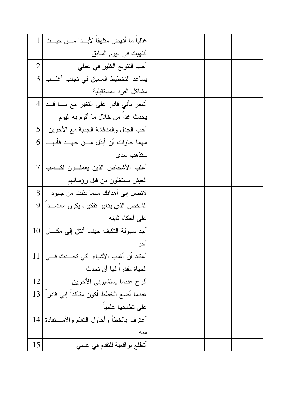|                 | غالبا ما أنهض متلهفا لأبـــدا مـــن حيـــث   1 |  |  |
|-----------------|------------------------------------------------|--|--|
|                 | أنتهيت في اليوم السابق                         |  |  |
| $\overline{2}$  | أحب النتويع الكثير في عملي                     |  |  |
| $\mathfrak{Z}$  | يساعد التخطيط المسبق في تجنب أغلــب            |  |  |
|                 | مشاكل الفرد المستقبلية                         |  |  |
| $\overline{4}$  | أشعر بأنبي قادر على التغير مع مـــا قـــد      |  |  |
|                 | يحدث غدا من خلال ما أقوم به اليوم              |  |  |
| 5 <sup>1</sup>  | أحب الجدل والمناقشة الجدية مع الأخرين          |  |  |
|                 | مهما حاولت أن أبذل مـــن جهـــد فأنهـــا   6   |  |  |
|                 | ستذهب سدى                                      |  |  |
|                 | أغلب الأشخاص الذين يعملـــون لكـــسب   7       |  |  |
|                 | العيش مستغلون من قبل رؤسائهم                   |  |  |
| 8               | لاتصل إلى أهدافك مهما بذلت من جهود             |  |  |
| $\overline{9}$  | الشخص الذي يتغير تفكيره يكون معتمـــدا         |  |  |
|                 | على أحكام ثابته                                |  |  |
| 10 <sub>l</sub> | أجد سهولة النكيف حينما أنتق إلى مكـــان        |  |  |
|                 | أخر .                                          |  |  |
|                 | أعتقد أن أغلب الأشياء التي تحسدث فسي   11      |  |  |
|                 | الحياة مقدراً لها أن تحدث                      |  |  |
| 12              | أفرح عندما يستشيرني الأخرين                    |  |  |
| 13 <sup>1</sup> | عندما أضع الخطط أكون متأكداً إني قادراً        |  |  |
|                 | على تطبيقها علميا                              |  |  |
|                 | أعترف بالخطأ وأحاول النعلم والأســـنفادة 14    |  |  |
|                 | منه                                            |  |  |
| 15              | أنطلع بواقعية للنقدم في عملي                   |  |  |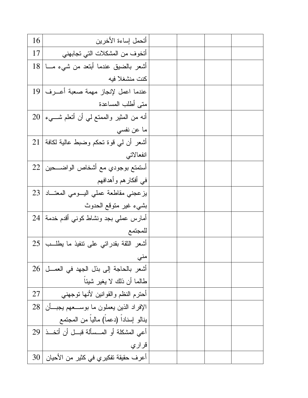| 16              | أتحمل إساءة الأخرين                            |  |  |
|-----------------|------------------------------------------------|--|--|
| 17              | أتخوف من المشكلات التي تجابهني                 |  |  |
| 18              | أشعر بالضيق عندما أبتعد من شيء مـــا           |  |  |
|                 | كنت منشغلا فيه                                 |  |  |
| 19              | عندما اعمل لإنجاز مهمة صعبة أعـــرف            |  |  |
|                 | متي أطلب المساعدة                              |  |  |
|                 | أنه من المثير والممتع لمي أن أنعلم شـــيء   20 |  |  |
|                 | ما عن نفسي                                     |  |  |
| 21              | أشعر أن لبي قوة نـحكم وضبط عالية لكافة         |  |  |
|                 | انفعالاتي                                      |  |  |
|                 | أستمتع بوجودي مع أشخاص الواضــــحين   22       |  |  |
|                 | في أفكار هم وأهدافهم                           |  |  |
| 23              | يزعجني مقاطعة عملى اليوومي المعتساد            |  |  |
|                 | بشيء غير متوقع الحدوث                          |  |  |
|                 | أمارس عملي بجد ونشاط كونبي أقدم خدمة   24      |  |  |
|                 | للمجتمع                                        |  |  |
|                 | أشعر النقة بقدراتي على تنفيذ ما يطلــب   25    |  |  |
|                 | منے ،                                          |  |  |
|                 | أشعر بالحاجة إلى بذل الجهد في العمـــل   26    |  |  |
|                 | طالما أن ذلك لا يغير شيئاً                     |  |  |
| 27              | أحترم النظم والقوانين لأنها توجهني             |  |  |
| 28              | الإفراد الذين يعملون ما بوســـعهم يجبـــأن     |  |  |
|                 | ينالو إسنادا (دعما) ماليا من المجتمع           |  |  |
| 29              | أعبى المشكلة أو المـــسألة فبـــل أن أتخـــذ   |  |  |
|                 | قراري                                          |  |  |
| 30 <sup>°</sup> | أعرف حقيقة تفكيري في كثير من الأحيان           |  |  |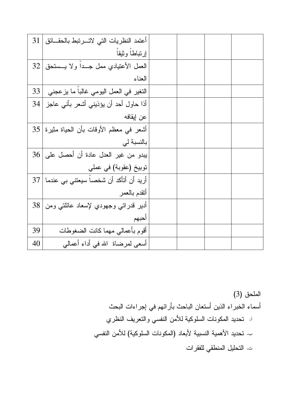| 31 <sup>1</sup> | أعتمد النظريات التى لاتسرنبط بالحقـــائق    |  |  |
|-----------------|---------------------------------------------|--|--|
|                 | إرتباطا وثيقا                               |  |  |
|                 | العمل الأعتيادي ممل جــدا ولا يـــستحق   32 |  |  |
|                 | العناء                                      |  |  |
| 33              | الننغير في العمل اليومي غالبا ما يزعجني     |  |  |
| 34              | أذا حاول أحد أن يؤذينبي أشعر بأنبي عاجز     |  |  |
|                 | عن إيقافه                                   |  |  |
| 35 <sub>1</sub> | أشعر في معظم الأوقات بأن الحياة مثيرة       |  |  |
|                 | بالنسبة لي                                  |  |  |
| 36              | يبدو من غير العدل عادة أن أحصل على          |  |  |
|                 | توبيخ (عقوبة) في عملي                       |  |  |
| 37 <sup>1</sup> | أريد أن أتأكد أن شخصا سيعتني بي عندما       |  |  |
|                 | أتقدم بالعمر                                |  |  |
| 38              | أدبر قدراتي وجهودي لإسعاد عائلتي ومن        |  |  |
|                 | أحبهم                                       |  |  |
| 39              | أقوم بأعمالي مهما كانت الضغوطات             |  |  |
| 40              | أسعى لمرضاة الله في أداء أعمالي             |  |  |

الملحق (3) أسماء الخبراء الذين أستعان الباحث بأرائهم في إجراءات البحث <sup>أ</sup>- تحديد المكونات السلوكية للأمن النفسي والتعريف النظري <sup>ب</sup>- تحديد الأهمية النسبية لأبعاد (المكونات السلوكية) للأمن النفسي <sup>ت</sup>- التحليل المنطقي للفقرات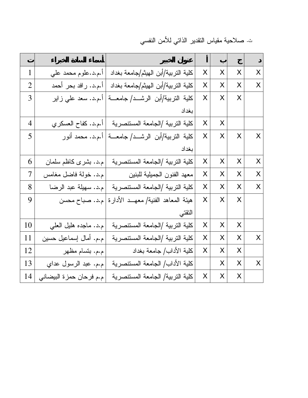| $\mathbf{1}$   | أ.م.د.علوم محمد علي     | كلية التربية/أبن الهيثم/جامعة بغداد | $\sf X$  | X | $\pmb{\mathsf{X}}$      | $\sf X$                   |
|----------------|-------------------------|-------------------------------------|----------|---|-------------------------|---------------------------|
| $\overline{2}$ | أ.م.د. رافد بحر أحمد    | كلية التربية/أبن الهيثم/جامعة بغداد | X        | X | $\sf X$                 | $\boldsymbol{\mathsf{X}}$ |
| 3              | أ.م.د. سعد علي زاير     | كلية النربية/أبن الرشــد/ جامعـــة  | X        | X | $\times$                |                           |
|                |                         | بغداد                               |          |   |                         |                           |
| $\overline{4}$ | أ.م.د. كفاح العسكري     | كلية التربية /الجامعة المستنصرية    | X        | X |                         |                           |
| 5              | أ.م.د. محمد أنور        | كلية النربية/أبن الرشــد/جامعــة    | X        | X | X                       | $\mathsf X$               |
|                |                         | بغداد                               |          |   |                         |                           |
| 6              | م.د. بشرى كاظم سلمان    | كلية التربية /الجامعة المستنصرية    | X        | X | X                       | $\boldsymbol{\mathsf{X}}$ |
| 7              | م.د. خولة فاضل مغامس    | معهد الفنون الجميلية للبنين         | $\times$ | X | X                       | $\times$                  |
| 8              | م.د. سهيلة عبد الرضا    | كلية التربية /الجامعة المستنصرية    | X        | X | X                       | X                         |
| 9              | م.د. صباح محسن          | هيئة المعاهد الفنية/ معهــد الأدارة | X        | X | X                       |                           |
|                |                         | التقتى                              |          |   |                         |                           |
| 10             | م.د. ماجده هليل العلي   | كلية التربية /الجامعة المستنصرية    | $\times$ | X | X                       |                           |
| 11             | م.م. أمال إسماعيل حسين  | كلية التربية /الجامعة المستنصرية    | X        | X | X                       | $\boldsymbol{\mathsf{X}}$ |
| 12             | م.م. بتسام مظهر         | كلية الأداب/ جامعة بغداد            | $\sf X$  | X | X                       |                           |
| 13             | م.م. عبد الرسول عداي    | كلية الأداب/ الجامعة المستنصرية     |          | X | $\sf X$                 | $\boldsymbol{\mathsf{X}}$ |
| 14             | م.م فرحان حمزة البيضاني | كلية التربية/ الجامعة المستنصرية    | $\sf X$  | X | $\overline{\mathsf{X}}$ |                           |

<sup>ث</sup>- صلاحية مقياس التقدير الذاتي للأمن النفسي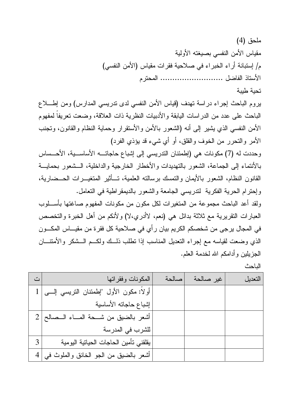ملحق (4) مقياس الأمن النفسي بصيغته الأولية م/ إستبانة أراء الخبراء في صلاحية فقرات مقياس (الأمن النفسي) الأستاذ الفاضل .......................... المحترم تحية طيبة

يروم الباحث إجراء دراسة تهدف (قياس الأمن النفسي لدى تدريسي المدارس) ومن إطـلاع الباحث على عدد من الدراسات اليابقة والأدبيات النظرية ذات العلاقة، وضعت تعريفاً لمفهوم الأمن النفسي الذي يشير إلى أنه (الشعور بالأمن والأستقرار وحماية النظام والقانون، وتجنب الأمر والتحرر من الخوف والقلق، أو أي شيء قد يؤذي الفرد) وحددت له (7) مكونات هي (إطمئنان التدريسي إلى إشباع حاجاتـه الأساسـية، الأحـساس بالأنتماء إلى الجماعة، الشعور بالتهديدات والأخطار الخارجية والداخلية، الـشعور بحمايـة القانون النظام، الشعور بالأيمان والتمسك برسالته العلمية، تـأثير المتغيـرات الحـضارية، وإحترام الحرية الفكرية لتدريسي الجامعة والشعور بالديمقراطية في التعامل. ولقد أعد الباحث مجموعة من المتغيرات لكل مكون من مكونات المفهوم صاغتها بأسـلوب العبارات التقريرية مع ثلاثة بدائل هي (نعم، لاأدري،لا) ولأنكم من أهل الخبرة والتخصص

في المجال يرجى من شخصكم الكريم بيان رأي في صلاحية كل فقرة من مقيـاس المكـون الذي وضعت لقياسه مع إجراء التعديل المناسب إذا تطلب ذلـك ولكـم الـشكر والأمتنـان الجزيلين وأدامكم االله لخدمة العلم.

الباحث

|               | المكونات وفقراتها                            | صالحة | غير صالحة | التعديل |
|---------------|----------------------------------------------|-------|-----------|---------|
|               | أولاً: مكون الأول "إطمئنان النريسي إلــى   1 |       |           |         |
|               | إشباع حاجاته الأساسية                        |       |           |         |
|               | أشعر بالضيق من شــحة المـــاء الــصالح   2   |       |           |         |
|               | للشرب في المدرسة                             |       |           |         |
| $\mathcal{E}$ | يقلقني تأمين الحاجات الحياتية اليومية        |       |           |         |
|               | أشعر بالضيق من الـجو الخانق والملوث في   4   |       |           |         |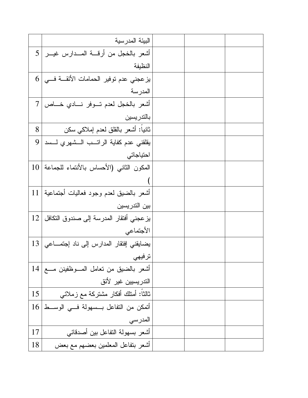|                 | البيئة المدرسية                             |  |
|-----------------|---------------------------------------------|--|
|                 | أشعر بالخجل من أرقسة المسدارس غيسر   5      |  |
|                 | النظيفة                                     |  |
| 6 <sup>1</sup>  | يزعجني عدم نوفير الحمامات الأئقــــة فــــى |  |
|                 | المدرسة                                     |  |
| $\tau$          | أشعر بالخجل لعدم تسوفر نسادي خساص           |  |
|                 | بالتدريسين                                  |  |
| 8               | ثانيا: أشعر بالقلق لعدم إملاكي سكن          |  |
| 9               | يقلقني عدم كفاية الراتــب الــشهري لــسد    |  |
|                 | احتياجاتي                                   |  |
| 10              | المكون الثانبي (الأحساس بالأنتماء للجماعة   |  |
|                 |                                             |  |
| 11              | أشعر بالضبق لعدم وجود فعاليات أجتماعية      |  |
|                 | بين التدريسين                               |  |
| 12              | يز عجني أفتقار المدرسة إلى صندوق التكافل    |  |
|                 | الأجتماعي                                   |  |
| 13              | يضايقني إفتقار المدارس إلى ناد إجتمــــاعي  |  |
|                 | ترفيه <i>ي</i>                              |  |
|                 | أشعر بالضيق من نعامل المسوظفينن مسع   14    |  |
|                 | الندر يسبين غير الأئق                       |  |
| 15              | ثالثا: أمتلك أفكار مشتركة مع زملائي         |  |
| 16 <sup>1</sup> | أتمكن من النفاعل بـــسهولة فــــى الوســـط  |  |
|                 | المدرسى                                     |  |
| 17              | أشعر بسهولة التفاعل بين أصدقائي             |  |
| 18              | أشعر بتفاعل المعلمين بعضهم مع بعض           |  |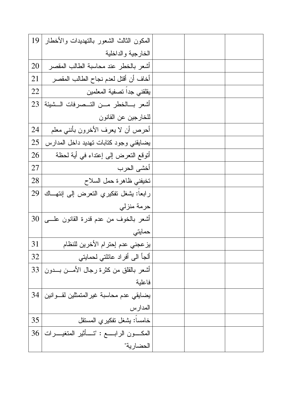| 19 | المكون الثالث الشعور بالنهديدات والأخطار               |  |  |
|----|--------------------------------------------------------|--|--|
|    | الخارجية والداخلية                                     |  |  |
| 20 | أشعر بالخطر عند محاسبة الطالب المقصر                   |  |  |
| 21 | أخاف أن أقتل لعدم نجاح الطالب المقصر                   |  |  |
| 22 | يقلقني جدا نصفية المعلمين                              |  |  |
| 23 | أشعر بسالخطر مسن التسصرفات السشيئة                     |  |  |
|    | للخارجين عن القانون                                    |  |  |
| 24 | أحرص أن لا يعرف الأخرون بأنني معلم                     |  |  |
| 25 | يضايقني وجود كتابات تهديد داخل المدارس                 |  |  |
| 26 | أتوقع النعرض إلى إعتداء في أية لحظة                    |  |  |
| 27 | أخشى الحرب                                             |  |  |
| 28 | تخيفني ظاهرة حمل السلاح                                |  |  |
| 29 | رابعا: يشغل تفكيري النعرض إلى إنتهـــاك                |  |  |
|    | حرمة منزلى                                             |  |  |
| 30 | أشعر بالخوف من عدم قدرة القانون علــــي                |  |  |
|    | حمايتى                                                 |  |  |
| 31 | يزعجني عدم إحترام الأخرين للنظام                       |  |  |
| 32 | ألجأ الى أفراد عائلتي لحمايتي                          |  |  |
| 33 | أشعر بالقلق من كثرة رجال الأمــــن بــــدون            |  |  |
|    | فاعلية                                                 |  |  |
| 34 | يضايقي عدم محاسبة غير المتمثلين لقـــوانين             |  |  |
|    | المدارس                                                |  |  |
| 35 | خامسا: يشغل تفكيري المستقل                             |  |  |
| 36 | المكـــــون الرابــــــع : "تـــــأثير المتغيــــــرات |  |  |
|    | الحضارية"                                              |  |  |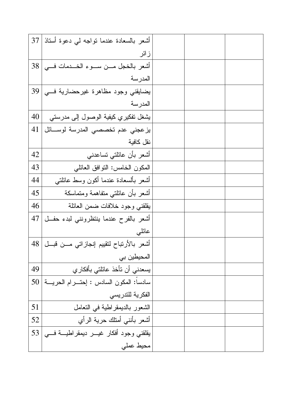| 37 | أشعر بالسعادة عندما نواجه لمي دعوة أستاذ     |  |
|----|----------------------------------------------|--|
|    | ز ائر                                        |  |
| 38 | أشعر بالخجل مسن سسوء الخسدمات فسي            |  |
|    | المدرسة                                      |  |
| 39 | بضايقني وجود مظاهرة غيرحضارية فسي            |  |
|    | المدرسة                                      |  |
| 40 | يشغل تفكيري كيفية الوصول إلىي مدرستي         |  |
| 41 | يزعجني عدم تخصصي المدرسة لوســـائل           |  |
|    | نقل كافية                                    |  |
| 42 | أشعر بأن عائلتي تساعدني                      |  |
| 43 | المكون الخامس: النوافق العائلي               |  |
| 44 | أشعر بألسعادة عندما أكون وسط عائلتي          |  |
| 45 | أشعر بأن عائلتي متفاهمة ومتماسكة             |  |
| 46 | يقلقني وجود خلافات ضمن العائلة               |  |
| 47 | أشعر بالفرح عندما ينتظرونني لبدء حفــل       |  |
|    | عائلى                                        |  |
| 48 | أشعر بالأرتباح لتقييم إنجازاتي مـــن قبـــل  |  |
|    | المحيطين بي                                  |  |
| 49 | يسعدني أن تأخذ عائلتي بأفكاري                |  |
| 50 | سادسا: المكون السادس : إحتـــرام الحريـــة   |  |
|    | الفكرية للتدريسي                             |  |
| 51 | الشعور بالديمقراطية في التعامل               |  |
| 52 | أشعر بأننبي أمتلك حرية الرأي                 |  |
| 53 | يقلقني وجود أفكار غيـــر ديمقراطيـــة فــــي |  |
|    | محيط عملى                                    |  |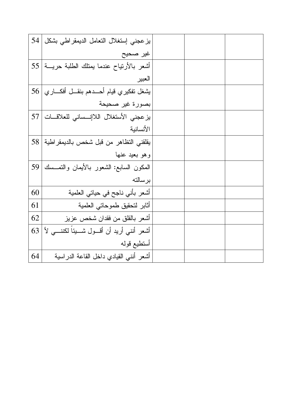|    | يزعجني إستغلال التعامل الديمقراطي بشكل   54       |  |  |
|----|---------------------------------------------------|--|--|
|    | غير صحيح                                          |  |  |
|    | أشعر بالأرنياح عندما بمتلك الطلبة حريسة   55      |  |  |
|    | العبير                                            |  |  |
|    | يشغل تفكيري قيام أحـــدهم بنقـــل أفكــــاري   56 |  |  |
|    | بصورة غير صحيحة                                   |  |  |
| 57 | يزعجني الأستغلال اللاإنسساني للعلاقسات            |  |  |
|    | الأنسانبة                                         |  |  |
| 58 | يقلقني النظاهر من قبل شخص بالديمقر اطية           |  |  |
|    | وهو بعيد عنها                                     |  |  |
| 59 | المكون السابع: الشعور بالأيمان والتمـــسك         |  |  |
|    | برسالته                                           |  |  |
| 60 | أشعر بأني ناجح في حياتي العلمية                   |  |  |
| 61 | أثابر لتحقيق طموحاتي العلمية                      |  |  |
| 62 | أشعر بالقلق من فقدان شخص عزيز                     |  |  |
| 63 |                                                   |  |  |
|    | أشعر أننـى أريد أن أقـــول شــــيئا لكننــــى لأ  |  |  |
|    | أستطيع قوله                                       |  |  |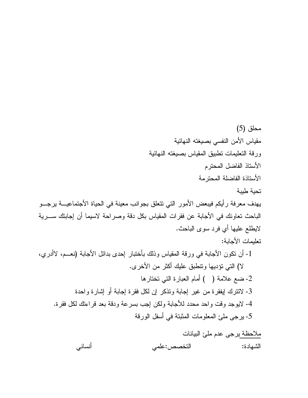محلق (5) مقياس الأمن النفسي بصيغته النهائية ورقة التعليمات تطبيق المقياس بصيغته النهائية الأستاذ الفاضل المحترم الأستاذة الفاضلة المحترمة تحية طيبة يهدف معرفة رأيكم فيبعض الأمور التي تتعلق بجوانب معينة في الحياة الأجتماعيـة يرجـو الباحث تعاونك في الأجابة عن فقرات المقياس بكل دقة وصراحة لاسيما أن إجابتك سـرية لايطلع عليها أي فرد سوى الباحث. تعليمات الأجابة: -1 أن تكون الأجابة في ورقة المقياس وذلك بأختبار إحدى بدائل الأجابة (نعـم، لاأدري، لا) التي تؤديها وتنطبق عليك أكثر من الأخرى. -2 ضع علامة ( ) أمام العبارة التي تختارها -3 لاتترك إيفقرة من غير إجابة وتذكر إن لكل فقرة إجابة أو إشارة واحدة -4 لايوجد وقت واحد محدد للأجابة ولكن إجب بسرعة ودقة بعد قراءتك لكل فقرة. -5 يرجى ملئ المعلومات المثبتة في أسفل الورقة

ملاحظة يرجى عدم ملئ البيانات الشهادة: التخصص:علمي أنساني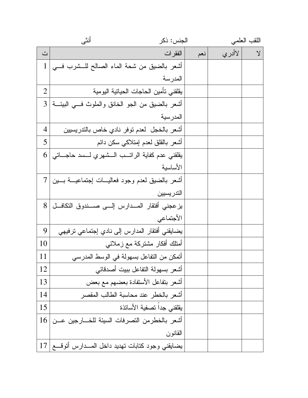|                                             | أنثى<br>الجنس: ذكر                                    |     |        | اللقب العلمى |
|---------------------------------------------|-------------------------------------------------------|-----|--------|--------------|
| $\ddot{\underline{\phantom{m}}}\phantom{0}$ | الفقرات                                               | نعم | لأأدري | $\mathsf{Y}$ |
| 1                                           | أشعر بالضيق من شحة الماء الصالح للـــشرب فـــي        |     |        |              |
|                                             | المدرسة                                               |     |        |              |
| 2                                           | يقلقني تأمين الحاجات الحياتية اليومية                 |     |        |              |
| 3                                           | أشعر بالضيق من الجو الخانق والملوث فسي البيئة         |     |        |              |
|                                             | المدرسية                                              |     |        |              |
| 4                                           | أشعر بالخجل لعدم نوفر نادي خاص بالتدريسيين            |     |        |              |
| 5                                           | أشعر بالقلق لعدم إمتلاكي سكن دائم                     |     |        |              |
| 6                                           | يقلقنى عدم كفاية الراتــب الـــشهري لـــسد حاجــــاتي |     |        |              |
|                                             | الأساسية                                              |     |        |              |
| 7                                           | أشعر بالضبق لعدم وجود فعاليـــات إجتماعيــــة بــــين |     |        |              |
|                                             | التدر يسيين                                           |     |        |              |
| 8                                           | يزعجني أفتقار المسدارس إلسي صسندوق النكافسل           |     |        |              |
|                                             | الأجتماعي                                             |     |        |              |
| 9                                           | يضايقني أفتقار المدارس إلى نادي إجتماعي ترفيهي        |     |        |              |
| 10                                          | أمتلك أفكار مشتركة مع زملائي                          |     |        |              |
| 11                                          | أتمكن من النفاعل بسهولة في الوسط المدرسي              |     |        |              |
| 12                                          | أشعر بسهولة التفاعل ببيت أصدقائي                      |     |        |              |
| 13                                          | أشعر بتفاعل الأستفادة بعضهم مع بعض                    |     |        |              |
| 14                                          | أشعر بالخطر عند محاسبة الطالب المقصر                  |     |        |              |
| 15                                          | يقلقني جدا تصفية الأساتذة                             |     |        |              |
| 16                                          | أشعر بالخطرمن التصرفات السيئة للخسارجين عسن           |     |        |              |
|                                             | القانون                                               |     |        |              |
|                                             | يضايقني وجود كتابات تهديد داخل المسدارس أتوقسع   17   |     |        |              |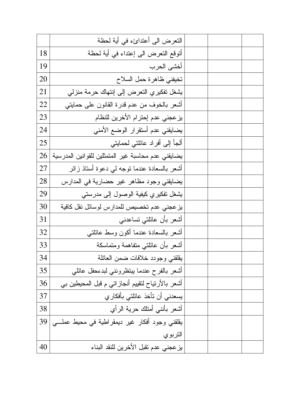|    | النعرض الى أعندائء في أية لحظة                     |  |  |
|----|----------------------------------------------------|--|--|
| 18 | أتوقع النعرض الى إعتداء في أية لحظة                |  |  |
| 19 | أخشى الحرب                                         |  |  |
| 20 | تخيفني ظاهرة حمل السلاح                            |  |  |
| 21 | يشغل تفكيري التعرض إلى إنتهاك حرمة منزلي           |  |  |
| 22 | أشعر بالخوف من عدم قدرة القانون علىي حمايتي        |  |  |
| 23 | يز عجني عدم إحترام الأخرين للنظام                  |  |  |
| 24 | يضايقني عدم أستقرار الوضع الأمني                   |  |  |
| 25 | ألجأ إلى أفراد عائلتي لحمايتي                      |  |  |
| 26 | يضايقني عدم محاسبة غير المتمثلين للقوانين المدرسية |  |  |
| 27 | أشعر بالسعادة عندما نوجه لمي دعوة أستاذ زائر       |  |  |
| 28 | يضايقني وجود مظاهر غير حضارية في المدارس           |  |  |
| 29 | يشغل تفكيري كيفية الوصول إلىي مدرستى               |  |  |
| 30 | يزعجني عدم تخصيص للمدارس لوسائل نقل كافية          |  |  |
| 31 | أشعر بأن عائلتي تساعدنبي                           |  |  |
| 32 | أشعر بالسعادة عندما أكون وسط عائلتى                |  |  |
| 33 | أشعر بأن عائلتي متفاهمة ومتماسكة                   |  |  |
| 34 | يقلقني وجودد خلافات ضمن العائلة                    |  |  |
| 35 | أشعر بالفرح عندما ببنظروننى لبدءحفل عائلى          |  |  |
| 36 | أشعر بالأرتياح لتقييم أنجاز اتي م قبل المحيطين بي  |  |  |
| 37 | يسعدني أن تأخذ عائلتي بأفكاري                      |  |  |
| 38 | أشعر بأننبي أمنلك حرية الرأي                       |  |  |
| 39 | يقلقني وجود أفكار غير ديمقراطية في محيط عملـــي    |  |  |
|    | التربوي                                            |  |  |
| 40 | يزعجني عدم نقبل الأخرين للنقد البناء               |  |  |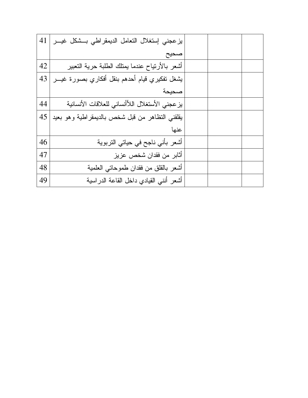| 41 | يزعجني إستغلال التعامل الديمقراطي بسشكل غيس     |  |  |
|----|-------------------------------------------------|--|--|
|    |                                                 |  |  |
| 42 | أشعر بالأرتياح عندما يمتلك الطلبة حرية التعبير  |  |  |
| 43 | يشغل تفكيري قيام أحدهم بنقل أفكاري بصورة غيـــر |  |  |
|    | صحبحة                                           |  |  |
| 44 | يز عجني الأستغلال اللأأنساني للعلاقات الأنسانية |  |  |
| 45 | يقلقني النظاهر من قبل شخص بالديمقراطية وهو بعيد |  |  |
|    | عنها                                            |  |  |
| 46 | أشعر بأني ناجح في حياتي التربوية                |  |  |
| 47 | أثابر من فقدان شخص عزيز                         |  |  |
| 48 | أشعر بالقلق من فقدان طموحاتي العلمية            |  |  |
| 49 | أشعر أنني القيادي داخل القاعة الدراسية          |  |  |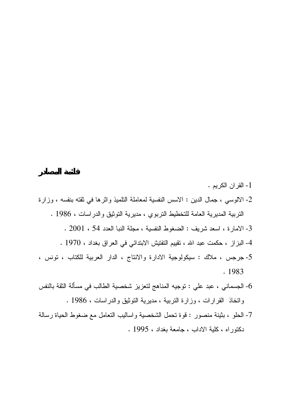- -1 القران الكريم .
- -2 الالوسي ، جمال الدين : الاسس النفسية لمعاملة التلميذ واثرها في ثقته بنفسه ، وزارة التربية المديرية العامة للتخطيط التربوي ، مديرية التوثيق والدراسات ، 1986 .
	- -3 الامارة ، اسعد شريف : الضغوط النفسية ، مجلة النبا العدد 54 ، 2001 .
	- -4 البزاز ، حكمت عبد االله ، تقييم التفتيش الابتدائي في العراق بغداد ، 1970 .
- -5 جرجس ، ملاك : سيكولوجية الادارة والانتاج ، الدار العربية للكتاب ، تونس ، . 1983
- -6 الجسماني ، عبد علي : توجيه المناهج لتعزيز شخصية الطالب في مسألة الثقة بالنفس واتخاذ القرارات ، وزارة التربية ، مديرية التوثيق والدراسات ، 1986 .
- -7 الحلو ، بثينة منصور : قوة تحمل الشخصية واساليب التعامل مع ضغوط الحياة رسالة دكتوراه ، كلية الاداب ، جامعة بغداد ، 1995 .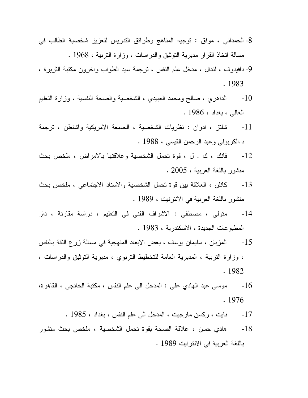- -8 الحمداني ، موفق : توجيه المناهج وطرائق التدريس لتعزيز شخصية الطالب في مسالة اتخاذ القرار مديرية التوثيق والدراسات ، وزارة التربية ، 1968 .
- -9 دافيدوف ، لندال ، مدخل علم النفس ، ترجمة سيد الطواب واخرون مكتبة الثريرة ، . 1983
- -10 الداهري ، صالح ومحمد العبيدي ، الشخصية والصحة النفسية ، وزارة التعليم العالي ، بغداد ، 1986 .
- -11 شلتز ، ادوان : نظريات الشخصية ، الجامعة الامريكية واشنطن ، ترجمة د.الكربولي وعبد الرحمن القيسي ، 1988 .
- -12 فانك ، ك . ل ، قوة تحمل الشخصية وعلاقتها بالامراض ، ملخص بحث منشور باللغة العربية ، 2005 .
- -13 كانلن ، العلاقة بين قوة تحمل الشخصية والاسناد الاجتماعي ، ملخص بحث منشور باللغة العربية في الانترنيت ، 1989 .
- -14 متولي ، مصطفى : الاشراف الفني في التعليم ، دراسة مقارنة ، دار المطبوعات الجديدة ، الاسكندرية ، 1983 .
- -15 المزبان ، سليمان يوسف ، بعض الابعاد المنهجية في مسالة زرع الثقة بالنفس ، وزارة التربية ، المديرية العامة للتخطيط التربوي ، مديرية التوثيق والدراسات ، . 1982
- -16 موسى عبد الهادي علي : المدخل الى علم النفس ، مكتبة الخانجي ، القاهرة، . 1976
	- -17 نايت ، ركسن مارجيت ، المدخل الى علم النفس ، بغداد ، 1985 .
- -18 هادي حسن ، علاقة الصحة بقوة تحمل الشخصية ، ملخص بحث منشور باللغة العربية في الانترنيت 1989 .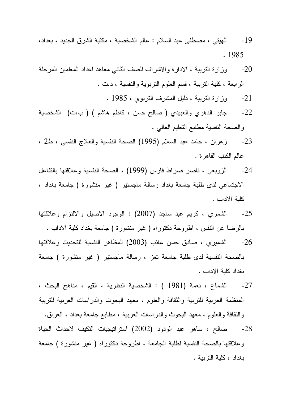- -19 الهيتي ، مصطفى عبد السلام : عالم الشخصية ، مكتبة الشرق الجديد ، بغداد، . 1985
- -20 وزارة التربية ، الادارة والاشراف للصف الثاني معاهد اعداد المعلمين المرحلة الرابعة ، كلية التربية ، قسم العلوم التربوية والنفسية ، د.ت .
	- -21 وزارة التربية ، دليل المشرف التربوي ، 1985 .
- -22 جابر الدهري والعبيدي ( صالح حسن ، كاظم هاشم ) ( ب،ت) الشخصية والصحة النفسية مطابع التعليم العالي .
- -23 زهران ، حامد عبد السلام (1995) الصحة النفسية والعلاج النفسي ، ط2 ، عالم الكتب القاهرة .
- -24 الزوبعي ، ناصر صراط فارس (1999) ، الصحة النفسية وعلاقتها بالتفاعل الاجتماعي لدى طلبة جامعة بغداد رسالة ماجستير ( غير منشورة ) جامعة بغداد ، كلية الاداب .
- -25 الشمري ، كريم عبد ساجد (2007) : الوجود الاصيل والالتزام وعلاقتها بالرضا عن النفس ، اطروحة دكتوراه ( غير منشورة ) جامعة بغداد كلية الاداب .
- -26 الشميري ، صادق حسن غائب (2003) المظاهر النفسية للتحديث وعلاقتها بالصحة النفسية لدى طلبة جامعة تعز ، رسالة ماجستير ( غير منشورة ) جامعة بغداد كلية الاداب .
- -27 الشماع ، نعمة (1981 ) : الشخصية النظرية ، القيم ، مناهج البحث ، المنظمة العربية للتربية والثقافة والعلوم ، معهد البحوث والدراسات العربية للتربية

والثقافة والعلوم ، معهد البحوث والدراسات العربية ، مطابع جامعة بغداد ، العراق.

-28 صالح ، ساهر عبد الودود (2002) استراتيجيات التكيف لاحداث الحياة وعلاقتها بالصحة النفسية لطلبة الجامعة ، اطروحة دكتوراه ( غير منشورة ) جامعة بغداد ، كلية التربية .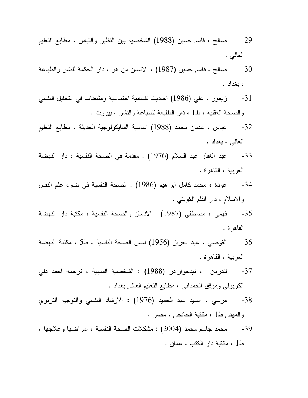- -29 صالح ، قاسم حسين (1988) الشخصية بين النظير والقياس ، مطابع التعليم العالي .
- -30 صالح ، قاسم حسين (1987) ، الانسان من هو ، دار الحكمة للنشر والطباعة ، بغداد .
- -31 زيعور ، علي (1986) احاديث نفسانية اجتماعية ومثبطات في التحليل النفسي والصحة العقلية ، ط1 ، دار الطليعة للطباعة والنشر ، بيروت .
- -32 عباس ، عدنان محمد (1988) اساسية السايكولوجية الحديثة ، مطابع التعليم العالي ، بغداد .
- -33 عبد الغفار عبد السلام (1976) : مقدمة في الصحة النفسية ، دار النهضة العربية ، القاهرة .
- -34 عودة ، محمد كامل ابراهيم (1986) : الصحة النفسية في ضوء علم النفس والاسلام ، دار القلم الكويتي .
- -35 فهمي ، مصطفى (1987) : الانسان والصحة النفسية ، مكتبة دار النهضة القاهرة .
- -36 القوصي ، عبد العزيز (1956) اسس الصحة النفسية ، ط5 ، مكتبة النهضة العربية ، القاهرة .
- -37 لندرمن ، تيدجوارادر (1988) : الشخصية السلبية ، ترجمة احمد دلي الكربولي وموفق الحمداني ، مطابع التعليم العالي بغداد .
- -38 مرسي ، السيد عبد الحميد (1976) : الارشاد النفسي والتوجيه التربوي والمهني ط1 ، مكتبة الخانجي ، مصر .
- -39 محمد جاسم محمد (2004) : مشكلات الصحة النفسية ، امراضها وعلاجها ، ط1 ، مكتبة دار الكتب ، عمان .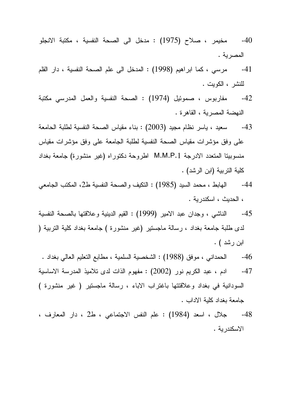- -40 مخيمر ، صلاح (1975) : مدخل الى الصحة النفسية ، مكتبة الانجلو المصرية .
- -41 مرسي ، كما ابراهيم (1998) : المدخل الى علم الصحة النفسية ، دار القلم للنشر ، الكويت .
- -42 مفاربوس ، صموئيل (1974) : الصحة النفسية والعمل المدرسي مكتبة النهضة المصرية ، القاهرة .
- -43 سعيد ، ياسر نظام مجيد (2003) : بناء مقياس الصحة النفسية لطلبة الحامعة على وفق مؤشرات مقياس الصحة النفسية لطلبة الجامعة على وفق مؤشرات مقياس منسوبيتا المتعدد الادرجة M.M.P.1 اطروحة دكتوراه (غير منشورة) جامعة بغداد كلية التربية (ابن الرشد) .
- 44- الـهابط ، محمد السيد (1985) : التكيف والصحة النفسية ط2، المكتب الجامعي ، الحديث ، اسكندرية .
- -45 الناشي ، وجدان عبد الامير (1999) : القيم الدينية وعلاقتها بالصحة النفسية لدى طلبة جامعة بغداد ، رسالة ماجستير (غير منشورة ) جامعة بغداد كلية التربية ( ابن رشد ) .
- -46 الحمداني ، موفق (1988) : الشخصية السلمية ، مطابع التعليم العالي بغداد .
- -47 ادم ، عبد الكريم نور (2002) : مفهوم الذات لدى تلاميذ المدرسة الاساسية السودانية في بغداد وعلاقتتها باغتراب الاباء ، رسالة ماجستير ( غير منشورة ) جامعة بغداد كلية الاداب .
- -48 جلال ، اسعد (1984) : علم النفس الاجتماعي ، ط2 ، دار المعارف ، الاسكندرية .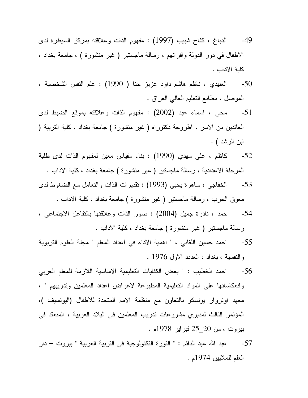- -49 الدباغ ، كفاح شبيب (1997) : مفهوم الذات وعلاقته بمركز السيطرة لدى الاطفال في دور الدولة واقرانهم ، رسالة ماجستير ( غير منشورة ) ، جامعة بغداد ، كلية الاداب .
- -50 العبيدي ، ناظم هاشم داود عزيز حنا ( 1990) : علم النفس الشخصية ، الموصل ، مطابع التعليم العالي العراق .
- -51 محي ، اسماء عبد (2002) : مفهوم الذات وعلاقته بموقع الضبط لدى العائدين من الاسر ، اطروحة دكتوراه ( غير منشورة ) جامعة بغداد ، كلية التربية ( ابن الرشد ) .
- -52 كاظم ، علي مهدي (1990) : بناء مقياس معين لمفهوم الذات لدى طلبة المرحلة الاعدادية ، رسالة ماجستير ( غير منشورة ) جامعة بغداد ، كلية الاداب .
- -53 الخفاجي ، ساهرة يحيى (1993) : تقديرات الذات والتعامل مع الضغوط لدى معوق الحرب ، رسالة ماجستير ( غير منشورة ) جامعة بغداد ، كلية الاداب .
- -54 حمد ، نادرة جميل (2004) : صور الذات وعلاقتها بالتفاعل الاجتماعي ، رسالة ماجستير ( غير منشورة ) جامعة بغداد ، كلية الاداب .
- -55 احمد حسين اللقاني ، " اهمية الاداء في اعداد المعلم " مجلة العلوم التربوية والنفسية ، بغداد ، العددد الاول 1976 .
- -56 احمد الخطيب : " بعض الكفايات التعليمية الاساسية اللازمة للمعلم العربي وانعكاساتها على المواد التعليمية المطبوعة لاغراض اعداد المعلمين وتدريبهم " ، معهد اونروار يونسكو بالتعاون مع منظمة الامم المتحدة للاطفال (اليونسيف )، المؤتمر الثالث لمديري مشروعات تدريب المعلمين في البلاد العربية ، المنعقد في بيروت ، من 20\_25 فبراير 1978م .
- 57- عبد الله عبد الدائم : " الثورة التكنولوجية في التربية العربية " بيروت دار العلم للملايين 1974م .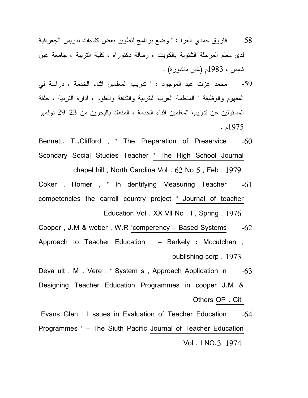- -58 فاروق حمدي الغرا : " وضع برنامج لتطوير بعض كفاءات تدريس الجغرافية لدى معلم المرحلة الثانوية بالكويت ، رسالة دكتوراه ، كلية التربية ، جامعة عين شمس ، 1983م (غير منشورة) .
- -59 محمد عزت عبد الموجود : " تدريب المعلمين اثناء الخدمة ، دراسة في المفهوم والوظيفة " المنظمة العربية للتربية والثقافة والعلوم ، ادارة التربية ، حلقة المسئولين عن تدريب المعلمين اثناء الخدمة ، المنعقد بالبحرين من 23\_29 نوفمبر 1975م .
- Bennett. T..Clifford, " The Preparation of Preservice -60 Scondary Social Studies Teacher " The High School Journal chapel hill , North Carolina Vol . 62 No 5 , Feb , 1979
- Coker, Homer, " In dentifying Measuring Teacher -61 competencies the carroll country project " Journal of teacher Education Vol . XX VII No . I, Spring , 1976
- Cooper, J.M & weber, W.R "comperency  $-$  Based Systems  $-62$ Approach to Teacher Education " - Berkely : Mccutchan, publishing corp , 1973
- Deva ult, M. Vere, "System s, Approach Application in -63 Designing Teacher Education Programmes in cooper J.M & Others OP . Cit
- Evans Glen " I ssues in Evaluation of Teacher Education -64 Programmes " – The Siuth Pacific Journal of Teacher Education Vol . l NO.3, 1974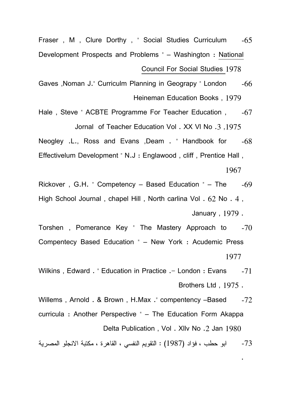- Fraser , M , Clure Dorthy , " Social Studies Curriculum -65 Development Prospects and Problems " – Washington : National Council For Social Studies 1978
- Gaves, Noman J." Curriculm Planning in Geograpy " London -66 Heineman Education Books , 1979
- Hale, Steve " ACBTE Programme For Teacher Education, -67 Jornal of Teacher Education Vol . XX Vl No .3 ,1975
- Neogley .L., Ross and Evans ,Deam . " Handbook for -68 Effectivelum Development " N.J : Englawood , cliff , Prentice Hall , 1967
- Rickover, G.H. " Competency Based Education " The  $-69$ High School Journal , chapel Hill , North carlina Vol . 62 No . 4 , January , 1979 .
- Torshen, Pomerance Key " The Mastery Approach to -70 Compentecy Based Education " – New York : Acudemic Press 1977
- Wilkins, Edward. "Education in Practice  $-$  London: Evans  $-71$ Brothers Ltd , 1975 .
- Willems, Arnold . & Brown, H.Max . compentency  $-$ Based  $-72$ curricula : Another Perspective " – The Education Form Akappa Delta Publication , Vol . Xllv No .2 Jan 1980

-73 ابو حطب ، فؤاد (1987) : التقويم النفسي ، القاهرة ، مكتبة الانجلو المصرية

.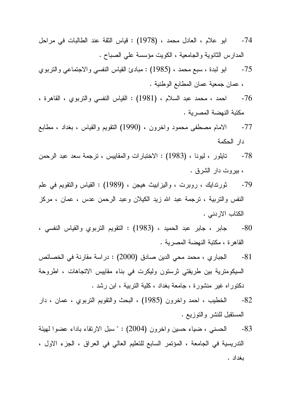- -74 ابو علام ، العادل محمد ، (1978) : قياس الثقة عند الطالبات في مراحل المدارس الثانوية والجامعية ، الكويت مؤسسة علي الصباح .
- -75 ابو لبدة ، سبع محمد ، (1985) : مبادئ القياس النفسي والاجتماعي والتربوي ، عمان جمعية عمان المطابع الوطنية .
- -76 احمد ، محمد عبد السلام ، (1981) : القياس النفسي والتربوي ، القاهرة ، مكتبة النهضة المصرية .
- -77 الامام مصطفى محمود واخرون ، (1990) التقويم والقياس ، بغداد ، مطابع دار الحكمة
- -78 تايلور ، ليونا ، (1983) : الاختبارات والمقاييس ، ترجمة سعد عبد الرحمن ، بيروت دار الشرق .
- -79 ثورتدايك ، روبرت ، واليزابيث هيجن ، (1989) : القياس والتقويم في علم النفس والتربية ، ترجمة عبد االله زيد الكيلان وعبد الرحمن عدس ، عمان ، مركز الكتاب الاردني .
- -80 جابر ، جابر عبد الحميد ، (1983) : التقويم التربوي والقياس النفسي ، القاهرة ، مكتبة النهضة المصرية .
- -81 الجباري ، محمد محي الدين صادق (2000) : دراسة مقارنة في الخصائص السيكومترية بين طريقتي ثرستون وليكرت في بناء مقاييس الاتجاهات ، اطروحة دكتوراه غير منشورة ، جامعة بغداد ، كلية التربية ، ابن رشد .
- -82 الخطيب ، احمد واخرون (1985) ، البحث والتقويم التربوي ، عمان ، دار المستقبل للنشر والتوزيع .
- -83 الحسني ، ضياء حسين واخرون (2004) : " سبل الارتقاء باداء عضوا لهيئة التدريسية في الجامعة ، المؤتمر السابع للتعليم العالي في العراق ، الجزء الاول ، بغداد .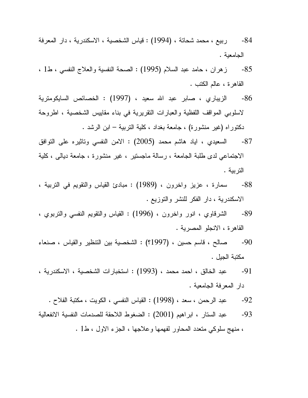- -84 ربيع ، محمد شحاتة ، (1994) : قياس الشخصية ، الاسكندرية ، دار المعرفة الجامعية .
- -85 زهران ، حامد عبد السلام (1995) : الصحة النفسية والعلاج النفسي ، ط1 ، القاهرة ، عالم الكتب .
- -86 الزيباري ، صابر عبد االله سعيد ، (1997) : الخصائص السايكومترية لاسلوبي المواقف اللفظية والعبارات التقريرية في بناء مقاييس الشخصية ، اطروحة دكتوراه (غير منشورة) ، جامعة بغداد ، كلية التربية – ابن الرشد .
- -87 السعيدي ، اياد هاشم محمد (2005) : الامن النفسي وتاثيره على التوافق الاجتماعي لدى طلبة الجامعة ، رسالة ماجستير ، غير منشورة ، جامعة ديالى ، كلية التربية .
- -88 سمارة ، عزيز واخرون ، (1989) : مبادئ القياس والتقويم في التربية ، الاسكندرية ، دار الفكر للنشر والتوزيع .
- -89 الشرقاوي ، انور واخرون ، (1996) : القياس والتقويم النفسي والتربوي ، القاهرة ، الانجلو المصرية .
- -90 صالح ، قاسم حسين ، (1997؟) : الشخصية بين التنظير والقياس ، صنعاء مكتبة الجيل .
- -91 عبد الخالق ، احمد محمد ، (1993) : استخبارات الشخصية ، الاسكندرية ، دار المعرفة الجامعية .
	- -92 عبد الرحمن ، سعد ، (1998) : القياس النفسي ، الكويت ، مكتبة الفلاح .
- -93 عبد الستار ، ابراهيم (2001) : الضغوط اللاحقة للصدمات النفسية الانفعالية ، منهج سلوكي متعدد المحاور لفهمها وعلاجها ، الجزء الاول ، ط1 .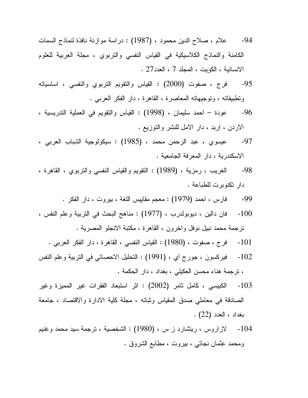- -94 علام ، صلاح الدين محمود ، (1987) : دراسة موازنة نافذة لنماذج السمات الكامنة والنماذج الكلاسيكية في القياس النفسي والتربوي ، مجلة العربية للعلوم الانسانية ، الكويت ، المجلد 7 ، العدد27 .
- -95 فرج ، صفوت (2000) : القياس والتقويم التربوي والنفسي ، اساسياته وتطبيقاته ، وتوجيهاته المعاصرة ، القاهرة ، دار الفكر العربي .
- -96 عودة احمد سليمان ، (1998) : القياس والتقويم في العملية التدريسية ، الاردن ، اربد ، دار الامل للنشر والتوزيع .
- -97 عيسوي ، عبد الرحمن محمد ، (1985) : سيكولوجية الشباب العربي ، الاسكندرية ، دار المعرفة الجامعية .
- -98 الغريب ، رمزية ، (1989) : التقويم والقياس النفسي والتربوي ، القاهرة ، دار تكنوبرت للطباعة .
	- -99 فارس ، احمد (1979) : معجم مقاييس اللغة ، بيروت ، دار الفكر .
- -100 فان دالين ، ديوبولدرب ، (1977) : مناهج البحث في التربية وعلم النفس ، ترجمة محمد نبيل نوفل واخرون ، القاهرة ، مكتبة الانجلو المصرية .
	- -101 فرج ، صفوت ، (1980) : القياس النفسي ، القاهرة ، دار الفكر العربي .
- -102 فيركسون ، جورج اي ، (1991) : التحليل الاحصائي في التربية وعلم النفس ، ترجمة هناء محسن العكيلي ، بغداد ، دار الحكمة .
- -103 الكبيسي ، كامل ثامر (2002) : اثر استبعاد الفقرات غير المميزة وغير الصادقة في معاملي صدق المقياس وثباته ، مجلة كلية الادارة والاقتصاد ، جامعة بغداد ، العدد (22) .
- -104 لازاروس ، ريتشارد ز س ، (1980) : الشخصية ، ترجمة سيد محمد وغنيم ومحمد عثمان نجاتي ، بيروت ، مطابع الشروق .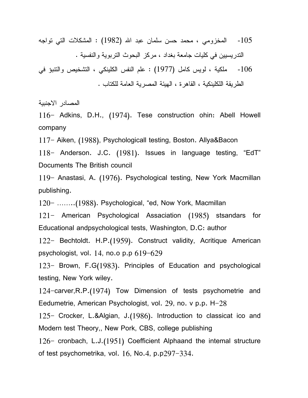-105 المخزومي ، محمد حسن سلمان عبد االله (1982) : المشكلات التي تواجه التدريسيين في كليات جامعة بغداد ، مركز البحوث التربوية والنفسية .

-106 ملكية ، لويس كامل (1977) : علم النفس الكلينكي ، التشخيص والتنبؤ في الطريقة اللكلينكية ، القاهرة ، الهيئة المصرية العامة للكتاب .

المصادر الاجنبية

116- Adkins, D.H., (1974). Tese construction ohin: Abell Howell company

117- Aiken, (1988), Psychologicall testing, Boston. Allya&Bacon

118- Anderson. J.C. (1981). Issues in Ianguage testing, "EdT" Documents The British council

119- Anastasi, A. (1976). Psychological testing, New York Macmillan publishing.

120- ........(1988). Psychological, "ed, Now York, Macmillan

121- American Psychological Assaciation (1985) stsandars for Educational andpsychological tests, Washington, D.C: author

122- Bechtoldt. H.P.(1959). Construct validity, Acritique American psychologist, vol. 14, no.o p.p 619-629

123- Brown, F.G(1983). Principles of Education and psychological testing, New York wiley.

124-carver,R.P.(1974) Tow Dimension of tests psychometrie and Eedumetrie, American Psychologist, vol. 29, no. v p.p. H-28

125- Crocker, L.&Algian, J.(1986). Introduction to classicat ico and Modern test Theory,, New Pork, CBS, college publishing

126- cronbach, L.J.(1951) Coefficient Alphaand the intemal structure of test psychometrika, vol. 16, No.4, p.p297-334.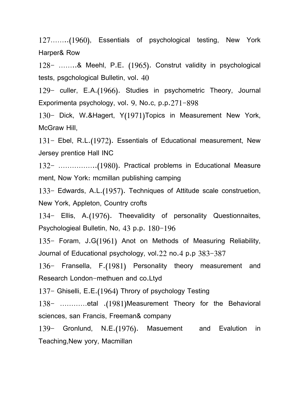127……..(1960), Essentials of psychological testing, New York Harper& Row

128- ……..& Meehl, P.E. (1965). Construt validity in psychological tests, psgchological Bulletin, vol. 40

129- culler, E.A.(1966). Studies in psychometric Theory, Journal Exporimenta psychology, vol. 9, No.c, p.p.271-898

130- Dick, W.&Hagert, Y(1971)Topics in Measurement New York, McGraw Hill,

131- Ebel, R.L.(1972). Essentials of Educational measurement, New Jersey prentice Hall INC

132- ……………..(1980). Practical problems in Educational Measure ment, Now York: mcmillan publishing camping

133- Edwards, A.L.(1957). Techniques of Attitude scale construetion, New York, Appleton, Country crofts

134- Ellis, A.(1976). Theevalidity of personality Questionnaites, Psychologieal Bulletin, No, 43 p.p. 180-196

135- Foram, J.G(1961) Anot on Methods of Measuring Reliability, Journal of Educational psychology, vol.22 no.4 p.p 383-387

136- Fransella, F.(1981) Personality theory measurement and Research London-methuen and co.Ltyd

137- Ghiselli, E.E.(1964) Throry of psychology Testing

138- …………etal .(1981)Measurement Theory for the Behavioral sciences, san Francis, Freeman& company

139- Gronlund, N.E.(1976). Masuement and Evalution in Teaching,New yory, Macmillan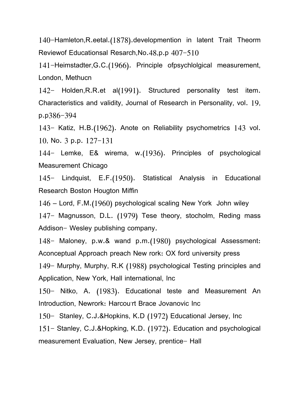140-Hamleton,R.eetal.(1878).developmention in latent Trait Theorm Reviewof Educationsal Resarch,No.48,p.p 407-510

141-Heimstadter,G.C.(1966). Principle ofpsychlolgical measurement, London, Methucn

142- Holden,R.R.et al(1991). Structured personality test item. Characteristics and validity, Journal of Research in Personality, vol. 19, p.p386-394

143- Katiz, H.B.(1962). Anote on Reliability psychometrics 143 vol. 10, No. 3 p.p. 127-131

144- Lemke, E& wirema, w.(1936). Principles of psychological Measurement Chicago

145- Lindquist, E.F.(1950). Statistical Analysis in Educational Research Boston Hougton Miffin

146 – Lord, F.M.(1960) psychological scaling New York John wiley

147- Magnusson, D.L. (1979) Tese theory, stocholm, Reding mass Addison- Wesley publishing company.

148- Maloney, p.w.& wand p.m.(1980) psychological Assessment: Aconceptual Approach preach New rork: OX ford university press

149- Murphy, Murphy, R.K (1988) psychological Testing principles and Application, New York, Hall international, Inc

150- Nitko, A. (1983). Educational teste and Measurement An Introduction, Newrork: Harcourt Brace Jovanovic Inc

150- Stanley, C.J.&Hopkins, K.D (1972) Educational Jersey, Inc

151- Stanley, C.J.&Hopking, K.D. (1972). Education and psychological measurement Evaluation, New Jersey, prentice- Hall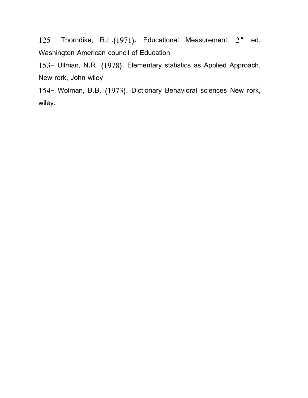125- Thorndike, R.L. $(1971)$ . Educational Measurement,  $2<sup>nd</sup>$  ed, Washington American council of Education

153- Ullman, N.R. (1978). Elementary statistics as Applied Approach, New rork, John wiley

154- Wolman, B.B. (1973). Dictionary Behavioral sciences New rork, wiley.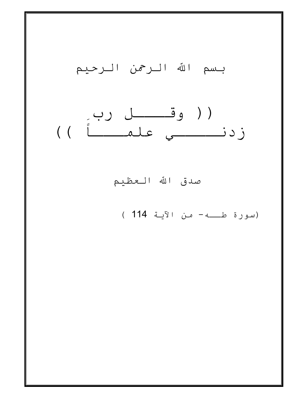بسم االله الرحمن الرحيم (( وقـــل ربِ (( ً زدنــــي علمـــاصدق االله العظيم (سورة طــه- من الآية 114 )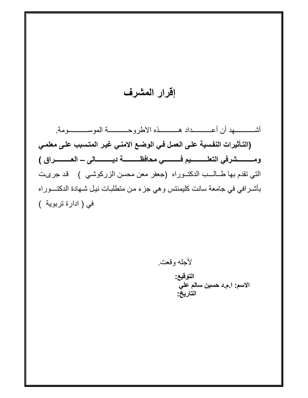## **إقرار المشرف**

أشهسسهد أن أعمـــــــداد همســـــــــذه الاطروحــــــــــــة الموســـــــــومة. **(التѧأثيرات النفѧسية علѧى العمѧل فѧي الوضѧع الامنѧي غيѧر المتѧسبب علѧى معلمѧي** ومـــــــــــثىرفى التعلــــــــــيم فـــــــــــى محافظـــــــــة ديـــــــــالى – العـــــــــــراق ) التي تقدم بها طــالـــب الدكتــوراه (جعفر معن محسن الزركوشي ) قد جرىت بأشـرافي في جامعة سانت كليمنتس وهي جزء من متطلبـات نيل شـهادة الدكتـــوراه في ( ادارة تربوية )

لأجله وقعت . **التوقيع : الاسم: ا.م.د حسين سالم علي التاريخ :**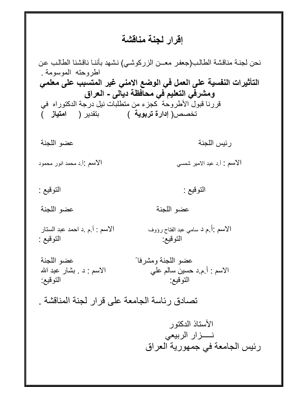## **إقرار لجنة مناقشة**

نحن لجنة مناقشة الطالب(جعفر معـن الزركوشي) نشهد بأننا ناقشنا الطالب عن اطروحته الموسومة . **التأثيرات النفسية على العمل في الوضع الامني غير المتسبب على معلمي ومشرفي التعليم في محافظة ديالى - العراق** قررنا قبول الأطروحة كجزء من متطلبات نيل درجة الدكتوراه في تخصص( **إدارة تربوية** ) بتقدير ( **امتياز** ) رئيس اللجنة عضو اللجنة الاسم : أ.د عبد الامير شمسي الاسم :أ.د محمد انور محمود التوقيع : التوقيع : عضو اللجنة عضو اللجنة الاسم :أ.م د سامي عبد الفتاح رؤوف الاسم : أ.م .د احمد عبد الستار التوقيع: التوقيع : عضو اللجنة ومشرفا ً<br>حسين سالم على عضو اللجنة على عضو اللجنة الاسم : أ.م.د حسين سالم علي التوقيع: التوقيع : تصادق رئاسة الجامعة على قرار لجنة المناقشة . الأستاذ الدكتور نـــــزار الربيعي رئيس الجامعة في جمهورية العراق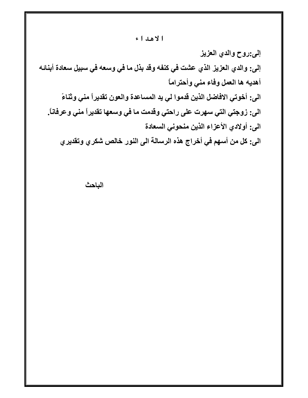## **الاهداء**

**إلى:روح والدي العزيز إلى: والدي العزيز الذي عشت في آنفه وقد بذل ما في وسعه في سبيل سعادة أبنائه أهديه ها العمل وفاء مني وأحتراماً الى: أخوتي الافاضل الذين قدموا لي يد المساعدة والعون تقديراً مني وثناءً الى: زوجتي التي سهرت على راحتي وقدمت ما في وسعها تقديراً مني وعرفانا.ً الى: أولادي الأعزاء الذين منحوني السعادة الى: آل من أسهم في أخراج هذه الرسالة الى النور خالص شكري وتقديري**

 **الباحث**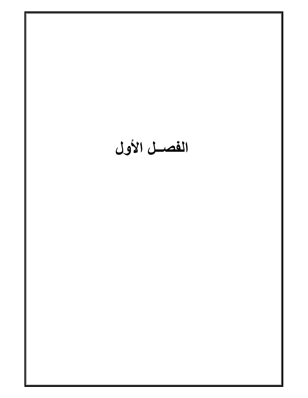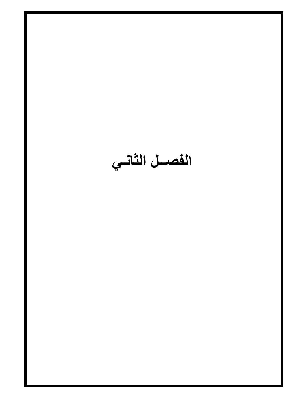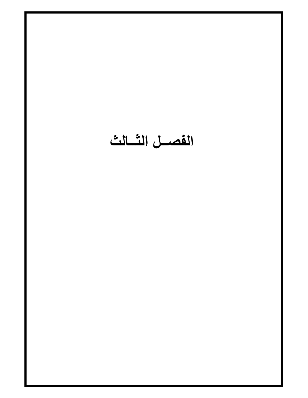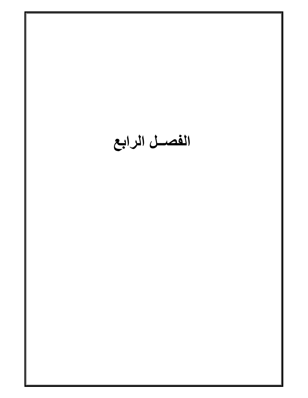